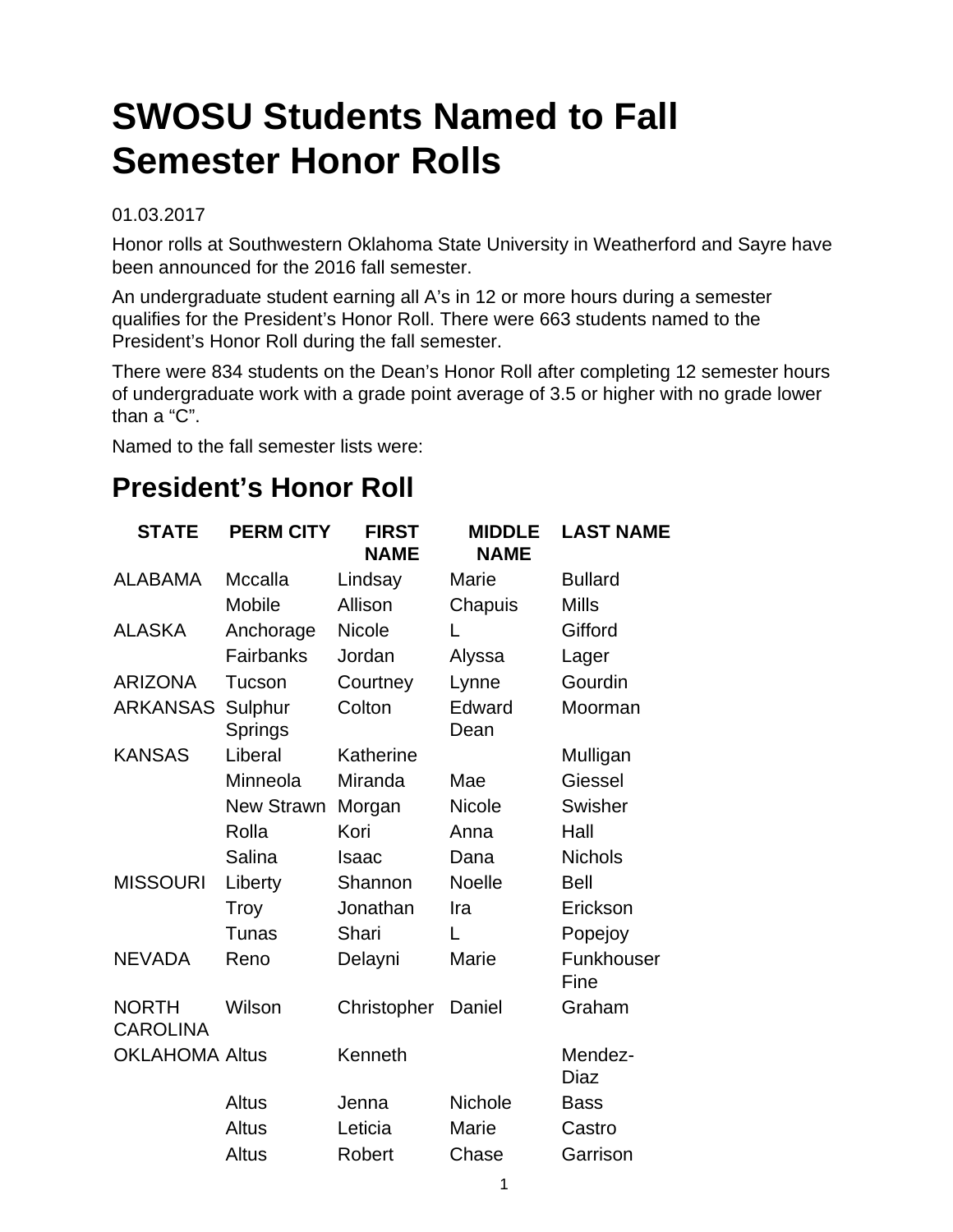# **SWOSU Students Named to Fall Semester Honor Rolls**

#### 01.03.2017

Honor rolls at Southwestern Oklahoma State University in Weatherford and Sayre have been announced for the 2016 fall semester.

An undergraduate student earning all A's in 12 or more hours during a semester qualifies for the President's Honor Roll. There were 663 students named to the President's Honor Roll during the fall semester.

There were 834 students on the Dean's Honor Roll after completing 12 semester hours of undergraduate work with a grade point average of 3.5 or higher with no grade lower than a "C".

Named to the fall semester lists were:

## **President's Honor Roll**

| <b>STATE</b>                    | <b>PERM CITY</b>   | <b>FIRST</b><br><b>NAME</b> | <b>MIDDLE</b><br><b>NAME</b> | <b>LAST NAME</b>   |
|---------------------------------|--------------------|-----------------------------|------------------------------|--------------------|
| <b>ALABAMA</b>                  | Mccalla            | Lindsay                     | Marie                        | <b>Bullard</b>     |
|                                 | <b>Mobile</b>      | Allison                     | Chapuis                      | <b>Mills</b>       |
| <b>ALASKA</b>                   | Anchorage          | <b>Nicole</b>               | L                            | Gifford            |
|                                 | Fairbanks          | Jordan                      | Alyssa                       | Lager              |
| <b>ARIZONA</b>                  | Tucson             | Courtney                    | Lynne                        | Gourdin            |
| <b>ARKANSAS</b>                 | Sulphur<br>Springs | Colton                      | Edward<br>Dean               | Moorman            |
| <b>KANSAS</b>                   | Liberal            | Katherine                   |                              | Mulligan           |
|                                 | Minneola           | Miranda                     | Mae                          | Giessel            |
|                                 | <b>New Strawn</b>  | Morgan                      | <b>Nicole</b>                | Swisher            |
|                                 | Rolla              | Kori                        | Anna                         | Hall               |
|                                 | Salina             | Isaac                       | Dana                         | <b>Nichols</b>     |
| <b>MISSOURI</b>                 | Liberty            | Shannon                     | <b>Noelle</b>                | <b>Bell</b>        |
|                                 | Troy               | Jonathan                    | Ira                          | Erickson           |
|                                 | Tunas              | Shari                       | L                            | Popejoy            |
| <b>NEVADA</b>                   | Reno               | Delayni                     | Marie                        | Funkhouser<br>Fine |
| <b>NORTH</b><br><b>CAROLINA</b> | Wilson             | Christopher                 | Daniel                       | Graham             |
| <b>OKLAHOMA Altus</b>           |                    | Kenneth                     |                              | Mendez-<br>Diaz    |
|                                 | Altus              | Jenna                       | <b>Nichole</b>               | <b>Bass</b>        |
|                                 | Altus              | Leticia                     | Marie                        | Castro             |
|                                 | Altus              | Robert                      | Chase                        | Garrison           |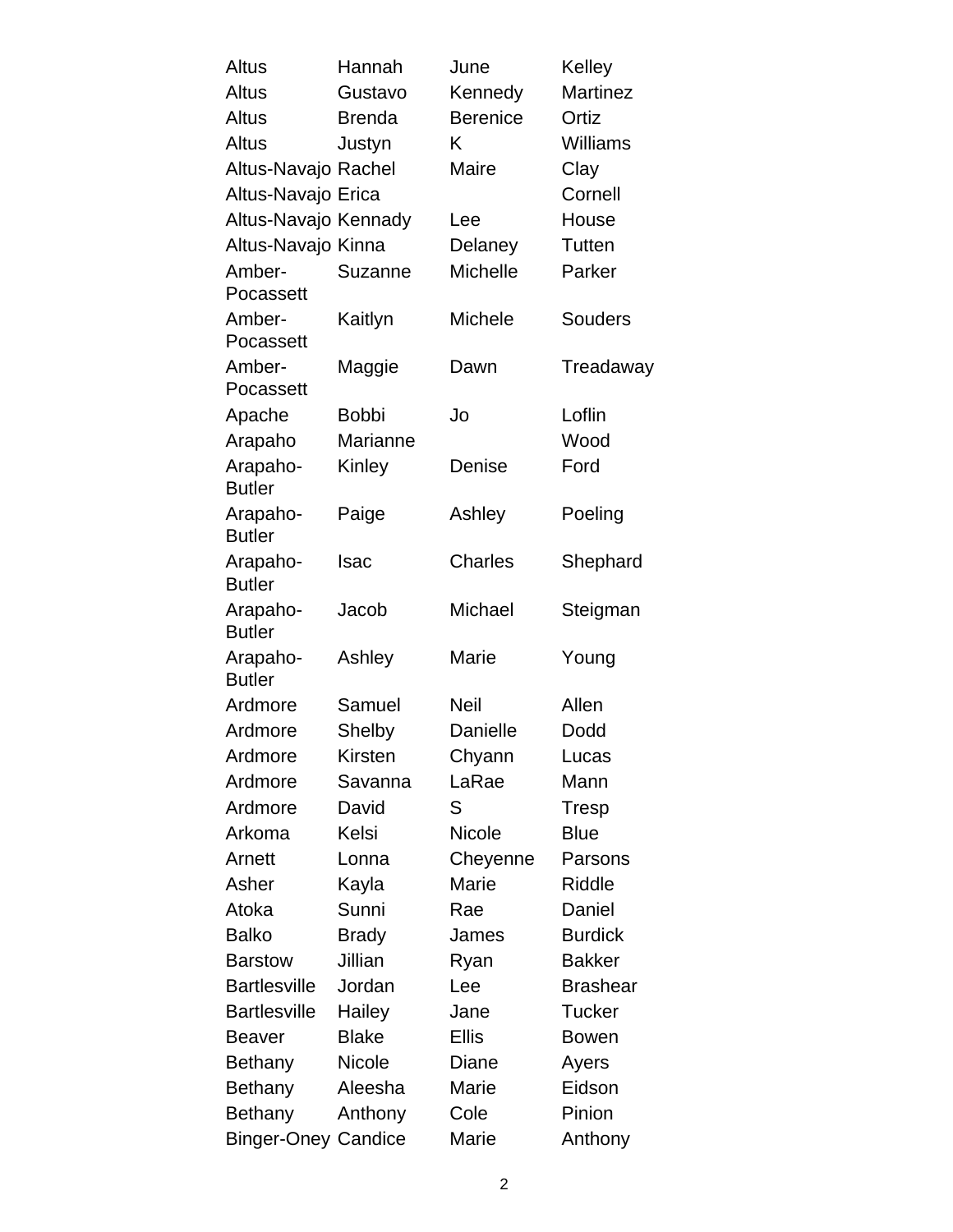| Altus                      | Hannah        | June            | Kelley          |
|----------------------------|---------------|-----------------|-----------------|
| <b>Altus</b>               | Gustavo       | Kennedy         | <b>Martinez</b> |
| Altus                      | <b>Brenda</b> | <b>Berenice</b> | Ortiz           |
| Altus                      | Justyn        | Κ               | <b>Williams</b> |
| Altus-Navajo Rachel        |               | <b>Maire</b>    | Clay            |
| Altus-Navajo Erica         |               |                 | Cornell         |
| Altus-Navajo Kennady       |               | Lee             | House           |
| Altus-Navajo Kinna         |               | Delaney         | Tutten          |
| Amber-<br>Pocassett        | Suzanne       | <b>Michelle</b> | Parker          |
| Amber-<br>Pocassett        | Kaitlyn       | <b>Michele</b>  | <b>Souders</b>  |
| Amber-                     | Maggie        | Dawn            | Treadaway       |
| Pocassett                  |               |                 |                 |
| Apache                     | <b>Bobbi</b>  | Jo              | Loflin          |
| Arapaho                    | Marianne      |                 | Wood            |
| Arapaho-<br><b>Butler</b>  | Kinley        | Denise          | Ford            |
| Arapaho-<br><b>Butler</b>  | Paige         | Ashley          | Poeling         |
| Arapaho-<br><b>Butler</b>  | <b>Isac</b>   | <b>Charles</b>  | Shephard        |
| Arapaho-<br><b>Butler</b>  | Jacob         | Michael         | Steigman        |
| Arapaho-<br><b>Butler</b>  | Ashley        | Marie           | Young           |
| Ardmore                    | Samuel        | <b>Neil</b>     | Allen           |
| Ardmore                    | Shelby        | Danielle        | Dodd            |
| Ardmore                    | Kirsten       | Chyann          | Lucas           |
| Ardmore                    | Savanna       | LaRae           | Mann            |
| Ardmore                    | David         | S               | <b>Tresp</b>    |
| Arkoma                     | Kelsi         | Nicole          | <b>Blue</b>     |
| Arnett                     | Lonna         | Cheyenne        | Parsons         |
| Asher                      | Kayla         | Marie           | <b>Riddle</b>   |
| Atoka                      | Sunni         | Rae             | Daniel          |
| <b>Balko</b>               | <b>Brady</b>  | James           | <b>Burdick</b>  |
| <b>Barstow</b>             | Jillian       | Ryan            | <b>Bakker</b>   |
| <b>Bartlesville</b>        | Jordan        | Lee             | <b>Brashear</b> |
| <b>Bartlesville</b>        | Hailey        | Jane            | <b>Tucker</b>   |
| Beaver                     | <b>Blake</b>  | <b>Ellis</b>    | <b>Bowen</b>    |
| <b>Bethany</b>             | <b>Nicole</b> | Diane           | Ayers           |
| <b>Bethany</b>             | Aleesha       | Marie           | Eidson          |
| Bethany                    | Anthony       | Cole            | Pinion          |
| <b>Binger-Oney Candice</b> |               | Marie           | Anthony         |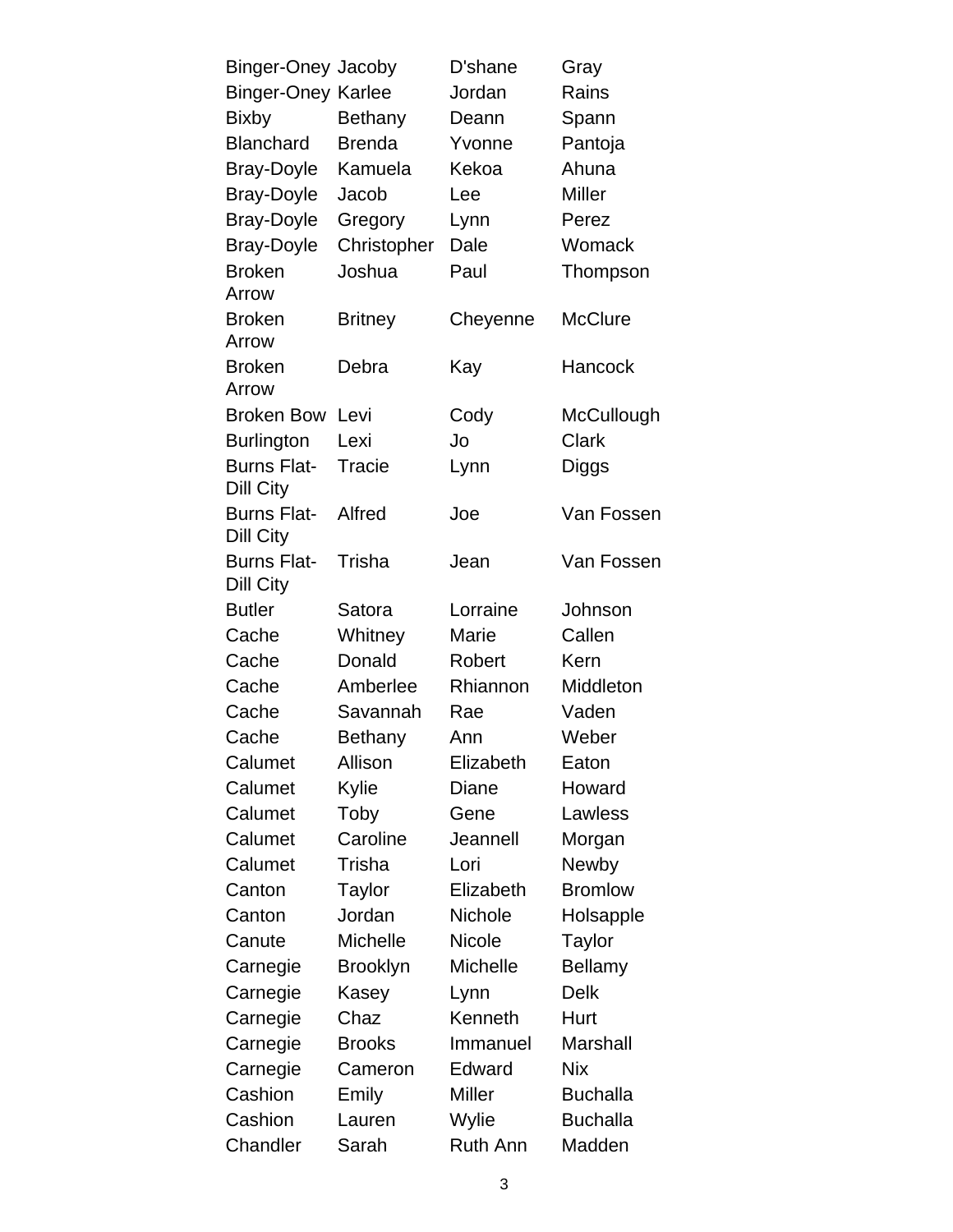| Binger-Oney Jacoby              |                 | D'shane         | Gray            |
|---------------------------------|-----------------|-----------------|-----------------|
| <b>Binger-Oney Karlee</b>       |                 | Jordan          | Rains           |
| <b>Bixby</b>                    | Bethany         | Deann           | Spann           |
| <b>Blanchard</b>                | <b>Brenda</b>   | Yvonne          | Pantoja         |
| <b>Bray-Doyle</b>               | Kamuela         | Kekoa           | Ahuna           |
| <b>Bray-Doyle</b>               | Jacob           | Lee             | <b>Miller</b>   |
| <b>Bray-Doyle</b>               | Gregory         | Lynn            | Perez           |
| <b>Bray-Doyle</b>               | Christopher     | Dale            | Womack          |
| <b>Broken</b><br>Arrow          | Joshua          | Paul            | Thompson        |
| <b>Broken</b><br>Arrow          | <b>Britney</b>  | Cheyenne        | <b>McClure</b>  |
| <b>Broken</b><br>Arrow          | Debra           | Kay             | Hancock         |
| <b>Broken Bow</b>               | Levi            | Cody            | McCullough      |
| <b>Burlington</b>               | Lexi            | Jo              | Clark           |
| <b>Burns Flat-</b><br>Dill City | Tracie          | Lynn            | Diggs           |
| <b>Burns Flat-</b><br>Dill City | Alfred          | Joe             | Van Fossen      |
| <b>Burns Flat-</b><br>Dill City | Trisha          | Jean            | Van Fossen      |
| <b>Butler</b>                   | Satora          | Lorraine        | Johnson         |
| Cache                           | Whitney         | Marie           | Callen          |
| Cache                           | Donald          | Robert          | Kern            |
| Cache                           | Amberlee        | Rhiannon        | Middleton       |
| Cache                           | Savannah        | Rae             | Vaden           |
| Cache                           | Bethany         | Ann             | Weber           |
| Calumet                         | Allison         | Elizabeth       | Eaton           |
| Calumet                         | Kylie           | Diane           | Howard          |
| Calumet                         | Toby            | Gene            | Lawless         |
| Calumet                         | Caroline        | Jeannell        | Morgan          |
| Calumet                         | Trisha          | Lori            | Newby           |
| Canton                          | Taylor          | Elizabeth       | <b>Bromlow</b>  |
| Canton                          | Jordan          | <b>Nichole</b>  | Holsapple       |
| Canute                          | <b>Michelle</b> | <b>Nicole</b>   | <b>Taylor</b>   |
| Carnegie                        | <b>Brooklyn</b> | Michelle        | <b>Bellamy</b>  |
| Carnegie                        | Kasey           | Lynn            | Delk            |
| Carnegie                        | Chaz            | Kenneth         | Hurt            |
| Carnegie                        | <b>Brooks</b>   | Immanuel        | Marshall        |
| Carnegie                        | Cameron         | Edward          | <b>Nix</b>      |
| Cashion                         | Emily           | Miller          | <b>Buchalla</b> |
| Cashion                         | Lauren          | Wylie           | <b>Buchalla</b> |
| Chandler                        | Sarah           | <b>Ruth Ann</b> | Madden          |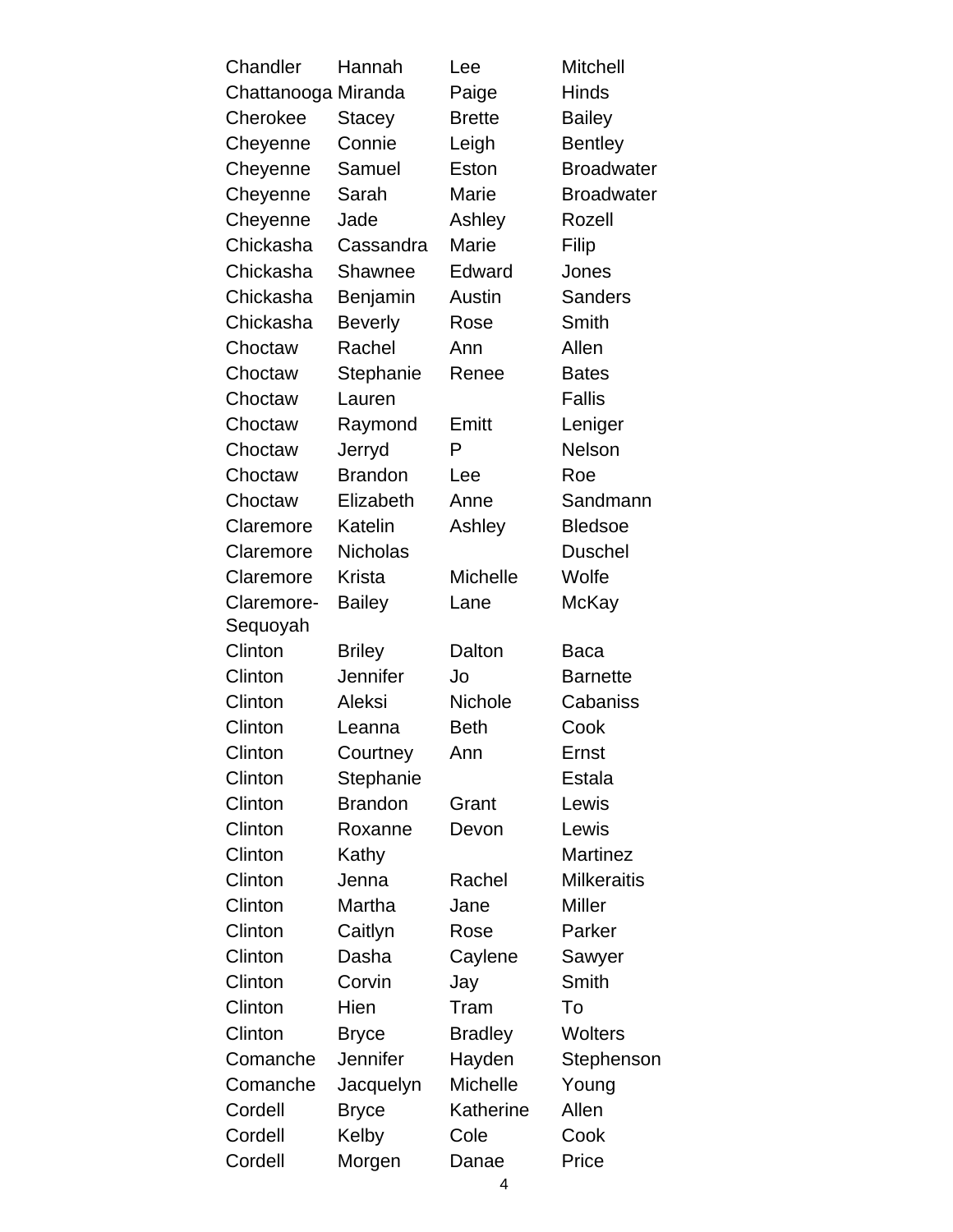| Chandler            | Hannah          | Lee             | <b>Mitchell</b>    |
|---------------------|-----------------|-----------------|--------------------|
| Chattanooga Miranda |                 | Paige           | <b>Hinds</b>       |
| Cherokee            | <b>Stacey</b>   | <b>Brette</b>   | <b>Bailey</b>      |
| Cheyenne            | Connie          | Leigh           | <b>Bentley</b>     |
| Cheyenne            | Samuel          | Eston           | <b>Broadwater</b>  |
| Cheyenne            | Sarah           | Marie           | <b>Broadwater</b>  |
| Cheyenne            | Jade            | Ashley          | Rozell             |
| Chickasha           | Cassandra       | Marie           | Filip              |
| Chickasha           | Shawnee         | Edward          | Jones              |
| Chickasha           | Benjamin        | Austin          | <b>Sanders</b>     |
| Chickasha           | <b>Beverly</b>  | Rose            | Smith              |
| Choctaw             | Rachel          | Ann             | Allen              |
| Choctaw             | Stephanie       | Renee           | <b>Bates</b>       |
| Choctaw             | Lauren          |                 | <b>Fallis</b>      |
| Choctaw             | Raymond         | Emitt           | Leniger            |
| Choctaw             | Jerryd          | P               | Nelson             |
| Choctaw             | <b>Brandon</b>  | Lee             | Roe                |
| Choctaw             | Elizabeth       | Anne            | Sandmann           |
| Claremore           | Katelin         | Ashley          | <b>Bledsoe</b>     |
| Claremore           | <b>Nicholas</b> |                 | <b>Duschel</b>     |
| Claremore           | Krista          | <b>Michelle</b> | Wolfe              |
| Claremore-          | <b>Bailey</b>   | Lane            | McKay              |
| Sequoyah            |                 |                 |                    |
| Clinton             | <b>Briley</b>   | Dalton          | Baca               |
| Clinton             | Jennifer        | Jo              | <b>Barnette</b>    |
| Clinton             | Aleksi          | Nichole         | Cabaniss           |
| Clinton             | Leanna          | <b>Beth</b>     | Cook               |
| Clinton             | Courtney        | Ann             | Ernst              |
| Clinton             | Stephanie       |                 | Estala             |
| Clinton             | <b>Brandon</b>  | Grant           | Lewis              |
| Clinton             | Roxanne         | Devon           | Lewis              |
| Clinton             | Kathy           |                 | <b>Martinez</b>    |
| Clinton             | Jenna           | Rachel          | <b>Milkeraitis</b> |
| Clinton             | Martha          | Jane            | <b>Miller</b>      |
| Clinton             | Caitlyn         | Rose            | Parker             |
| Clinton             | Dasha           | Caylene         | Sawyer             |
| Clinton             | Corvin          | Jay             | Smith              |
| Clinton             | Hien            | Tram            | To                 |
| Clinton             | <b>Bryce</b>    | <b>Bradley</b>  | <b>Wolters</b>     |
| Comanche            | <b>Jennifer</b> | Hayden          | Stephenson         |
| Comanche            | Jacquelyn       | <b>Michelle</b> | Young              |
| Cordell             | <b>Bryce</b>    | Katherine       | Allen              |
| Cordell             | Kelby           | Cole            | Cook               |
| Cordell             | Morgen          | Danae           | Price              |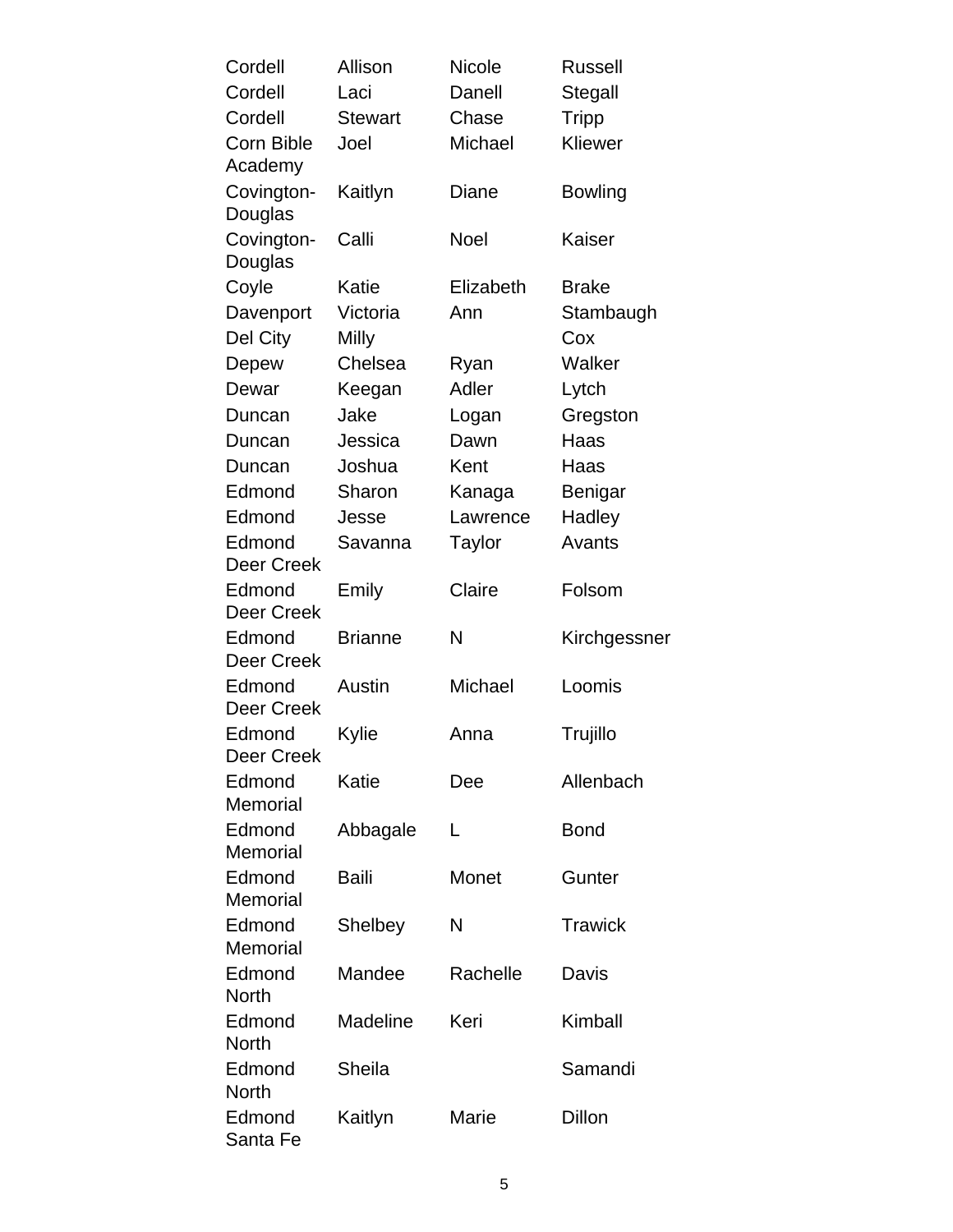| Cordell                     | Allison        | <b>Nicole</b> | <b>Russell</b> |
|-----------------------------|----------------|---------------|----------------|
| Cordell                     | Laci           | Danell        | Stegall        |
| Cordell                     | <b>Stewart</b> | Chase         | <b>Tripp</b>   |
| Corn Bible<br>Academy       | Joel           | Michael       | Kliewer        |
| Covington-<br>Douglas       | Kaitlyn        | Diane         | <b>Bowling</b> |
| Covington-<br>Douglas       | Calli          | <b>Noel</b>   | Kaiser         |
| Coyle                       | Katie          | Elizabeth     | <b>Brake</b>   |
| Davenport                   | Victoria       | Ann           | Stambaugh      |
| Del City                    | Milly          |               | Cox            |
| Depew                       | Chelsea        | Ryan          | Walker         |
| Dewar                       | Keegan         | Adler         | Lytch          |
| Duncan                      | Jake           | Logan         | Gregston       |
| Duncan                      | Jessica        | Dawn          | Haas           |
| Duncan                      | Joshua         | Kent          | Haas           |
| Edmond                      | Sharon         | Kanaga        | Benigar        |
| Edmond                      | Jesse          | Lawrence      | Hadley         |
| Edmond<br><b>Deer Creek</b> | Savanna        | Taylor        | Avants         |
| Edmond<br>Deer Creek        | Emily          | Claire        | Folsom         |
| Edmond<br><b>Deer Creek</b> | <b>Brianne</b> | N             | Kirchgessner   |
| Edmond<br><b>Deer Creek</b> | Austin         | Michael       | Loomis         |
| Edmond<br>Deer Creek        | Kylie          | Anna          | Trujillo       |
| Edmond<br>Memorial          | Katie          | Dee           | Allenbach      |
| Edmond<br>Memorial          | Abbagale       | L             | <b>Bond</b>    |
| Edmond<br>Memorial          | <b>Baili</b>   | Monet         | Gunter         |
| Edmond<br>Memorial          | Shelbey        | N             | <b>Trawick</b> |
| Edmond<br><b>North</b>      | Mandee         | Rachelle      | Davis          |
| Edmond<br><b>North</b>      | Madeline       | Keri          | Kimball        |
| Edmond<br><b>North</b>      | Sheila         |               | Samandi        |
| Edmond<br>Santa Fe          | Kaitlyn        | Marie         | Dillon         |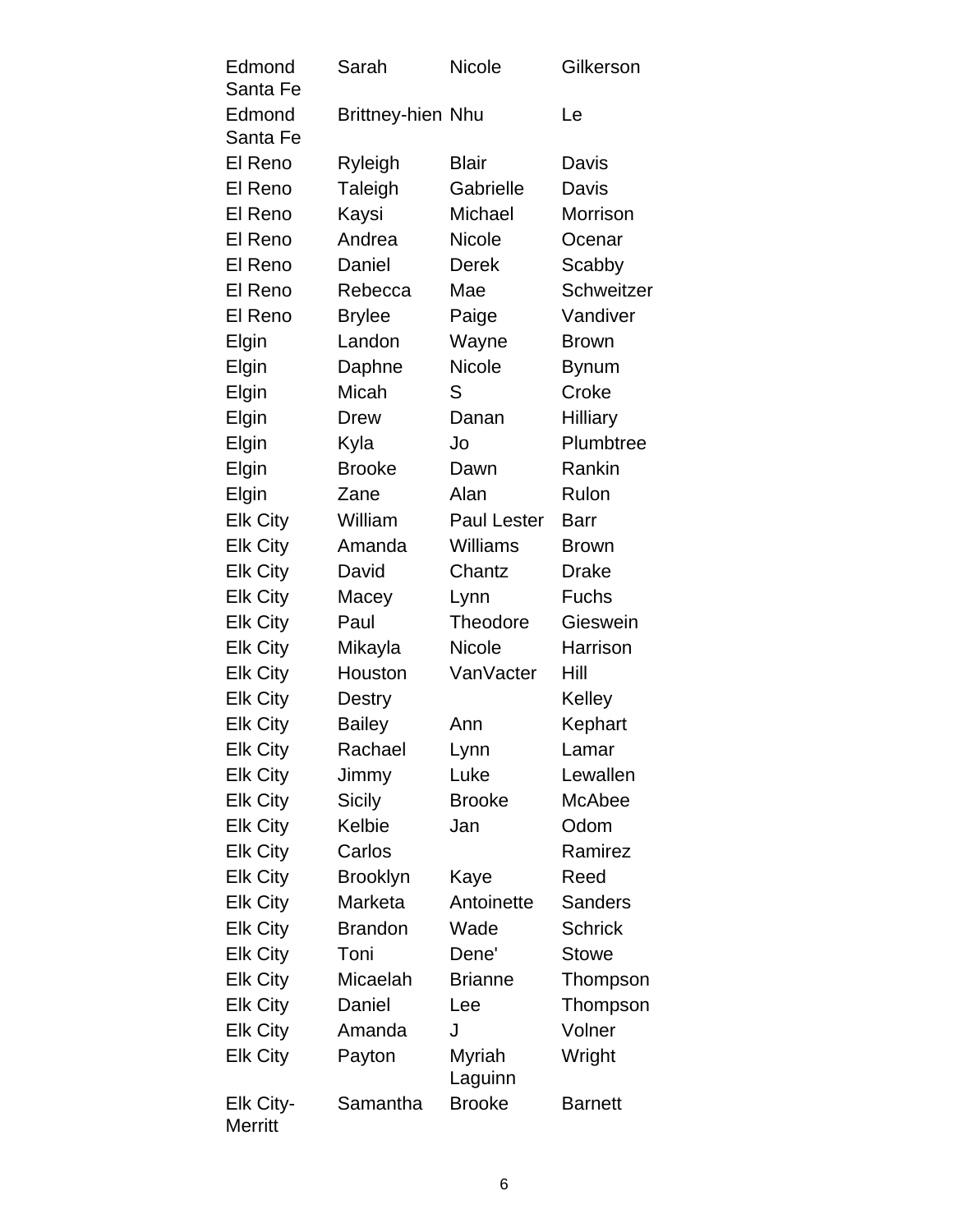| Edmond<br>Santa Fe          | Sarah                    | <b>Nicole</b>      | Gilkerson       |
|-----------------------------|--------------------------|--------------------|-----------------|
| Edmond<br>Santa Fe          | <b>Brittney-hien Nhu</b> |                    | Le              |
| El Reno                     | Ryleigh                  | <b>Blair</b>       | Davis           |
| El Reno                     | Taleigh                  | Gabrielle          | Davis           |
| El Reno                     | Kaysi                    | Michael            | Morrison        |
| El Reno                     | Andrea                   | <b>Nicole</b>      | Ocenar          |
| El Reno                     | Daniel                   | <b>Derek</b>       | Scabby          |
| El Reno                     | Rebecca                  | Mae                | Schweitzer      |
| El Reno                     | <b>Brylee</b>            | Paige              | Vandiver        |
| Elgin                       | Landon                   | Wayne              | <b>Brown</b>    |
| Elgin                       | Daphne                   | <b>Nicole</b>      | <b>Bynum</b>    |
| Elgin                       | Micah                    | S                  | Croke           |
| Elgin                       | <b>Drew</b>              | Danan              | <b>Hilliary</b> |
| Elgin                       | Kyla                     | Jo                 | Plumbtree       |
| Elgin                       | <b>Brooke</b>            | Dawn               | Rankin          |
| Elgin                       | Zane                     | Alan               | Rulon           |
| <b>Elk City</b>             | William                  | <b>Paul Lester</b> | Barr            |
| <b>Elk City</b>             | Amanda                   | Williams           | <b>Brown</b>    |
| <b>Elk City</b>             | David                    | Chantz             | <b>Drake</b>    |
| <b>Elk City</b>             | Macey                    | Lynn               | <b>Fuchs</b>    |
| <b>Elk City</b>             | Paul                     | <b>Theodore</b>    | Gieswein        |
| <b>Elk City</b>             | Mikayla                  | <b>Nicole</b>      | Harrison        |
| <b>Elk City</b>             | Houston                  | VanVacter          | Hill            |
| <b>Elk City</b>             | Destry                   |                    | Kelley          |
| <b>Elk City</b>             | <b>Bailey</b>            | Ann                | Kephart         |
| <b>Elk City</b>             | Rachael                  | Lynn               | Lamar           |
| <b>Elk City</b>             | Jimmy                    | Luke               | Lewallen        |
| <b>Elk City</b>             | <b>Sicily</b>            | <b>Brooke</b>      | McAbee          |
| <b>Elk City</b>             | Kelbie                   | Jan                | Odom            |
| <b>Elk City</b>             | Carlos                   |                    | Ramirez         |
| <b>Elk City</b>             | <b>Brooklyn</b>          | Kaye               | Reed            |
| <b>Elk City</b>             | Marketa                  | Antoinette         | <b>Sanders</b>  |
| <b>Elk City</b>             | <b>Brandon</b>           | Wade               | <b>Schrick</b>  |
| <b>Elk City</b>             | Toni                     | Dene'              | <b>Stowe</b>    |
| <b>Elk City</b>             | Micaelah                 | <b>Brianne</b>     | Thompson        |
| <b>Elk City</b>             | Daniel                   | Lee                | Thompson        |
| <b>Elk City</b>             | Amanda                   | J                  | Volner          |
| <b>Elk City</b>             | Payton                   | Myriah<br>Laguinn  | Wright          |
| Elk City-<br><b>Merritt</b> | Samantha                 | <b>Brooke</b>      | <b>Barnett</b>  |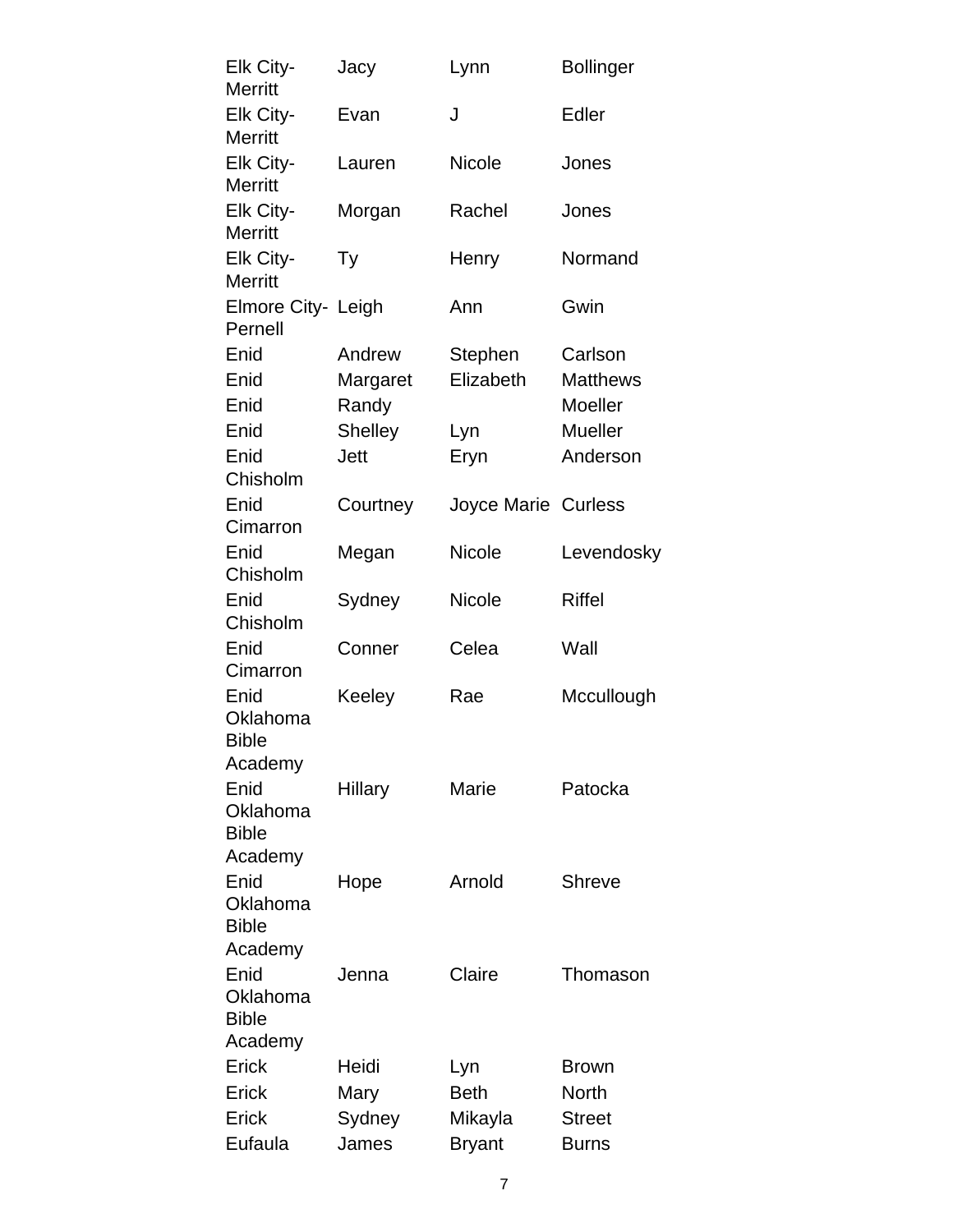| Elk City-<br><b>Merritt</b>                 | Jacy           | Lynn                       | <b>Bollinger</b> |
|---------------------------------------------|----------------|----------------------------|------------------|
| Elk City-<br><b>Merritt</b>                 | Evan           | J                          | Edler            |
| Elk City-<br><b>Merritt</b>                 | Lauren         | Nicole                     | Jones            |
| Elk City-<br><b>Merritt</b>                 | Morgan         | Rachel                     | Jones            |
| Elk City-<br><b>Merritt</b>                 | Тy             | Henry                      | Normand          |
| Elmore City- Leigh<br>Pernell               |                | Ann                        | Gwin             |
| Enid                                        | Andrew         | Stephen                    | Carlson          |
| Enid                                        | Margaret       | Elizabeth                  | <b>Matthews</b>  |
| Enid                                        | Randy          |                            | Moeller          |
| Enid                                        | <b>Shelley</b> | Lyn                        | <b>Mueller</b>   |
| Enid                                        | <b>Jett</b>    | Eryn                       | Anderson         |
| Chisholm                                    |                |                            |                  |
| Enid<br>Cimarron                            | Courtney       | <b>Joyce Marie Curless</b> |                  |
| Enid<br>Chisholm                            | Megan          | <b>Nicole</b>              | Levendosky       |
| Enid<br>Chisholm                            | Sydney         | Nicole                     | <b>Riffel</b>    |
| Enid<br>Cimarron                            | Conner         | Celea                      | Wall             |
| Enid<br>Oklahoma<br><b>Bible</b>            | Keeley         | Rae                        | Mccullough       |
| Academy<br>Enid<br>Oklahoma<br><b>Bible</b> | Hillary        | Marie                      | Patocka          |
| Academy<br>Enid<br>Oklahoma<br><b>Bible</b> | Hope           | Arnold                     | Shreve           |
| Academy<br>Enid<br>Oklahoma<br><b>Bible</b> | Jenna          | Claire                     | Thomason         |
| Academy                                     |                |                            |                  |
| Erick                                       | Heidi          | Lyn                        | <b>Brown</b>     |
| Erick                                       | Mary           | <b>Beth</b>                | <b>North</b>     |
| Erick                                       | Sydney         | Mikayla                    | <b>Street</b>    |
| Eufaula                                     | James          | <b>Bryant</b>              | <b>Burns</b>     |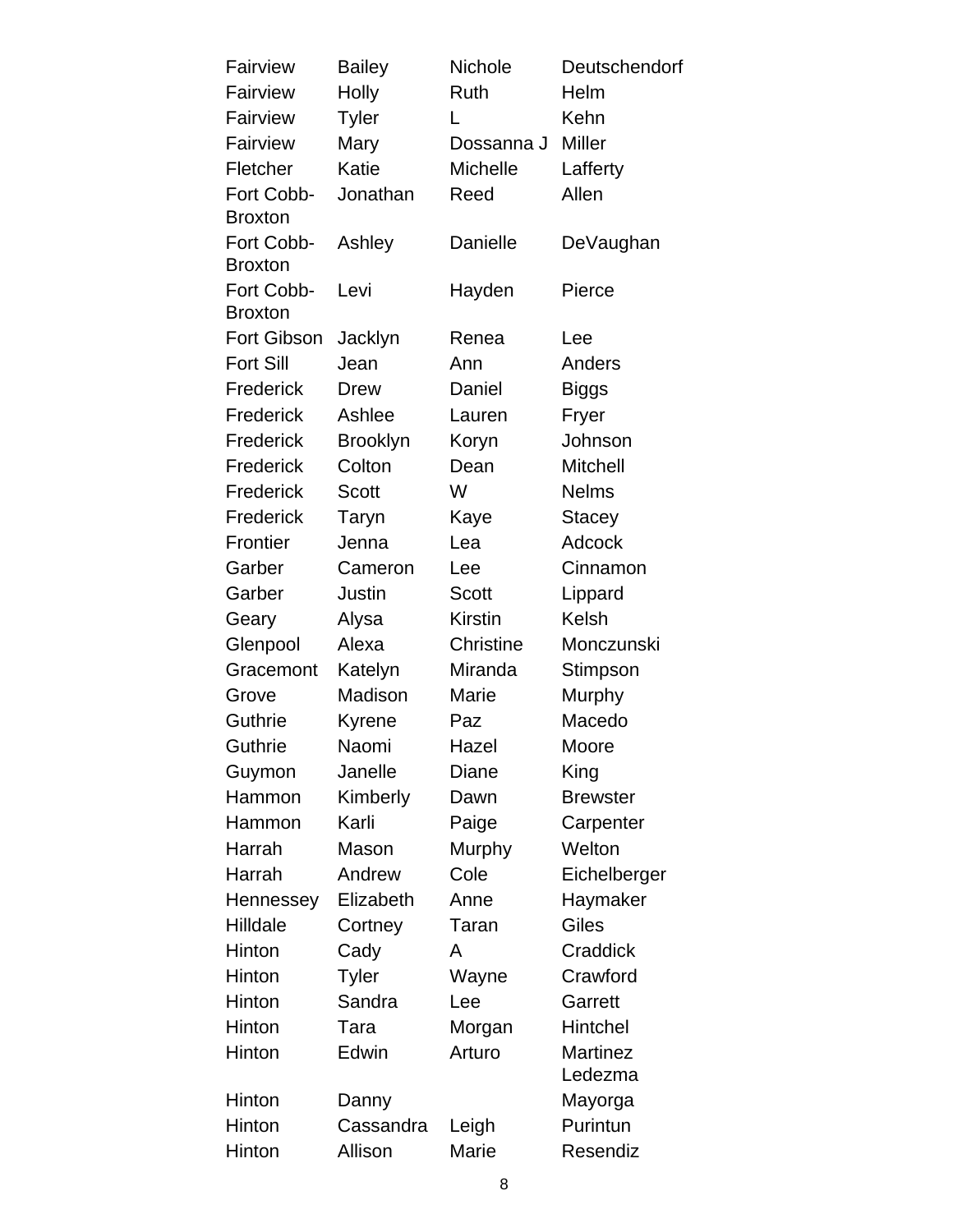| Fairview                     | <b>Bailey</b>   | Nichole          | Deutschendorf   |
|------------------------------|-----------------|------------------|-----------------|
| Fairview                     | Holly           | Ruth             | Helm            |
| Fairview                     | <b>Tyler</b>    | L                | Kehn            |
| Fairview                     | Mary            | Dossanna J       | <b>Miller</b>   |
| Fletcher                     | Katie           | <b>Michelle</b>  | Lafferty        |
| Fort Cobb-<br><b>Broxton</b> | Jonathan        | Reed             | Allen           |
| Fort Cobb-<br><b>Broxton</b> | Ashley          | Danielle         | DeVaughan       |
| Fort Cobb-<br><b>Broxton</b> | Levi            | Hayden           | Pierce          |
| Fort Gibson                  | Jacklyn         | Renea            | Lee             |
| <b>Fort Sill</b>             | Jean            | Ann              | Anders          |
| Frederick                    | <b>Drew</b>     | Daniel           | <b>Biggs</b>    |
| Frederick                    | Ashlee          | Lauren           | Fryer           |
| Frederick                    | <b>Brooklyn</b> | Koryn            | Johnson         |
| Frederick                    | Colton          | Dean             | <b>Mitchell</b> |
| Frederick                    | <b>Scott</b>    | W                | <b>Nelms</b>    |
| Frederick                    | Taryn           | Kaye             | Stacey          |
| Frontier                     | Jenna           | Lea              | <b>Adcock</b>   |
| Garber                       | Cameron         | Lee              | Cinnamon        |
| Garber                       | Justin          | <b>Scott</b>     | Lippard         |
| Geary                        | Alysa           | <b>Kirstin</b>   | Kelsh           |
| Glenpool                     | Alexa           | <b>Christine</b> | Monczunski      |
| Gracemont                    | Katelyn         | Miranda          | Stimpson        |
| Grove                        | Madison         | Marie            | Murphy          |
| Guthrie                      | Kyrene          | Paz              | Macedo          |
| Guthrie                      | Naomi           | Hazel            | Moore           |
| Guymon                       | Janelle         | Diane            | King            |
| Hammon                       | Kimberly        | Dawn             | <b>Brewster</b> |
| Hammon                       | Karli           | Paige            | Carpenter       |
| Harrah                       | Mason           | Murphy           | Welton          |
| Harrah                       | Andrew          | Cole             | Eichelberger    |
| Hennessey                    | Elizabeth       | Anne             | Haymaker        |
| Hilldale                     | Cortney         | Taran            | Giles           |
| Hinton                       | Cady            | A                | Craddick        |
| Hinton                       | <b>Tyler</b>    | Wayne            | Crawford        |
| Hinton                       | Sandra          | Lee              | Garrett         |
| Hinton                       | Tara            | Morgan           | Hintchel        |
| Hinton                       | Edwin           | Arturo           | <b>Martinez</b> |
|                              |                 |                  | Ledezma         |
| Hinton                       | Danny           |                  | Mayorga         |
| Hinton                       | Cassandra       | Leigh            | Purintun        |
| Hinton                       | Allison         | Marie            | Resendiz        |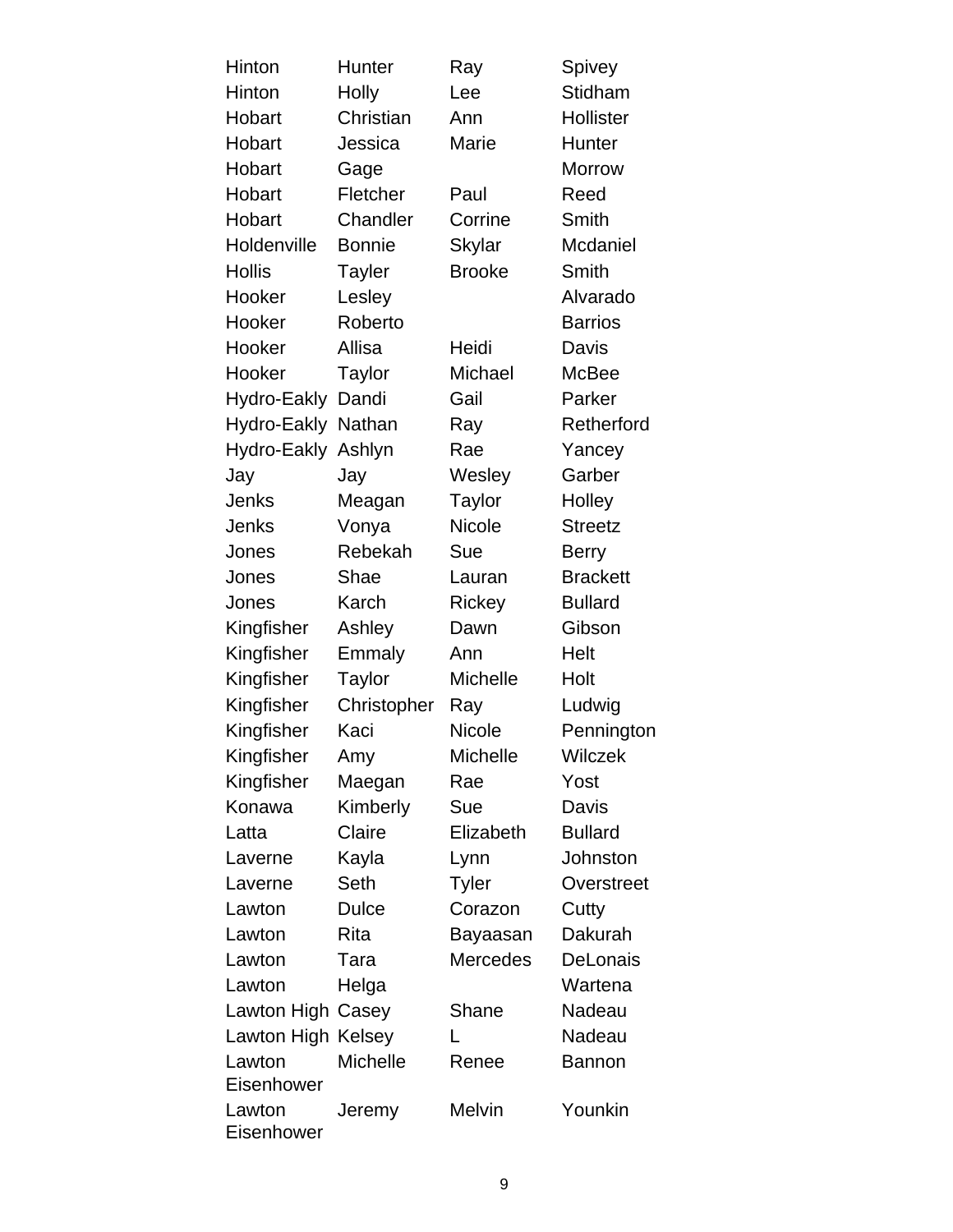| Hinton                      | Hunter        | Ray             | Spivey          |
|-----------------------------|---------------|-----------------|-----------------|
| Hinton                      | Holly         | Lee             | Stidham         |
| Hobart                      | Christian     | Ann             | Hollister       |
| Hobart                      | Jessica       | Marie           | Hunter          |
| Hobart                      | Gage          |                 | <b>Morrow</b>   |
| Hobart                      | Fletcher      | Paul            | Reed            |
| Hobart                      | Chandler      | Corrine         | Smith           |
| Holdenville                 | <b>Bonnie</b> | <b>Skylar</b>   | Mcdaniel        |
| <b>Hollis</b>               | <b>Tayler</b> | <b>Brooke</b>   | Smith           |
| Hooker                      | Lesley        |                 | Alvarado        |
| Hooker                      | Roberto       |                 | <b>Barrios</b>  |
| Hooker                      | Allisa        | Heidi           | Davis           |
| Hooker                      | Taylor        | Michael         | McBee           |
| Hydro-Eakly                 | Dandi         | Gail            | Parker          |
| Hydro-Eakly                 | Nathan        | Ray             | Retherford      |
| Hydro-Eakly                 | Ashlyn        | Rae             | Yancey          |
| Jay                         | Jay           | Wesley          | Garber          |
| Jenks                       | Meagan        | <b>Taylor</b>   | Holley          |
| Jenks                       | Vonya         | <b>Nicole</b>   | <b>Streetz</b>  |
| Jones                       | Rebekah       | Sue             | <b>Berry</b>    |
| Jones                       | Shae          | Lauran          | <b>Brackett</b> |
| Jones                       | Karch         | Rickey          | <b>Bullard</b>  |
| Kingfisher                  | Ashley        | Dawn            | Gibson          |
| Kingfisher                  | Emmaly        | Ann             | Helt            |
| Kingfisher                  | <b>Taylor</b> | Michelle        | Holt            |
| Kingfisher                  | Christopher   | Ray             | Ludwig          |
| Kingfisher                  | Kaci          | Nicole          | Pennington      |
| Kingfisher                  | Amy           | <b>Michelle</b> | <b>Wilczek</b>  |
| Kingfisher                  | Maegan        | Rae             | Yost            |
| Konawa                      | Kimberly      | Sue             | Davis           |
| Latta                       | Claire        | Elizabeth       | <b>Bullard</b>  |
| Laverne                     | Kayla         | Lynn            | Johnston        |
| Laverne                     | Seth          | <b>Tyler</b>    | Overstreet      |
| Lawton                      | <b>Dulce</b>  | Corazon         | Cutty           |
| Lawton                      | <b>Rita</b>   | Bayaasan        | Dakurah         |
| Lawton                      | Tara          | <b>Mercedes</b> | <b>DeLonais</b> |
| Lawton                      | Helga         |                 | Wartena         |
| Lawton High Casey           |               | Shane           | Nadeau          |
| Lawton High Kelsey          |               | L               | Nadeau          |
| Lawton<br><b>Eisenhower</b> | Michelle      | Renee           | <b>Bannon</b>   |
| Lawton<br>Eisenhower        | Jeremy        | <b>Melvin</b>   | Younkin         |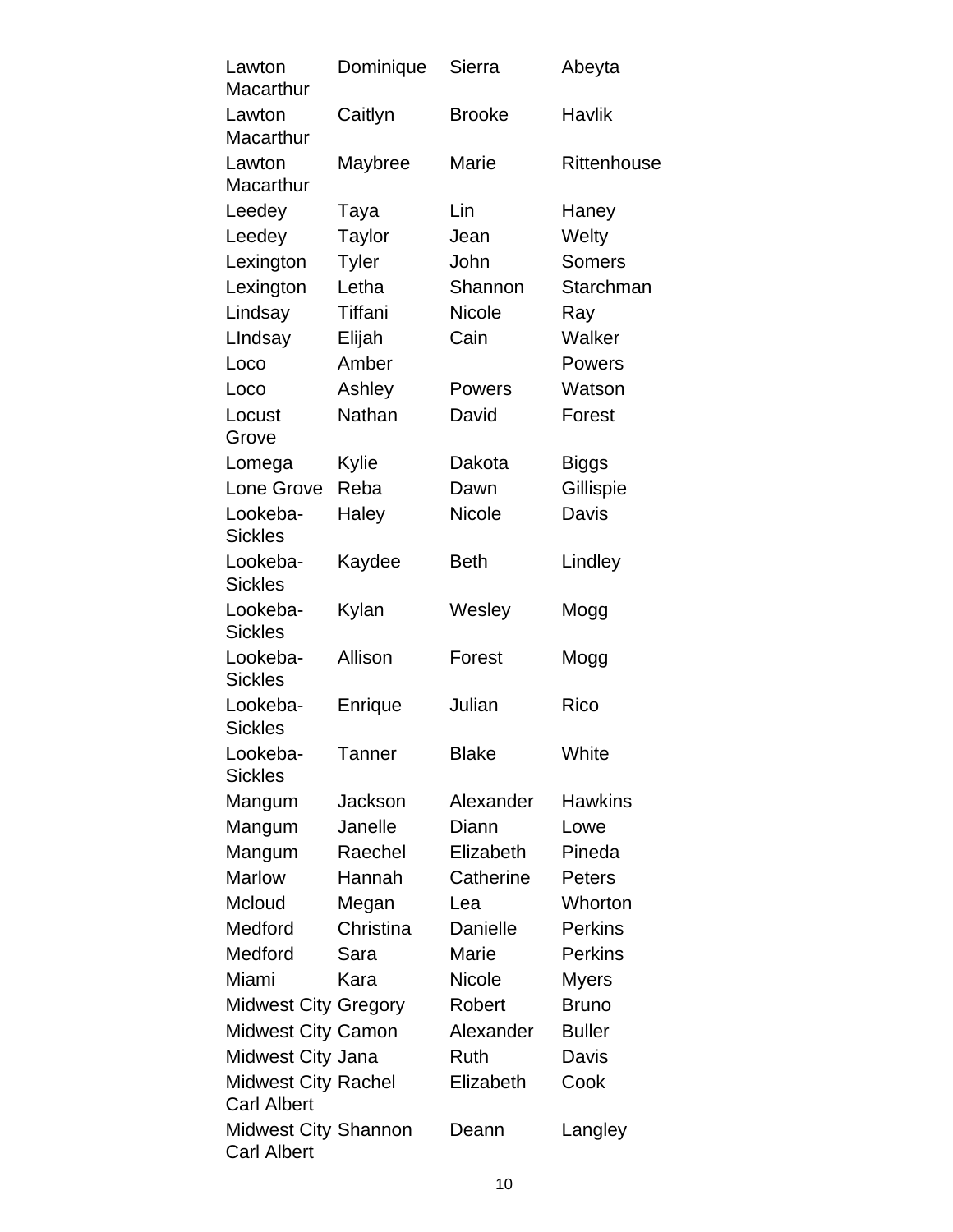| Lawton                                           | Dominique     | Sierra        | Abeyta         |
|--------------------------------------------------|---------------|---------------|----------------|
| Macarthur                                        |               |               |                |
| Lawton<br>Macarthur                              | Caitlyn       | <b>Brooke</b> | Havlik         |
| Lawton<br>Macarthur                              | Maybree       | <b>Marie</b>  | Rittenhouse    |
| Leedey                                           | Taya          | Lin           | Haney          |
| Leedey                                           | <b>Taylor</b> | Jean          | Welty          |
| Lexington                                        | <b>Tyler</b>  | John          | <b>Somers</b>  |
| Lexington                                        | Letha         | Shannon       | Starchman      |
| Lindsay                                          | Tiffani       | <b>Nicole</b> | Ray            |
| LIndsay                                          | Elijah        | Cain          | Walker         |
| Loco                                             | Amber         |               | Powers         |
| Loco                                             | Ashley        | Powers        | Watson         |
| Locust<br>Grove                                  | Nathan        | David         | Forest         |
| Lomega                                           | Kylie         | Dakota        | Biggs          |
| Lone Grove                                       | Reba          | Dawn          | Gillispie      |
| Lookeba-<br><b>Sickles</b>                       | Haley         | <b>Nicole</b> | Davis          |
| Lookeba-<br><b>Sickles</b>                       | Kaydee        | <b>Beth</b>   | Lindley        |
| Lookeba-<br><b>Sickles</b>                       | Kylan         | Wesley        | Mogg           |
| Lookeba-<br><b>Sickles</b>                       | Allison       | Forest        | Mogg           |
| Lookeba-<br><b>Sickles</b>                       | Enrique       | Julian        | Rico           |
| Lookeba-<br><b>Sickles</b>                       | <b>Tanner</b> | <b>Blake</b>  | White          |
| Mangum                                           | Jackson       | Alexander     | <b>Hawkins</b> |
| Mangum                                           | Janelle       | Diann         | Lowe           |
| Mangum                                           | Raechel       | Elizabeth     | Pineda         |
| <b>Marlow</b>                                    | Hannah        | Catherine     | <b>Peters</b>  |
| Mcloud                                           | Megan         | Lea           | Whorton        |
| Medford                                          | Christina     | Danielle      | <b>Perkins</b> |
| Medford                                          | Sara          | Marie         | <b>Perkins</b> |
| Miami                                            | Kara          | <b>Nicole</b> | Myers          |
| <b>Midwest City Gregory</b>                      |               | Robert        | <b>Bruno</b>   |
| <b>Midwest City Camon</b>                        |               | Alexander     | <b>Buller</b>  |
| Midwest City Jana                                |               | Ruth          | <b>Davis</b>   |
| <b>Midwest City Rachel</b><br><b>Carl Albert</b> |               | Elizabeth     | Cook           |
| Midwest City Shannon<br><b>Carl Albert</b>       |               | Deann         | Langley        |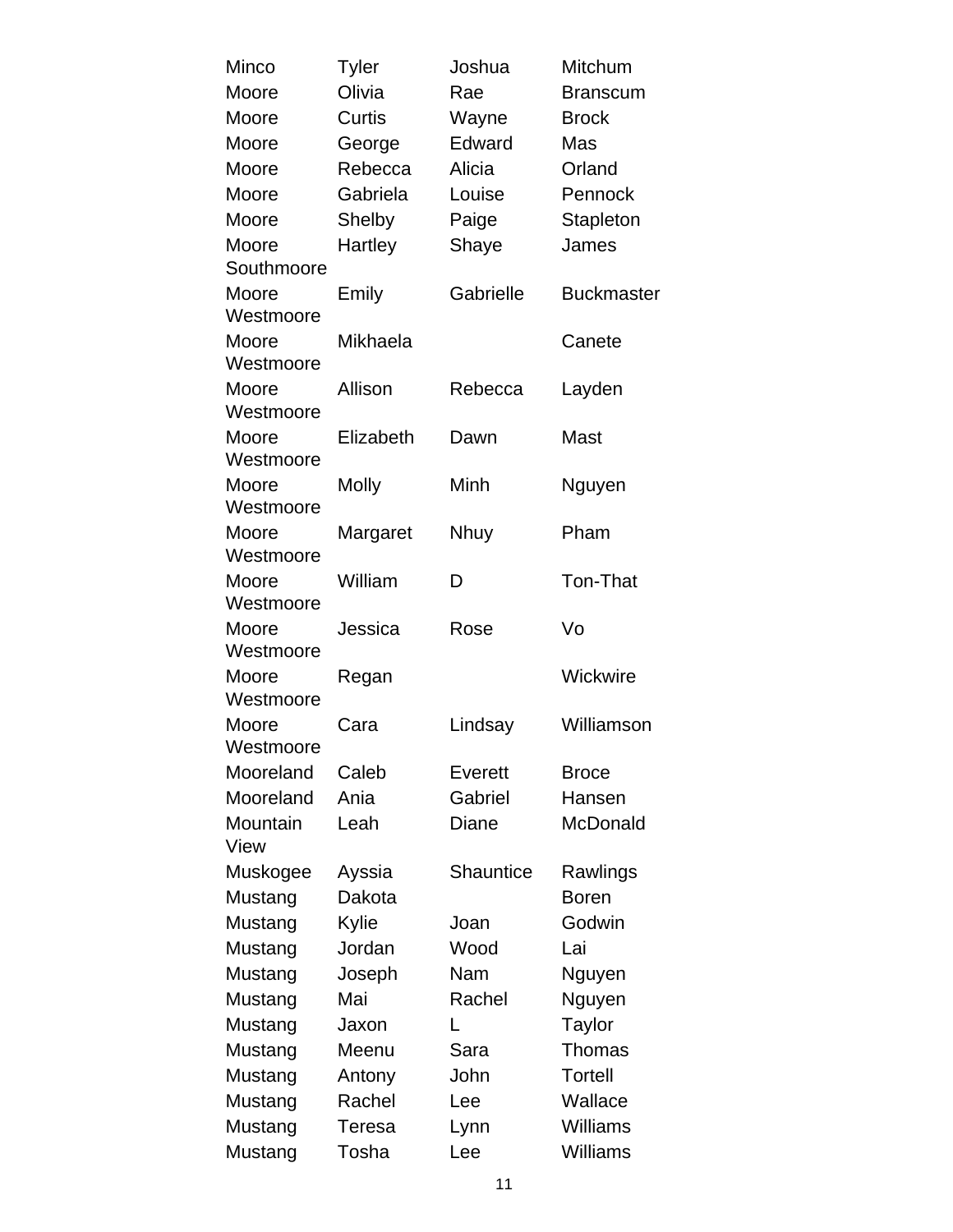| Minco              | <b>Tyler</b>  | Joshua           | Mitchum           |
|--------------------|---------------|------------------|-------------------|
| Moore              | Olivia        | Rae              | <b>Branscum</b>   |
| Moore              | Curtis        | Wayne            | <b>Brock</b>      |
| Moore              | George        | Edward           | Mas               |
| Moore              | Rebecca       | Alicia           | Orland            |
| Moore              | Gabriela      | Louise           | Pennock           |
| Moore              | Shelby        | Paige            | Stapleton         |
| Moore              | Hartley       | Shaye            | James             |
| Southmoore         |               |                  |                   |
| Moore              | Emily         | Gabrielle        | <b>Buckmaster</b> |
| Westmoore          |               |                  |                   |
| Moore              | Mikhaela      |                  | Canete            |
| Westmoore          |               |                  |                   |
| Moore              | Allison       | Rebecca          | Layden            |
| Westmoore          |               |                  |                   |
| Moore              | Elizabeth     | Dawn             | Mast              |
| Westmoore          |               | Minh             |                   |
| Moore<br>Westmoore | <b>Molly</b>  |                  | Nguyen            |
| Moore              | Margaret      | <b>Nhuy</b>      | Pham              |
| Westmoore          |               |                  |                   |
| Moore              | William       | D                | Ton-That          |
| Westmoore          |               |                  |                   |
| Moore              | Jessica       | Rose             | Vo                |
| Westmoore          |               |                  |                   |
| Moore              | Regan         |                  | Wickwire          |
| Westmoore          |               |                  |                   |
| Moore              | Cara          | Lindsay          | Williamson        |
| Westmoore          |               |                  |                   |
| Mooreland          | Caleb         | <b>Everett</b>   | <b>Broce</b>      |
| Mooreland          | Ania          | Gabriel          | Hansen            |
| Mountain<br>View   | Leah          | Diane            | McDonald          |
| Muskogee           | Ayssia        | <b>Shauntice</b> | Rawlings          |
| Mustang            | Dakota        |                  | <b>Boren</b>      |
| Mustang            | Kylie         | Joan             | Godwin            |
| Mustang            | Jordan        | Wood             | Lai               |
| Mustang            | Joseph        | Nam              | Nguyen            |
| Mustang            | Mai           | Rachel           | Nguyen            |
| Mustang            | Jaxon         | L                | Taylor            |
| Mustang            | Meenu         | Sara             | Thomas            |
| Mustang            | Antony        | John             | <b>Tortell</b>    |
| Mustang            | Rachel        | Lee              | Wallace           |
| Mustang            | <b>Teresa</b> | Lynn             | <b>Williams</b>   |
| Mustang            | Tosha         | Lee              | Williams          |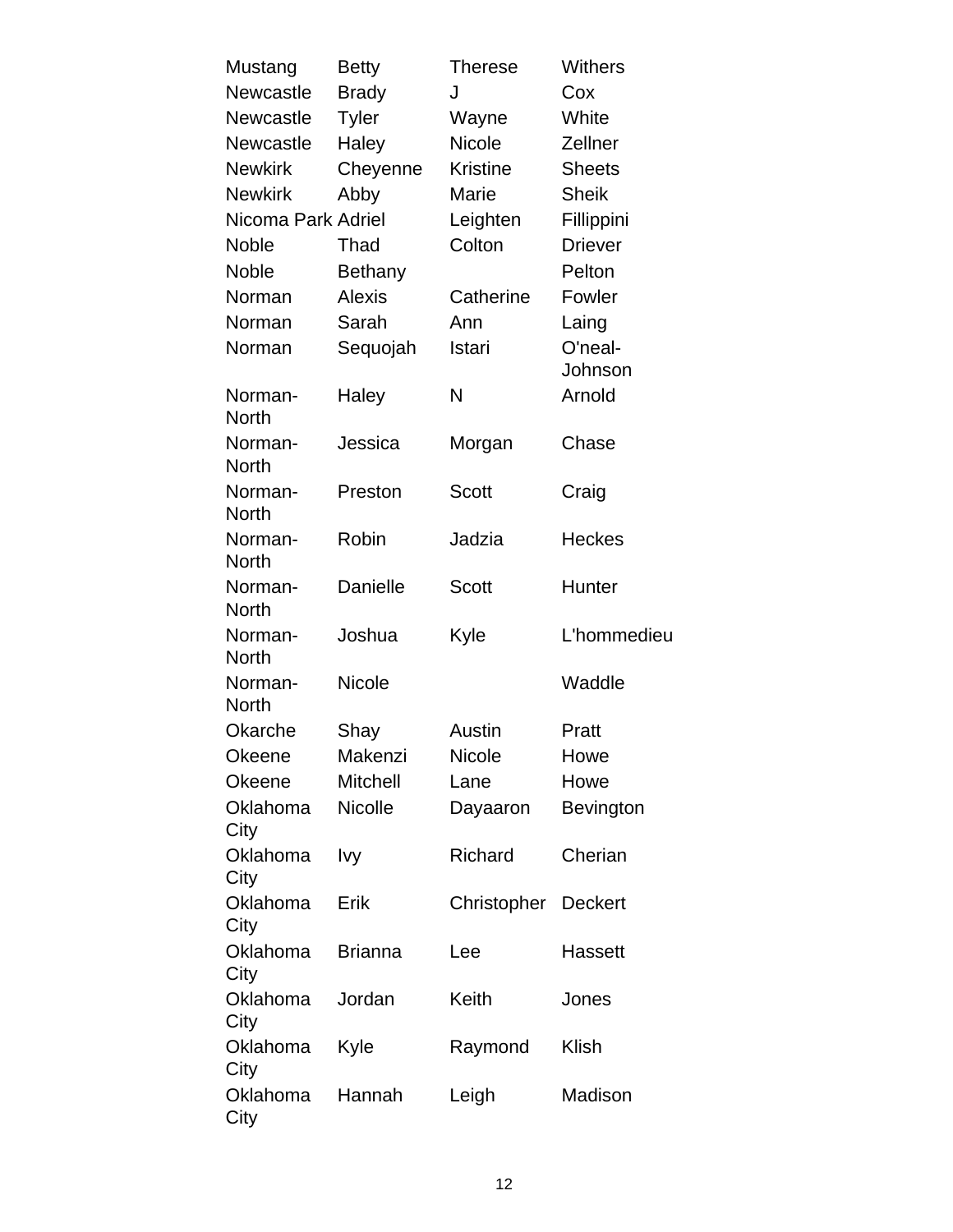| Mustang                 | <b>Betty</b>    | <b>Therese</b>      | <b>Withers</b> |
|-------------------------|-----------------|---------------------|----------------|
| <b>Newcastle</b>        | <b>Brady</b>    | J                   | Cox            |
| Newcastle               | <b>Tyler</b>    | Wayne               | White          |
| <b>Newcastle</b>        | Haley           | <b>Nicole</b>       | Zellner        |
| <b>Newkirk</b>          | Cheyenne        | <b>Kristine</b>     | <b>Sheets</b>  |
| <b>Newkirk</b>          | Abby            | Marie               | <b>Sheik</b>   |
| Nicoma Park Adriel      |                 | Leighten            | Fillippini     |
| <b>Noble</b>            | Thad            | Colton              | <b>Driever</b> |
| <b>Noble</b>            | <b>Bethany</b>  |                     | Pelton         |
| Norman                  | <b>Alexis</b>   | Catherine           | Fowler         |
| Norman                  | Sarah           | Ann                 | Laing          |
| Norman                  | Sequojah        | Istari              | O'neal-        |
|                         |                 |                     | Johnson        |
| Norman-<br><b>North</b> | Haley           | N                   | Arnold         |
| Norman-<br><b>North</b> | Jessica         | Morgan              | Chase          |
| Norman-<br><b>North</b> | Preston         | <b>Scott</b>        | Craig          |
| Norman-<br><b>North</b> | Robin           | Jadzia              | <b>Heckes</b>  |
| Norman-<br><b>North</b> | Danielle        | <b>Scott</b>        | Hunter         |
| Norman-<br><b>North</b> | Joshua          | Kyle                | L'hommedieu    |
| Norman-<br><b>North</b> | Nicole          |                     | Waddle         |
| Okarche                 | Shay            | Austin              | Pratt          |
| Okeene                  | Makenzi         | Nicole              | Howe           |
| <b>Okeene</b>           | <b>Mitchell</b> | Lane                | Howe           |
| Oklahoma<br>City        | Nicolle         | Dayaaron            | Bevington      |
| Oklahoma<br>City        | lvy             | Richard             | Cherian        |
| Oklahoma<br>City        | Erik            | Christopher Deckert |                |
| Oklahoma<br>City        | <b>Brianna</b>  | Lee                 | <b>Hassett</b> |
| Oklahoma<br>City        | Jordan          | Keith               | Jones          |
| Oklahoma<br>City        | Kyle            | Raymond             | Klish          |
| Oklahoma<br>City        | Hannah          | Leigh               | Madison        |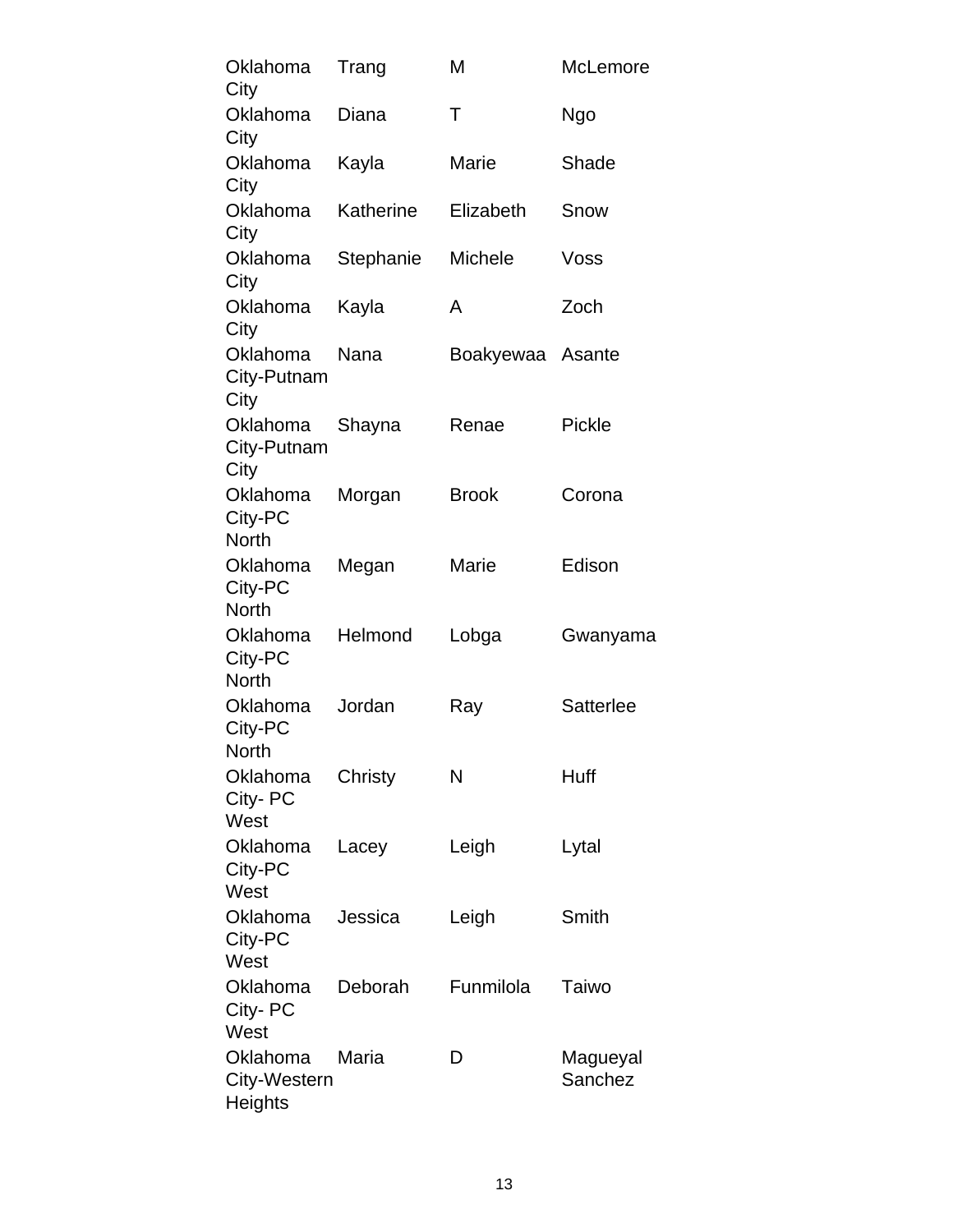| Oklahoma<br>City                           | Trang     | Μ              | McLemore            |
|--------------------------------------------|-----------|----------------|---------------------|
| Oklahoma<br>City                           | Diana     | Τ              | Ngo                 |
| Oklahoma<br>City                           | Kayla     | Marie          | Shade               |
| Oklahoma<br>City                           | Katherine | Elizabeth      | Snow                |
| Oklahoma<br>City                           | Stephanie | <b>Michele</b> | Voss                |
| Oklahoma<br>City                           | Kayla     | A              | Zoch                |
| Oklahoma<br>City-Putnam<br>City            | Nana      | Boakyewaa      | Asante              |
| Oklahoma<br>City-Putnam<br>City            | Shayna    | Renae          | Pickle              |
| Oklahoma<br>City-PC<br><b>North</b>        | Morgan    | <b>Brook</b>   | Corona              |
| Oklahoma<br>City-PC<br><b>North</b>        | Megan     | Marie          | Edison              |
| Oklahoma<br>City-PC<br><b>North</b>        | Helmond   | Lobga          | Gwanyama            |
| Oklahoma<br>City-PC<br><b>North</b>        | Jordan    | Ray            | Satterlee           |
| Oklahoma<br>City-PC<br>West                | Christy   | N              | Huff                |
| Oklahoma<br>City-PC<br>West                | Lacey     | Leigh          | Lytal               |
| Oklahoma<br>City-PC<br>West                | Jessica   | Leigh          | Smith               |
| Oklahoma<br>City- PC<br>West               | Deborah   | Funmilola      | Taiwo               |
| Oklahoma<br>City-Western<br><b>Heights</b> | Maria     | D              | Magueyal<br>Sanchez |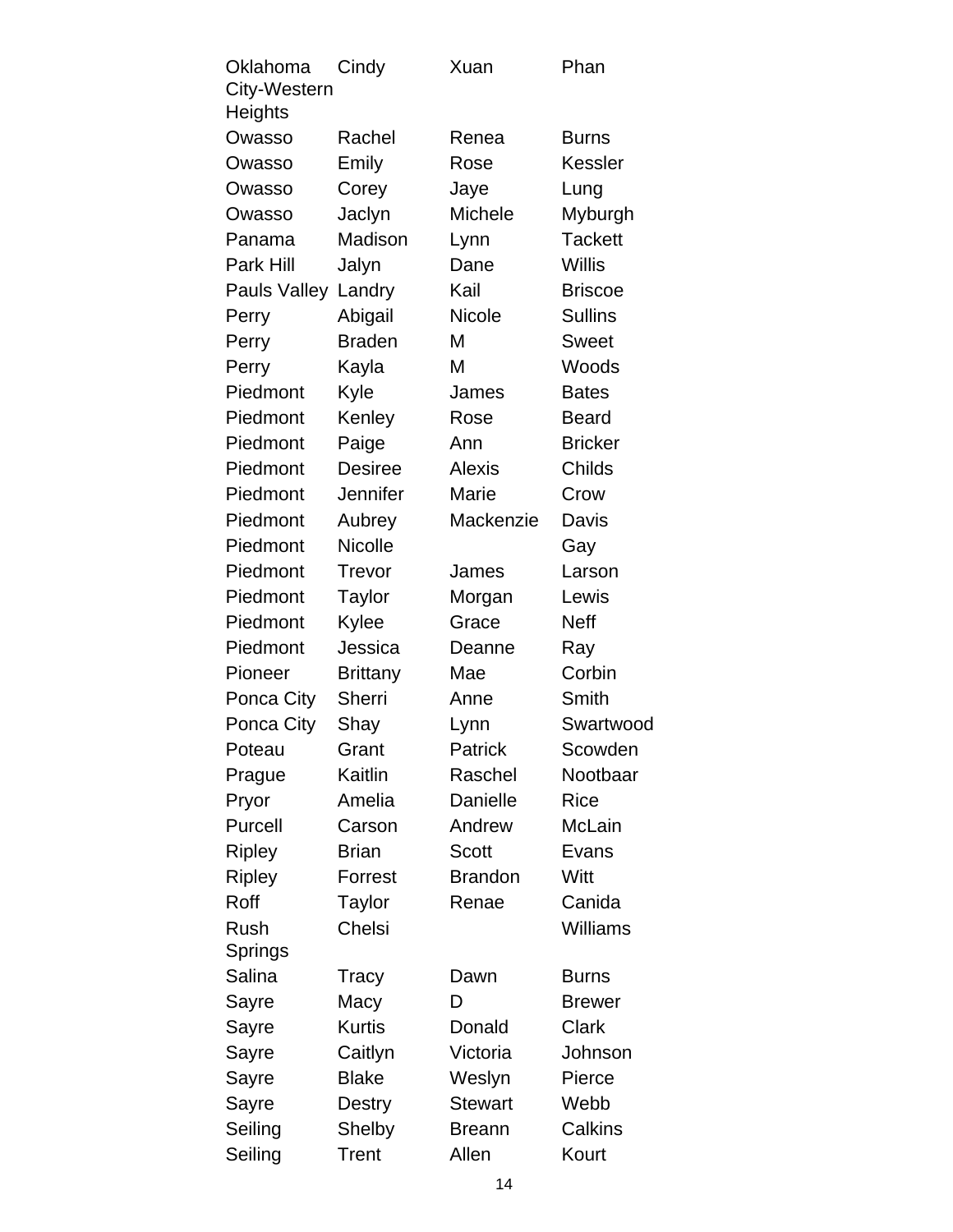| Oklahoma<br>City-Western | Cindy           | Xuan           | Phan            |
|--------------------------|-----------------|----------------|-----------------|
| Heights                  |                 |                |                 |
| Owasso                   | Rachel          | Renea          | <b>Burns</b>    |
| Owasso                   | Emily           | Rose           | Kessler         |
| Owasso                   | Corey           | Jaye           | Lung            |
| Owasso                   | Jaclyn          | <b>Michele</b> | Myburgh         |
| Panama                   | Madison         | Lynn           | <b>Tackett</b>  |
| Park Hill                | Jalyn           | Dane           | Willis          |
| Pauls Valley             | Landry          | Kail           | <b>Briscoe</b>  |
| Perry                    | Abigail         | Nicole         | <b>Sullins</b>  |
| Perry                    | <b>Braden</b>   | М              | <b>Sweet</b>    |
| Perry                    | Kayla           | M              | Woods           |
| Piedmont                 | Kyle            | James          | <b>Bates</b>    |
| Piedmont                 | Kenley          | Rose           | <b>Beard</b>    |
| Piedmont                 | Paige           | Ann            | <b>Bricker</b>  |
| Piedmont                 | <b>Desiree</b>  | Alexis         | Childs          |
| Piedmont                 | Jennifer        | Marie          | Crow            |
| Piedmont                 | Aubrey          | Mackenzie      | Davis           |
| Piedmont                 | <b>Nicolle</b>  |                | Gay             |
| Piedmont                 | Trevor          | James          | Larson          |
| Piedmont                 | <b>Taylor</b>   | Morgan         | Lewis           |
| Piedmont                 | Kylee           | Grace          | <b>Neff</b>     |
| Piedmont                 | Jessica         | Deanne         | Ray             |
| Pioneer                  | <b>Brittany</b> | Mae            | Corbin          |
| Ponca City               | Sherri          | Anne           | Smith           |
| Ponca City               | Shay            | Lynn           | Swartwood       |
| Poteau                   | Grant           | Patrick        | Scowden         |
| Prague                   | Kaitlin         | Raschel        | Nootbaar        |
| Pryor                    | Amelia          | Danielle       | Rice            |
| Purcell                  | Carson          | Andrew         | <b>McLain</b>   |
| <b>Ripley</b>            | <b>Brian</b>    | <b>Scott</b>   | Evans           |
| <b>Ripley</b>            | Forrest         | <b>Brandon</b> | Witt            |
| Roff                     | Taylor          | Renae          | Canida          |
| Rush                     | Chelsi          |                | <b>Williams</b> |
| Springs                  |                 |                |                 |
| Salina                   | Tracy           | Dawn           | <b>Burns</b>    |
| Sayre                    | Macy            | D              | <b>Brewer</b>   |
| Sayre                    | <b>Kurtis</b>   | Donald         | <b>Clark</b>    |
| Sayre                    | Caitlyn         | Victoria       | Johnson         |
| Sayre                    | <b>Blake</b>    | Weslyn         | Pierce          |
| Sayre                    | Destry          | <b>Stewart</b> | Webb            |
| Seiling                  | Shelby          | <b>Breann</b>  | Calkins         |
| Seiling                  | <b>Trent</b>    | Allen          | Kourt           |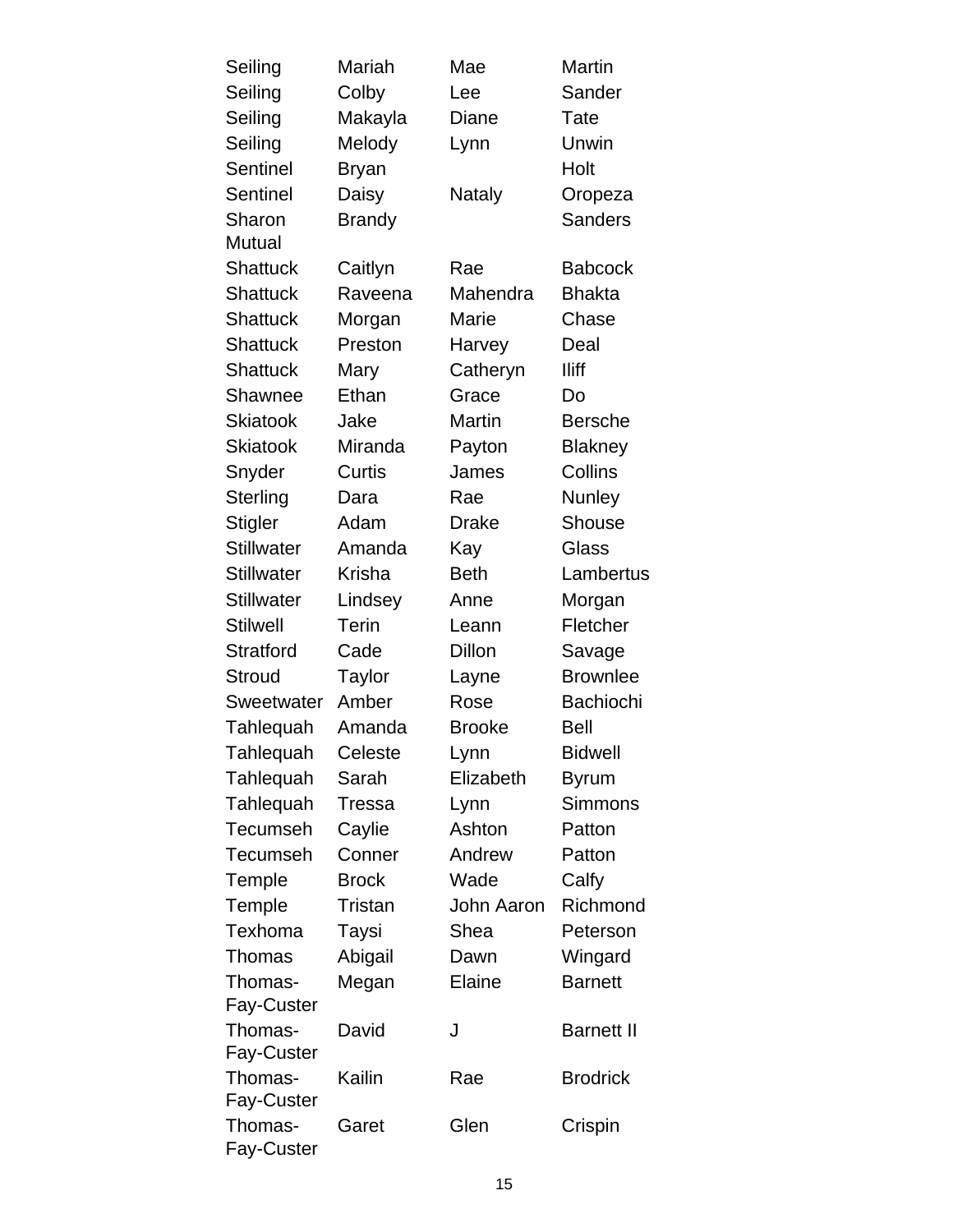| Seiling               | Mariah        | Mae               | Martin            |
|-----------------------|---------------|-------------------|-------------------|
| Seiling               | Colby         | Lee               | Sander            |
| Seiling               | Makayla       | Diane             | Tate              |
| Seiling               | Melody        | Lynn              | Unwin             |
| <b>Sentinel</b>       | <b>Bryan</b>  |                   | Holt              |
| <b>Sentinel</b>       | Daisy         | Nataly            | Oropeza           |
| Sharon                | <b>Brandy</b> |                   | <b>Sanders</b>    |
| Mutual                |               |                   |                   |
| <b>Shattuck</b>       | Caitlyn       | Rae               | <b>Babcock</b>    |
| <b>Shattuck</b>       | Raveena       | Mahendra          | <b>Bhakta</b>     |
| <b>Shattuck</b>       | Morgan        | Marie             | Chase             |
| <b>Shattuck</b>       | Preston       | Harvey            | Deal              |
| <b>Shattuck</b>       | Mary          | Catheryn          | <b>Iliff</b>      |
| Shawnee               | Ethan         | Grace             | Do                |
| Skiatook              | Jake          | Martin            | <b>Bersche</b>    |
| <b>Skiatook</b>       | Miranda       | Payton            | <b>Blakney</b>    |
| Snyder                | Curtis        | James             | Collins           |
| Sterling              | Dara          | Rae               | Nunley            |
| <b>Stigler</b>        | Adam          | <b>Drake</b>      | Shouse            |
| <b>Stillwater</b>     | Amanda        | Kay               | Glass             |
| <b>Stillwater</b>     | Krisha        | <b>Beth</b>       | Lambertus         |
| <b>Stillwater</b>     | Lindsey       | Anne              | Morgan            |
| <b>Stilwell</b>       | <b>Terin</b>  | Leann             | Fletcher          |
| <b>Stratford</b>      | Cade          | Dillon            | Savage            |
| <b>Stroud</b>         | Taylor        | Layne             | <b>Brownlee</b>   |
| Sweetwater            | Amber         | Rose              | Bachiochi         |
| Tahlequah             | Amanda        | <b>Brooke</b>     | Bell              |
| Tahlequah             | Celeste       | Lynn              | Bidwell           |
| Tahlequah             | Sarah         | Elizabeth         | <b>Byrum</b>      |
| Tahlequah             | <b>Tressa</b> | Lynn              | Simmons           |
| <b>Tecumseh</b>       | Caylie        | Ashton            | Patton            |
| <b>Tecumseh</b>       | Conner        | Andrew            | Patton            |
| Temple                | <b>Brock</b>  | Wade              | Calfy             |
| Temple                | Tristan       | <b>John Aaron</b> | Richmond          |
| Texhoma               | Taysi         | Shea              | Peterson          |
| Thomas                | Abigail       | Dawn              | Wingard           |
| Thomas-               | Megan         | Elaine            | <b>Barnett</b>    |
| <b>Fay-Custer</b>     |               |                   |                   |
| Thomas-               | David         | J                 | <b>Barnett II</b> |
| Fay-Custer            |               |                   |                   |
| Thomas-               | Kailin        | Rae               | <b>Brodrick</b>   |
| <b>Fay-Custer</b>     |               |                   |                   |
| Thomas-<br>Fay-Custer | Garet         | Glen              | Crispin           |
|                       |               |                   |                   |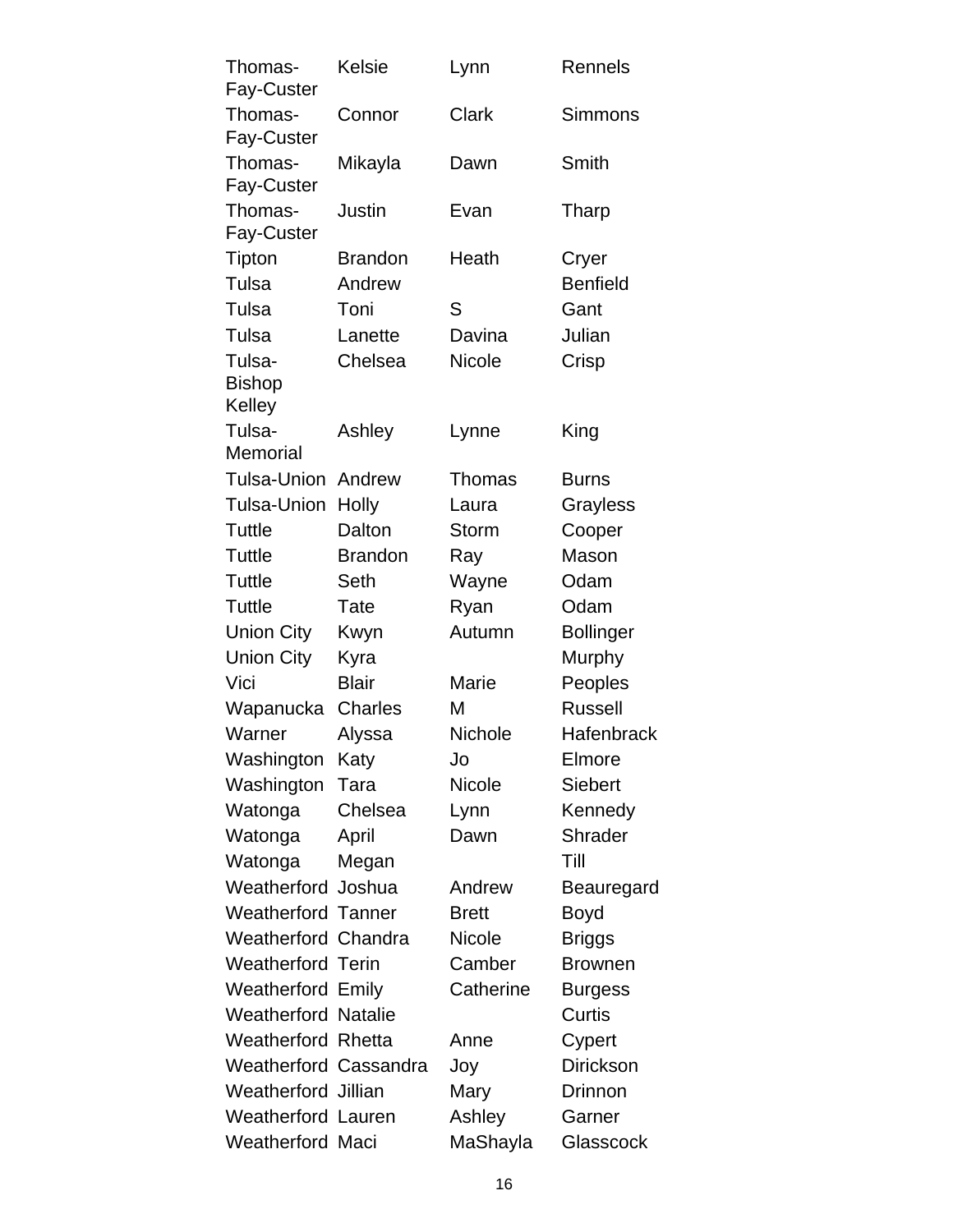| Thomas-<br>Fay-Custer             | Kelsie         | Lynn          | Rennels          |
|-----------------------------------|----------------|---------------|------------------|
| Thomas-                           | Connor         | <b>Clark</b>  | <b>Simmons</b>   |
| Fay-Custer<br>Thomas-             | Mikayla        | Dawn          | Smith            |
| Fay-Custer<br>Thomas-             | <b>Justin</b>  |               |                  |
| Fay-Custer                        |                | Evan          | Tharp            |
| Tipton                            | <b>Brandon</b> | Heath         | Cryer            |
| Tulsa                             | Andrew         |               | <b>Benfield</b>  |
| Tulsa                             | Toni           | S             | Gant             |
| Tulsa                             | Lanette        | Davina        | Julian           |
| Tulsa-<br><b>Bishop</b><br>Kelley | Chelsea        | <b>Nicole</b> | Crisp            |
| Tulsa-<br>Memorial                | Ashley         | Lynne         | King             |
| Tulsa-Union                       | Andrew         | <b>Thomas</b> | <b>Burns</b>     |
| Tulsa-Union                       | Holly          | Laura         | Grayless         |
| Tuttle                            | Dalton         | <b>Storm</b>  | Cooper           |
| Tuttle                            | <b>Brandon</b> | Ray           | Mason            |
| Tuttle                            | Seth           | Wayne         | Odam             |
| Tuttle                            | Tate           | Ryan          | Odam             |
| <b>Union City</b>                 | Kwyn           | Autumn        | <b>Bollinger</b> |
| <b>Union City</b>                 | Kyra           |               | Murphy           |
| Vici                              | <b>Blair</b>   | Marie         | Peoples          |
| Wapanucka                         | Charles        | М             | <b>Russell</b>   |
| Warner                            | Alyssa         | Nichole       | Hafenbrack       |
| Washington Katy                   |                | Jo            | Elmore           |
| Washington                        | Tara           | <b>Nicole</b> | <b>Siebert</b>   |
| Watonga                           | Chelsea        | Lynn          | Kennedy          |
| Watonga                           | April          | Dawn          | <b>Shrader</b>   |
| Watonga                           | Megan          |               | Till             |
| Weatherford Joshua                |                | Andrew        | Beauregard       |
| <b>Weatherford Tanner</b>         |                | <b>Brett</b>  | Boyd             |
| Weatherford Chandra               |                | <b>Nicole</b> | <b>Briggs</b>    |
| Weatherford Terin                 |                | Camber        | <b>Brownen</b>   |
| <b>Weatherford Emily</b>          |                | Catherine     | <b>Burgess</b>   |
| <b>Weatherford Natalie</b>        |                |               | Curtis           |
| Weatherford Rhetta                |                | Anne          | Cypert           |
| Weatherford Cassandra             |                | Joy           | <b>Dirickson</b> |
| Weatherford Jillian               |                | Mary          | Drinnon          |
| Weatherford Lauren                |                | Ashley        | Garner           |
| Weatherford Maci                  |                | MaShayla      | Glasscock        |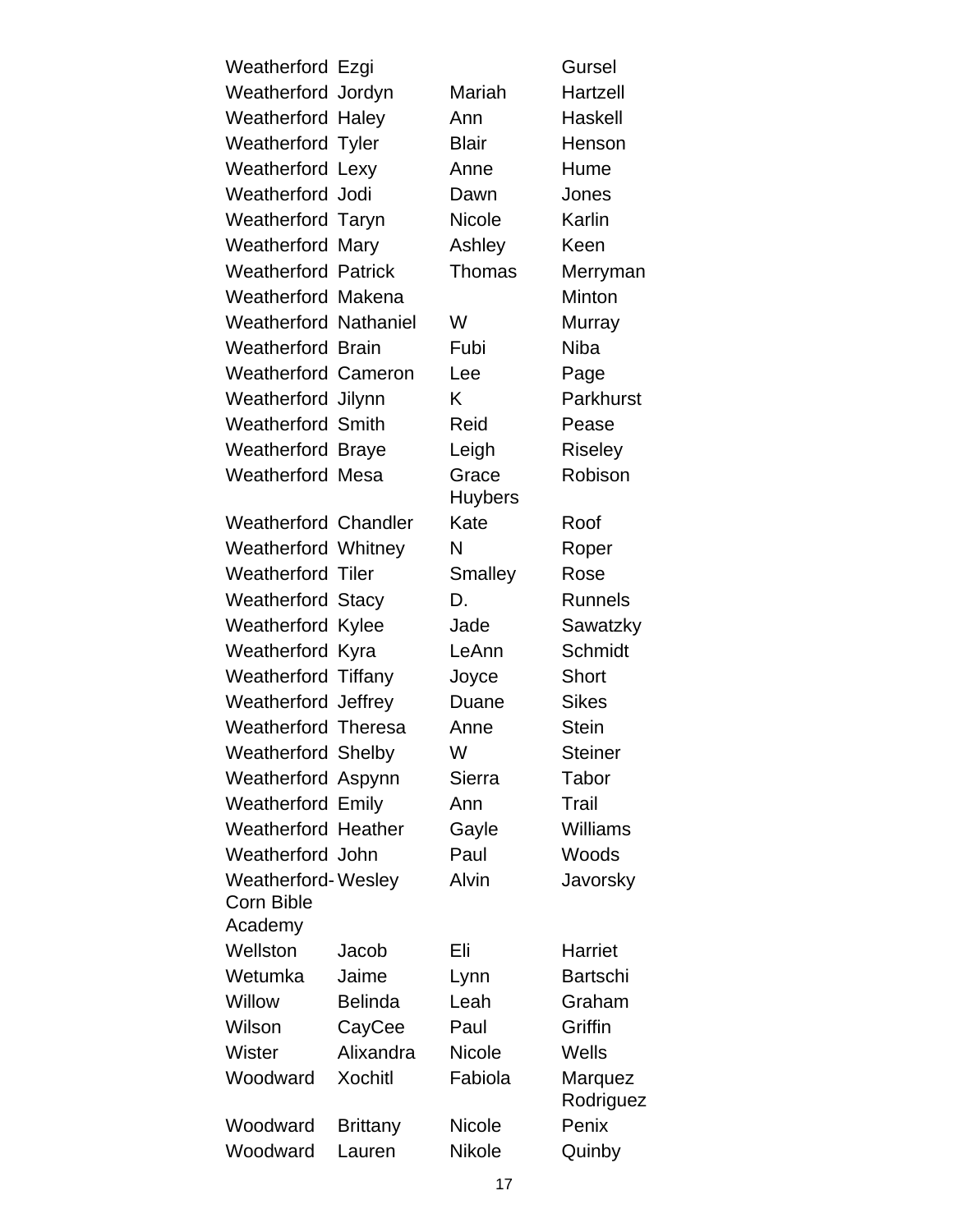| Weatherford Ezgi                        |                 |                         | Gursel               |
|-----------------------------------------|-----------------|-------------------------|----------------------|
| Weatherford Jordyn                      |                 | Mariah                  | Hartzell             |
| <b>Weatherford Haley</b>                |                 | Ann                     | Haskell              |
| <b>Weatherford Tyler</b>                |                 | <b>Blair</b>            | Henson               |
| <b>Weatherford Lexy</b>                 |                 | Anne                    | Hume                 |
| Weatherford Jodi                        |                 | Dawn                    | Jones                |
| <b>Weatherford Taryn</b>                |                 | <b>Nicole</b>           | Karlin               |
| Weatherford                             | Mary            | Ashley                  | Keen                 |
| <b>Weatherford Patrick</b>              |                 | Thomas                  | Merryman             |
| <b>Weatherford Makena</b>               |                 |                         | Minton               |
| <b>Weatherford Nathaniel</b>            |                 | W                       | Murray               |
| <b>Weatherford Brain</b>                |                 | Fubi                    | <b>Niba</b>          |
| <b>Weatherford Cameron</b>              |                 | Lee                     | Page                 |
| Weatherford Jilynn                      |                 | K.                      | Parkhurst            |
| <b>Weatherford Smith</b>                |                 | Reid                    | Pease                |
| <b>Weatherford Braye</b>                |                 | Leigh                   | <b>Riseley</b>       |
| <b>Weatherford Mesa</b>                 |                 | Grace<br><b>Huybers</b> | Robison              |
| <b>Weatherford Chandler</b>             |                 | Kate                    | Roof                 |
| <b>Weatherford Whitney</b>              |                 | N                       | Roper                |
| <b>Weatherford Tiler</b>                |                 | Smalley                 | Rose                 |
| <b>Weatherford Stacy</b>                |                 | D.                      | <b>Runnels</b>       |
| <b>Weatherford Kylee</b>                |                 | Jade                    | Sawatzky             |
| Weatherford Kyra                        |                 | LeAnn                   | Schmidt              |
| <b>Weatherford Tiffany</b>              |                 | Joyce                   | <b>Short</b>         |
| Weatherford Jeffrey                     |                 | Duane                   | <b>Sikes</b>         |
| <b>Weatherford Theresa</b>              |                 | Anne                    | <b>Stein</b>         |
| <b>Weatherford Shelby</b>               |                 | W                       | <b>Steiner</b>       |
| Weatherford Aspynn                      |                 | Sierra                  | Tabor                |
| <b>Weatherford Emily</b>                |                 | Ann                     | Trail                |
| <b>Weatherford Heather</b>              |                 | Gayle                   | <b>Williams</b>      |
| Weatherford John                        |                 | Paul                    | Woods                |
| <b>Weatherford-Wesley</b><br>Corn Bible |                 | Alvin                   | Javorsky             |
| Academy                                 |                 |                         |                      |
| Wellston                                | Jacob           | Eli                     | Harriet              |
| Wetumka                                 | Jaime           | Lynn                    | <b>Bartschi</b>      |
| Willow                                  | <b>Belinda</b>  | Leah                    | Graham               |
| Wilson                                  | CayCee          | Paul                    | Griffin              |
| Wister                                  | Alixandra       | <b>Nicole</b>           | Wells                |
| Woodward                                | <b>Xochitl</b>  | Fabiola                 | Marquez<br>Rodriguez |
| Woodward                                | <b>Brittany</b> | <b>Nicole</b>           | Penix                |
| Woodward                                | Lauren          | Nikole                  | Quinby               |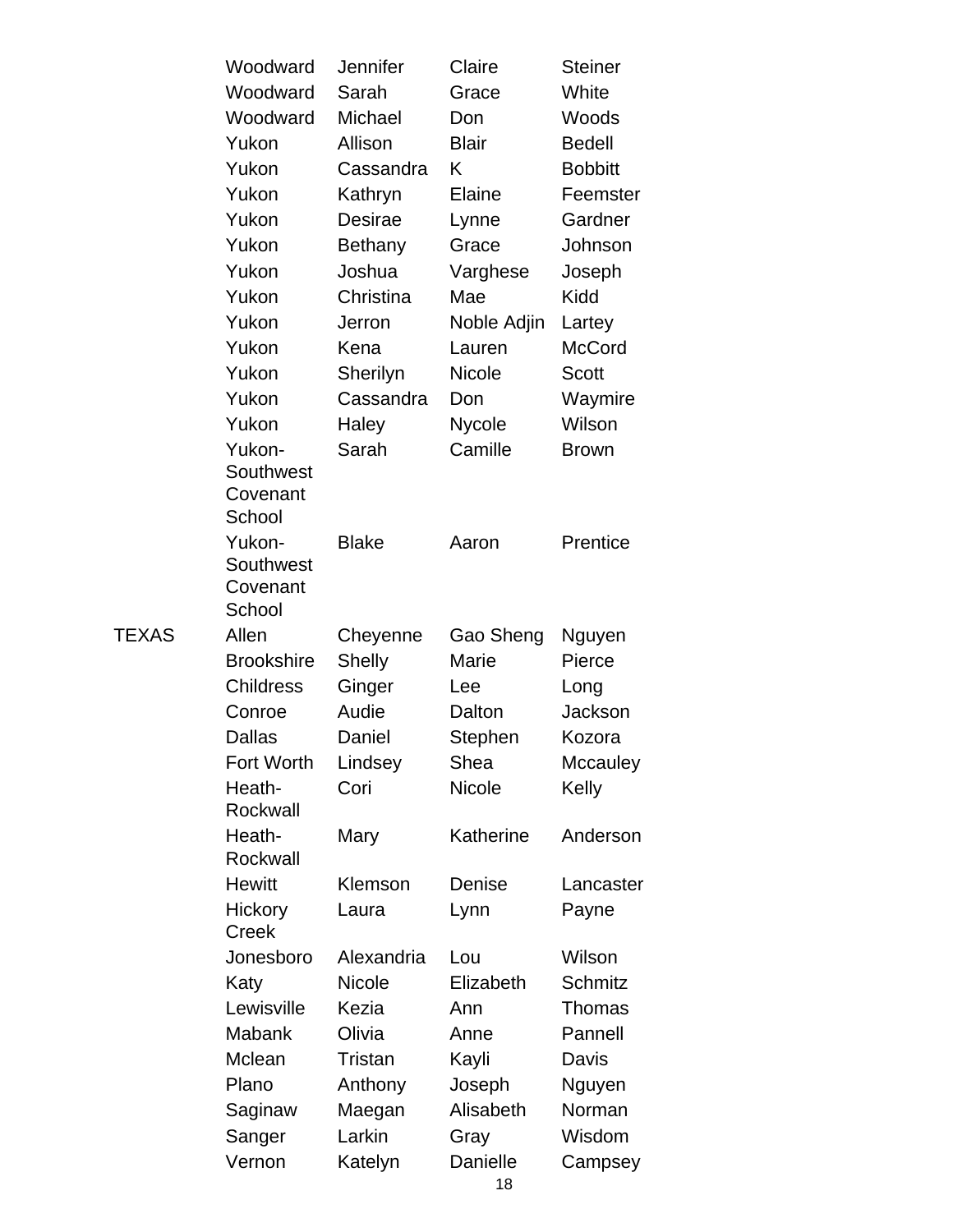| Woodward            | Jennifer          | Claire                  | <b>Steiner</b>    |
|---------------------|-------------------|-------------------------|-------------------|
| Woodward            | Sarah             | Grace                   | White             |
| Woodward            | Michael           | Don                     | Woods             |
| Yukon               | Allison           | <b>Blair</b>            | <b>Bedell</b>     |
| Yukon               | Cassandra         | Κ                       | <b>Bobbitt</b>    |
| Yukon               | Kathryn           | Elaine                  | Feemster          |
| Yukon               | Desirae           | Lynne                   | Gardner           |
| Yukon               | Bethany           | Grace                   | Johnson           |
| Yukon               | Joshua            | Varghese                | Joseph            |
| Yukon               | Christina         | Mae                     | Kidd              |
| Yukon               | Jerron            | Noble Adjin             | Lartey            |
| Yukon               | Kena              | Lauren                  | <b>McCord</b>     |
| Yukon               | Sherilyn          | <b>Nicole</b>           | <b>Scott</b>      |
| Yukon               | Cassandra         | Don                     | Waymire           |
| Yukon               | Haley             | Nycole                  | Wilson            |
| Yukon-              | Sarah             | Camille                 | <b>Brown</b>      |
| Southwest           |                   |                         |                   |
| Covenant            |                   |                         |                   |
| School              |                   |                         |                   |
| Yukon-<br>Southwest | <b>Blake</b>      | Aaron                   | Prentice          |
| Covenant            |                   |                         |                   |
| School              |                   |                         |                   |
|                     |                   |                         |                   |
| Allen               | Cheyenne          | Gao Sheng               | Nguyen            |
| <b>Brookshire</b>   | Shelly            | Marie                   | Pierce            |
| <b>Childress</b>    | Ginger            | Lee                     | Long              |
| Conroe              | Audie             | Dalton                  | Jackson           |
| Dallas              | Daniel            | Stephen                 | Kozora            |
| <b>Fort Worth</b>   | Lindsey           | Shea                    | Mccauley          |
| Heath-              | Cori              | <b>Nicole</b>           | Kelly             |
| Rockwall            |                   |                         |                   |
| Heath-              | Mary              | Katherine               | Anderson          |
| Rockwall            |                   |                         |                   |
| <b>Hewitt</b>       | Klemson           | Denise                  | Lancaster         |
| Hickory             | Laura             | Lynn                    | Payne             |
| <b>Creek</b>        |                   |                         |                   |
| Jonesboro           | Alexandria        | Lou                     | Wilson            |
| Katy                | <b>Nicole</b>     | Elizabeth               | <b>Schmitz</b>    |
| Lewisville          | Kezia             | Ann                     | Thomas            |
| <b>Mabank</b>       | Olivia            | Anne                    | Pannell           |
| Mclean              | Tristan           | Kayli                   | Davis             |
| Plano               | Anthony           | Joseph                  | Nguyen            |
| Saginaw             | Maegan            | Alisabeth               | Norman            |
| Sanger<br>Vernon    | Larkin<br>Katelyn | Gray<br><b>Danielle</b> | Wisdom<br>Campsey |

**TEXAS**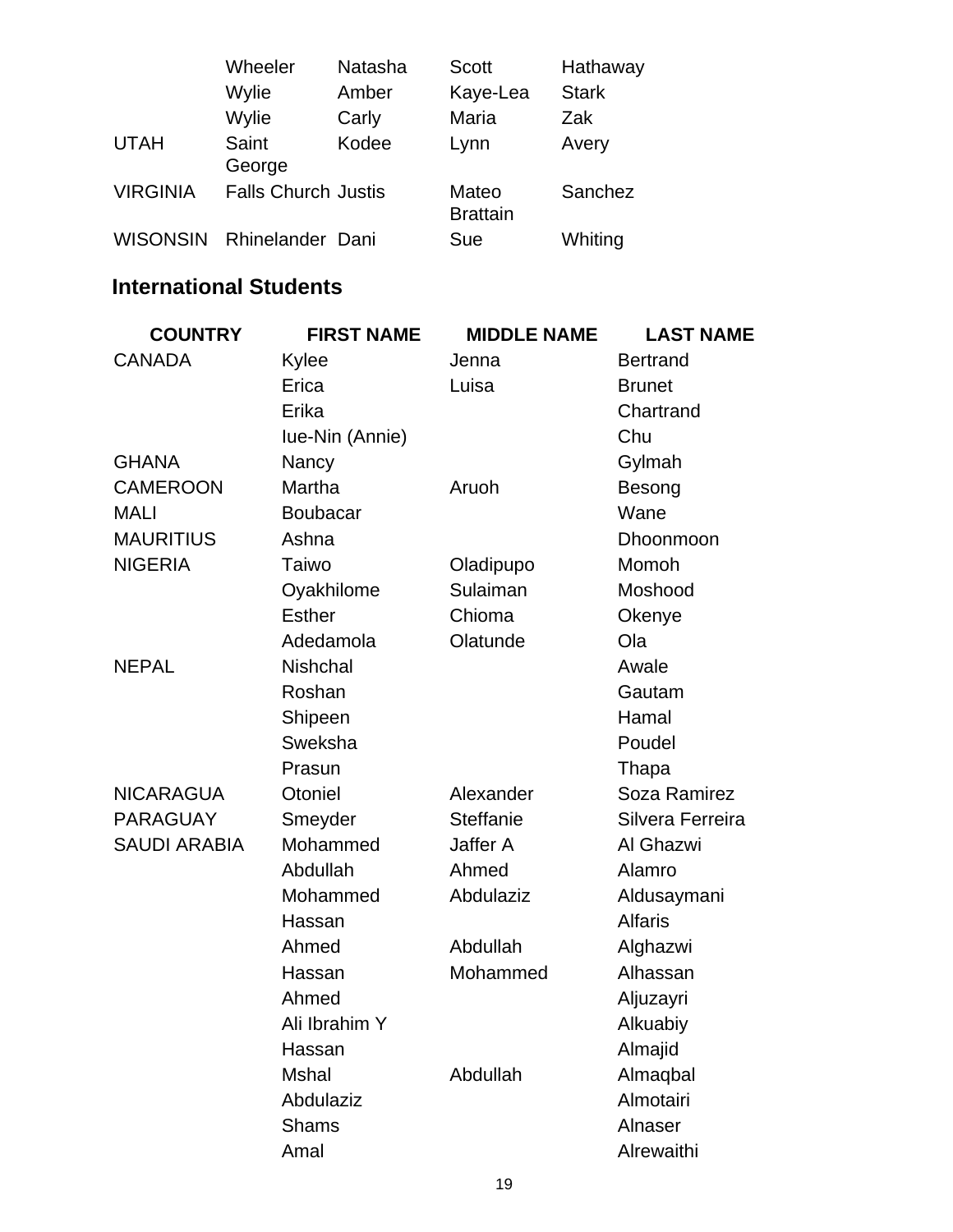|                 | Wheeler                    | Natasha | <b>Scott</b>    | Hathaway     |
|-----------------|----------------------------|---------|-----------------|--------------|
|                 | Wylie                      | Amber   | Kaye-Lea        | <b>Stark</b> |
|                 | Wylie                      | Carly   | Maria           | Zak          |
| <b>UTAH</b>     | Saint                      | Kodee   | Lynn            | Avery        |
|                 | George                     |         |                 |              |
| <b>VIRGINIA</b> | <b>Falls Church Justis</b> |         | Mateo           | Sanchez      |
|                 |                            |         | <b>Brattain</b> |              |
| <b>WISONSIN</b> | Rhinelander Dani           |         | Sue             | Whiting      |

#### **International Students**

| <b>COUNTRY</b>      | <b>FIRST NAME</b> | <b>MIDDLE NAME</b> | <b>LAST NAME</b> |
|---------------------|-------------------|--------------------|------------------|
| <b>CANADA</b>       | Kylee             | Jenna              | <b>Bertrand</b>  |
|                     | Erica             | Luisa              | <b>Brunet</b>    |
|                     | Erika             |                    | Chartrand        |
|                     | Iue-Nin (Annie)   |                    | Chu              |
| <b>GHANA</b>        | Nancy             |                    | Gylmah           |
| <b>CAMEROON</b>     | Martha            | Aruoh              | Besong           |
| <b>MALI</b>         | <b>Boubacar</b>   |                    | Wane             |
| <b>MAURITIUS</b>    | Ashna             |                    | Dhoonmoon        |
| <b>NIGERIA</b>      | Taiwo             | Oladipupo          | Momoh            |
|                     | Oyakhilome        | Sulaiman           | Moshood          |
|                     | <b>Esther</b>     | Chioma             | Okenye           |
|                     | Adedamola         | Olatunde           | Ola              |
| <b>NEPAL</b>        | <b>Nishchal</b>   |                    | Awale            |
|                     | Roshan            |                    | Gautam           |
|                     | Shipeen           |                    | Hamal            |
|                     | Sweksha           |                    | Poudel           |
|                     | Prasun            |                    | Thapa            |
| <b>NICARAGUA</b>    | Otoniel           | Alexander          | Soza Ramirez     |
| <b>PARAGUAY</b>     | Smeyder           | <b>Steffanie</b>   | Silvera Ferreira |
| <b>SAUDI ARABIA</b> | Mohammed          | Jaffer A           | Al Ghazwi        |
|                     | Abdullah          | Ahmed              | Alamro           |
|                     | Mohammed          | Abdulaziz          | Aldusaymani      |
|                     | Hassan            |                    | <b>Alfaris</b>   |
|                     | Ahmed             | Abdullah           | Alghazwi         |
|                     | Hassan            | Mohammed           | Alhassan         |
|                     | Ahmed             |                    | Aljuzayri        |
|                     | Ali Ibrahim Y     |                    | Alkuabiy         |
|                     | Hassan            |                    | Almajid          |
|                     | <b>Mshal</b>      | Abdullah           | Almaqbal         |
|                     | Abdulaziz         |                    | Almotairi        |
|                     | <b>Shams</b>      |                    | Alnaser          |
|                     | Amal              |                    | Alrewaithi       |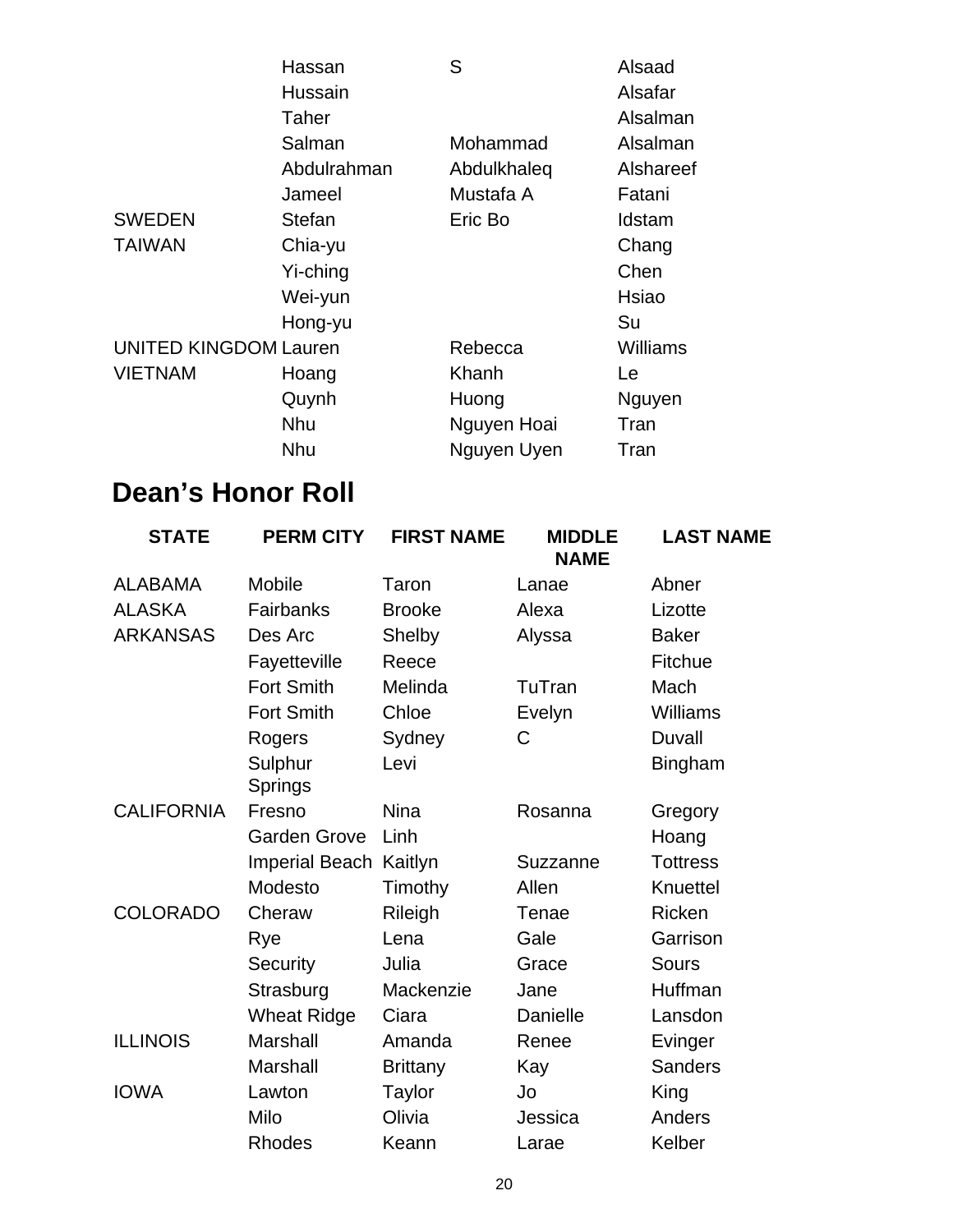|                              | Hassan      | S           | Alsaad          |
|------------------------------|-------------|-------------|-----------------|
|                              | Hussain     |             | Alsafar         |
|                              | Taher       |             | Alsalman        |
|                              | Salman      | Mohammad    | Alsalman        |
|                              | Abdulrahman | Abdulkhaleq | Alshareef       |
|                              | Jameel      | Mustafa A   | Fatani          |
| <b>SWEDEN</b>                | Stefan      | Eric Bo     | Idstam          |
| <b>TAIWAN</b>                | Chia-yu     |             | Chang           |
|                              | Yi-ching    |             | Chen            |
|                              | Wei-yun     |             | Hsiao           |
|                              | Hong-yu     |             | Su              |
| <b>UNITED KINGDOM Lauren</b> |             | Rebecca     | <b>Williams</b> |
| <b>VIETNAM</b>               | Hoang       | Khanh       | Le              |
|                              | Quynh       | Huong       | Nguyen          |
|                              | <b>Nhu</b>  | Nguyen Hoai | Tran            |
|                              | <b>Nhu</b>  | Nguyen Uyen | Tran            |

## **Dean's Honor Roll**

| <b>STATE</b>      | <b>PERM CITY</b>    | <b>FIRST NAME</b> | <b>MIDDLE</b><br><b>NAME</b> | <b>LAST NAME</b> |
|-------------------|---------------------|-------------------|------------------------------|------------------|
| <b>ALABAMA</b>    | Mobile              | Taron             | Lanae                        | Abner            |
| <b>ALASKA</b>     | Fairbanks           | <b>Brooke</b>     | Alexa                        | Lizotte          |
| <b>ARKANSAS</b>   | Des Arc             | Shelby            | Alyssa                       | <b>Baker</b>     |
|                   | Fayetteville        | Reece             |                              | <b>Fitchue</b>   |
|                   | <b>Fort Smith</b>   | Melinda           | TuTran                       | Mach             |
|                   | <b>Fort Smith</b>   | Chloe             | Evelyn                       | <b>Williams</b>  |
|                   | Rogers              | Sydney            | C                            | Duvall           |
|                   | Sulphur<br>Springs  | Levi              |                              | Bingham          |
| <b>CALIFORNIA</b> | Fresno              | <b>Nina</b>       | Rosanna                      | Gregory          |
|                   | <b>Garden Grove</b> | Linh              |                              | Hoang            |
|                   | Imperial Beach      | Kaitlyn           | Suzzanne                     | <b>Tottress</b>  |
|                   | Modesto             | Timothy           | Allen                        | Knuettel         |
| <b>COLORADO</b>   | Cheraw              | Rileigh           | Tenae                        | Ricken           |
|                   | Rye                 | Lena              | Gale                         | Garrison         |
|                   | <b>Security</b>     | Julia             | Grace                        | <b>Sours</b>     |
|                   | Strasburg           | Mackenzie         | Jane                         | Huffman          |
|                   | <b>Wheat Ridge</b>  | Ciara             | Danielle                     | Lansdon          |
| <b>ILLINOIS</b>   | Marshall            | Amanda            | Renee                        | Evinger          |
|                   | Marshall            | <b>Brittany</b>   | Kay                          | <b>Sanders</b>   |
| <b>IOWA</b>       | Lawton              | Taylor            | Jo                           | King             |
|                   | Milo                | Olivia            | Jessica                      | Anders           |
|                   | <b>Rhodes</b>       | Keann             | Larae                        | Kelber           |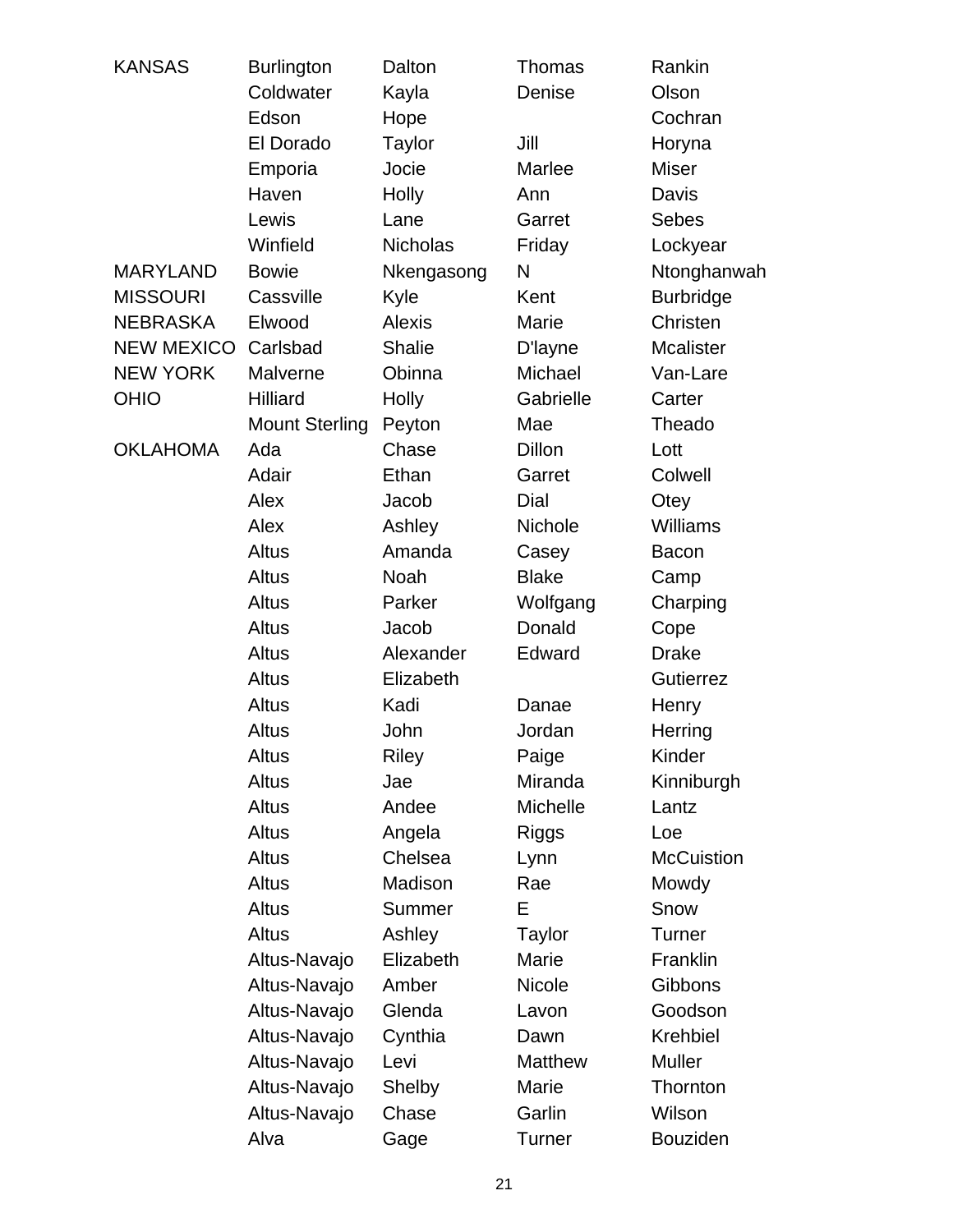| <b>KANSAS</b>     | <b>Burlington</b>     | Dalton          | <b>Thomas</b>  | Rankin            |
|-------------------|-----------------------|-----------------|----------------|-------------------|
|                   | Coldwater             | Kayla           | Denise         | Olson             |
|                   | Edson                 | Hope            |                | Cochran           |
|                   | El Dorado             | Taylor          | Jill           | Horyna            |
|                   | Emporia               | Jocie           | Marlee         | <b>Miser</b>      |
|                   | Haven                 | Holly           | Ann            | Davis             |
|                   | Lewis                 | Lane            | Garret         | <b>Sebes</b>      |
|                   | Winfield              | <b>Nicholas</b> | Friday         | Lockyear          |
| <b>MARYLAND</b>   | <b>Bowie</b>          | Nkengasong      | N              | Ntonghanwah       |
| <b>MISSOURI</b>   | Cassville             | Kyle            | Kent           | <b>Burbridge</b>  |
| <b>NEBRASKA</b>   | Elwood                | <b>Alexis</b>   | Marie          | Christen          |
| <b>NEW MEXICO</b> | Carlsbad              | <b>Shalie</b>   | D'layne        | <b>Mcalister</b>  |
| <b>NEW YORK</b>   | Malverne              | Obinna          | Michael        | Van-Lare          |
| <b>OHIO</b>       | <b>Hilliard</b>       | Holly           | Gabrielle      | Carter            |
|                   | <b>Mount Sterling</b> | Peyton          | Mae            | Theado            |
| <b>OKLAHOMA</b>   | Ada                   | Chase           | <b>Dillon</b>  | Lott              |
|                   | Adair                 | Ethan           | Garret         | Colwell           |
|                   | Alex                  | Jacob           | Dial           | Otey              |
|                   | Alex                  | Ashley          | Nichole        | <b>Williams</b>   |
|                   | Altus                 | Amanda          | Casey          | <b>Bacon</b>      |
|                   | Altus                 | Noah            | <b>Blake</b>   | Camp              |
|                   | Altus                 | Parker          | Wolfgang       | Charping          |
|                   | Altus                 | Jacob           | Donald         | Cope              |
|                   | Altus                 | Alexander       | Edward         | <b>Drake</b>      |
|                   | Altus                 | Elizabeth       |                | <b>Gutierrez</b>  |
|                   | <b>Altus</b>          | Kadi            | Danae          | Henry             |
|                   | Altus                 | John            | Jordan         | Herring           |
|                   | <b>Altus</b>          | Riley           | Paige          | Kinder            |
|                   | <b>Altus</b>          | Jae             | Miranda        | Kinniburgh        |
|                   | Altus                 | Andee           | Michelle       | Lantz             |
|                   | Altus                 | Angela          | Riggs          | Loe               |
|                   | Altus                 | Chelsea         | Lynn           | <b>McCuistion</b> |
|                   | Altus                 | Madison         | Rae            | Mowdy             |
|                   | Altus                 | Summer          | Е              | Snow              |
|                   | Altus                 | Ashley          | <b>Taylor</b>  | Turner            |
|                   | Altus-Navajo          | Elizabeth       | Marie          | Franklin          |
|                   | Altus-Navajo          | Amber           | <b>Nicole</b>  | Gibbons           |
|                   | Altus-Navajo          | Glenda          | Lavon          | Goodson           |
|                   | Altus-Navajo          | Cynthia         | Dawn           | Krehbiel          |
|                   | Altus-Navajo          | Levi            | <b>Matthew</b> | <b>Muller</b>     |
|                   | Altus-Navajo          | Shelby          | Marie          | Thornton          |
|                   | Altus-Navajo          | Chase           | Garlin         | Wilson            |
|                   | Alva                  | Gage            | <b>Turner</b>  | <b>Bouziden</b>   |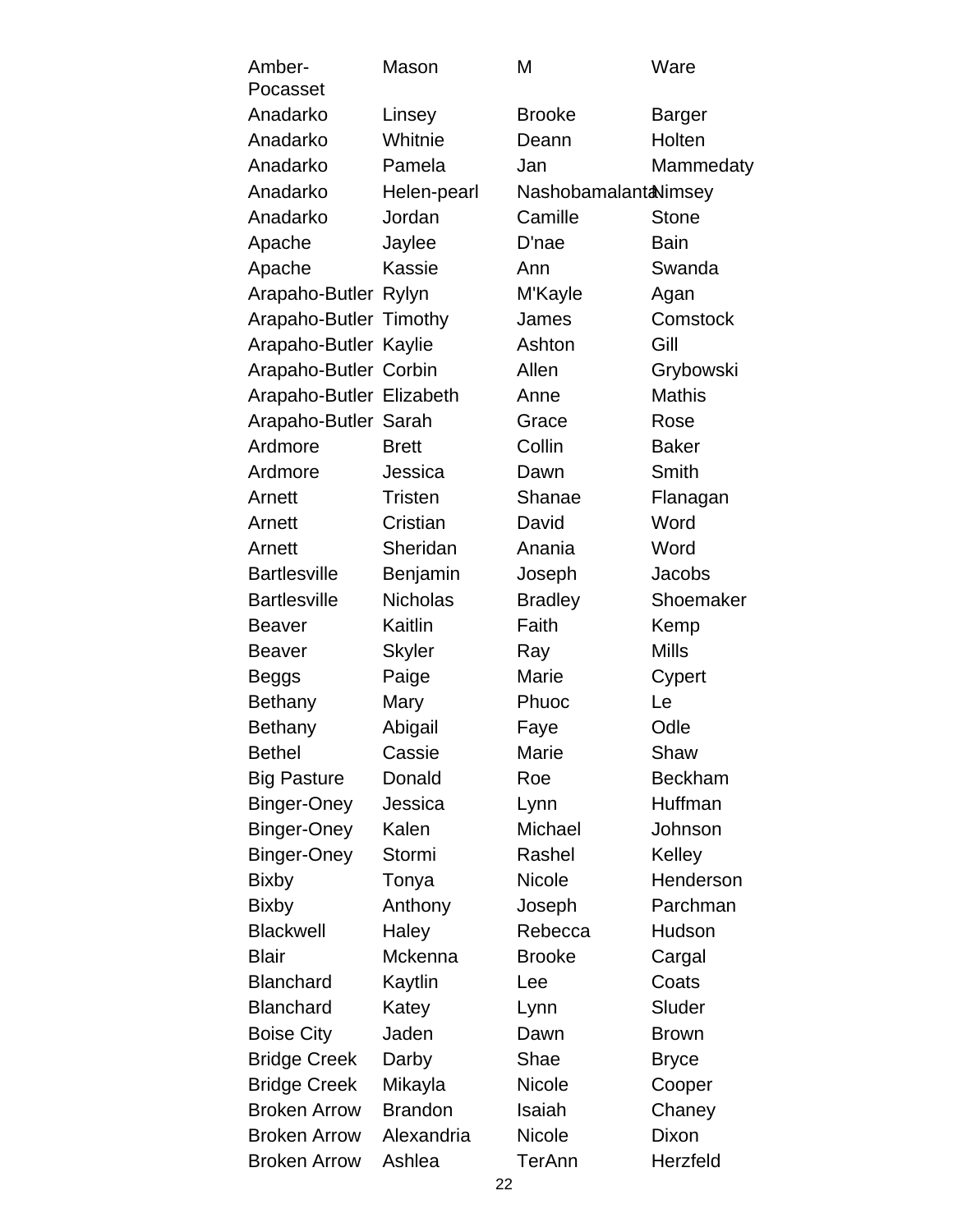| Amber-<br>Pocasset       | Mason           | M                     | Ware           |
|--------------------------|-----------------|-----------------------|----------------|
| Anadarko                 | Linsey          | <b>Brooke</b>         | Barger         |
| Anadarko                 | Whitnie         | Deann                 | Holten         |
| Anadarko                 | Pamela          | Jan                   | Mammedaty      |
| Anadarko                 | Helen-pearl     | Nashobamalant aNimsey |                |
| Anadarko                 | Jordan          | Camille               | <b>Stone</b>   |
| Apache                   | Jaylee          | D'nae                 | <b>Bain</b>    |
| Apache                   | Kassie          | Ann                   | Swanda         |
| Arapaho-Butler Rylyn     |                 | M'Kayle               | Agan           |
| Arapaho-Butler Timothy   |                 | James                 | Comstock       |
| Arapaho-Butler Kaylie    |                 | Ashton                | Gill           |
| Arapaho-Butler Corbin    |                 | Allen                 | Grybowski      |
| Arapaho-Butler Elizabeth |                 | Anne                  | <b>Mathis</b>  |
| Arapaho-Butler Sarah     |                 | Grace                 | Rose           |
| Ardmore                  | <b>Brett</b>    | Collin                | <b>Baker</b>   |
| Ardmore                  | Jessica         | Dawn                  | <b>Smith</b>   |
| Arnett                   | <b>Tristen</b>  | Shanae                | Flanagan       |
| Arnett                   | Cristian        | David                 | Word           |
| Arnett                   | Sheridan        | Anania                | Word           |
| <b>Bartlesville</b>      | Benjamin        | Joseph                | Jacobs         |
| <b>Bartlesville</b>      | <b>Nicholas</b> | <b>Bradley</b>        | Shoemaker      |
| <b>Beaver</b>            | Kaitlin         | Faith                 | Kemp           |
| <b>Beaver</b>            | <b>Skyler</b>   | Ray                   | <b>Mills</b>   |
| Beggs                    | Paige           | Marie                 | Cypert         |
| Bethany                  | Mary            | Phuoc                 | Le             |
| Bethany                  | Abigail         | Faye                  | Odle           |
| <b>Bethel</b>            | Cassie          | Marie                 | Shaw           |
| <b>Big Pasture</b>       | Donald          | Roe                   | <b>Beckham</b> |
| Binger-Oney              | Jessica         | Lynn                  | Huffman        |
| <b>Binger-Oney</b>       | Kalen           | Michael               | Johnson        |
| <b>Binger-Oney</b>       | Stormi          | Rashel                | Kelley         |
| <b>Bixby</b>             | Tonya           | Nicole                | Henderson      |
| <b>Bixby</b>             | Anthony         | Joseph                | Parchman       |
| <b>Blackwell</b>         | Haley           | Rebecca               | Hudson         |
| <b>Blair</b>             | Mckenna         | <b>Brooke</b>         | Cargal         |
| <b>Blanchard</b>         | Kaytlin         | Lee                   | Coats          |
| <b>Blanchard</b>         | Katey           | Lynn                  | Sluder         |
| <b>Boise City</b>        | Jaden           | Dawn                  | <b>Brown</b>   |
| <b>Bridge Creek</b>      | Darby           | Shae                  | <b>Bryce</b>   |
| <b>Bridge Creek</b>      | Mikayla         | <b>Nicole</b>         | Cooper         |
| <b>Broken Arrow</b>      | <b>Brandon</b>  | Isaiah                | Chaney         |
| <b>Broken Arrow</b>      | Alexandria      | <b>Nicole</b>         | Dixon          |
| <b>Broken Arrow</b>      | Ashlea          | TerAnn                | Herzfeld       |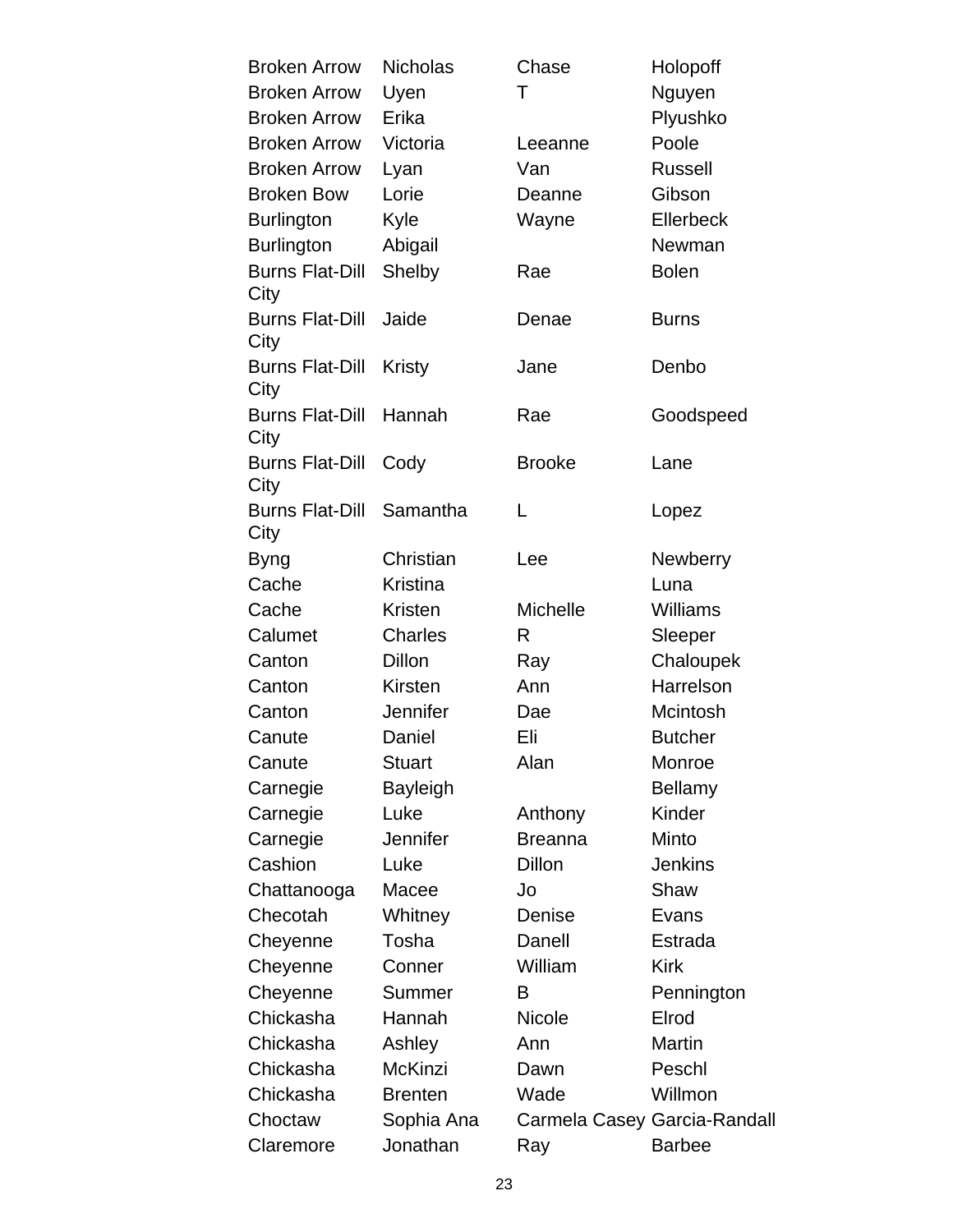| <b>Broken Arrow</b>            | <b>Nicholas</b> | Chase           | Holopoff                     |
|--------------------------------|-----------------|-----------------|------------------------------|
| <b>Broken Arrow</b>            | Uyen            | Τ               | Nguyen                       |
| <b>Broken Arrow</b>            | Erika           |                 | Plyushko                     |
| <b>Broken Arrow</b>            | Victoria        | Leeanne         | Poole                        |
| <b>Broken Arrow</b>            | Lyan            | Van             | <b>Russell</b>               |
| <b>Broken Bow</b>              | Lorie           | Deanne          | Gibson                       |
| <b>Burlington</b>              | Kyle            | Wayne           | Ellerbeck                    |
| <b>Burlington</b>              | Abigail         |                 | Newman                       |
| <b>Burns Flat-Dill</b><br>City | Shelby          | Rae             | <b>Bolen</b>                 |
| <b>Burns Flat-Dill</b><br>City | Jaide           | Denae           | <b>Burns</b>                 |
| <b>Burns Flat-Dill</b><br>City | Kristy          | Jane            | Denbo                        |
| <b>Burns Flat-Dill</b><br>City | Hannah          | Rae             | Goodspeed                    |
| <b>Burns Flat-Dill</b><br>City | Cody            | <b>Brooke</b>   | Lane                         |
| <b>Burns Flat-Dill</b><br>City | Samantha        | L               | Lopez                        |
| <b>Byng</b>                    | Christian       | Lee             | <b>Newberry</b>              |
| Cache                          | <b>Kristina</b> |                 | Luna                         |
| Cache                          | <b>Kristen</b>  | <b>Michelle</b> | <b>Williams</b>              |
| Calumet                        | <b>Charles</b>  | R               | Sleeper                      |
| Canton                         | <b>Dillon</b>   | Ray             | Chaloupek                    |
| Canton                         | Kirsten         | Ann             | Harrelson                    |
| Canton                         | Jennifer        | Dae             | Mcintosh                     |
| Canute                         | Daniel          | Eli             | <b>Butcher</b>               |
| Canute                         | Stuart          | Alan            | Monroe                       |
| Carnegie                       | <b>Bayleigh</b> |                 | Bellamy                      |
| Carnegie                       | Luke            | Anthony         | Kinder                       |
| Carnegie                       | Jennifer        | <b>Breanna</b>  | Minto                        |
| Cashion                        | Luke            | <b>Dillon</b>   | <b>Jenkins</b>               |
| Chattanooga                    | Macee           | Jo              | Shaw                         |
| Checotah                       | Whitney         | Denise          | Evans                        |
| Cheyenne                       | Tosha           | Danell          | Estrada                      |
| Cheyenne                       | Conner          | William         | <b>Kirk</b>                  |
| Cheyenne                       | Summer          | в               | Pennington                   |
| Chickasha                      | Hannah          | <b>Nicole</b>   | Elrod                        |
| Chickasha                      | Ashley          | Ann             | <b>Martin</b>                |
| Chickasha                      | McKinzi         | Dawn            | Peschl                       |
| Chickasha                      | <b>Brenten</b>  | Wade            | Willmon                      |
| Choctaw                        | Sophia Ana      |                 | Carmela Casey Garcia-Randall |
| Claremore                      | Jonathan        | Ray             | <b>Barbee</b>                |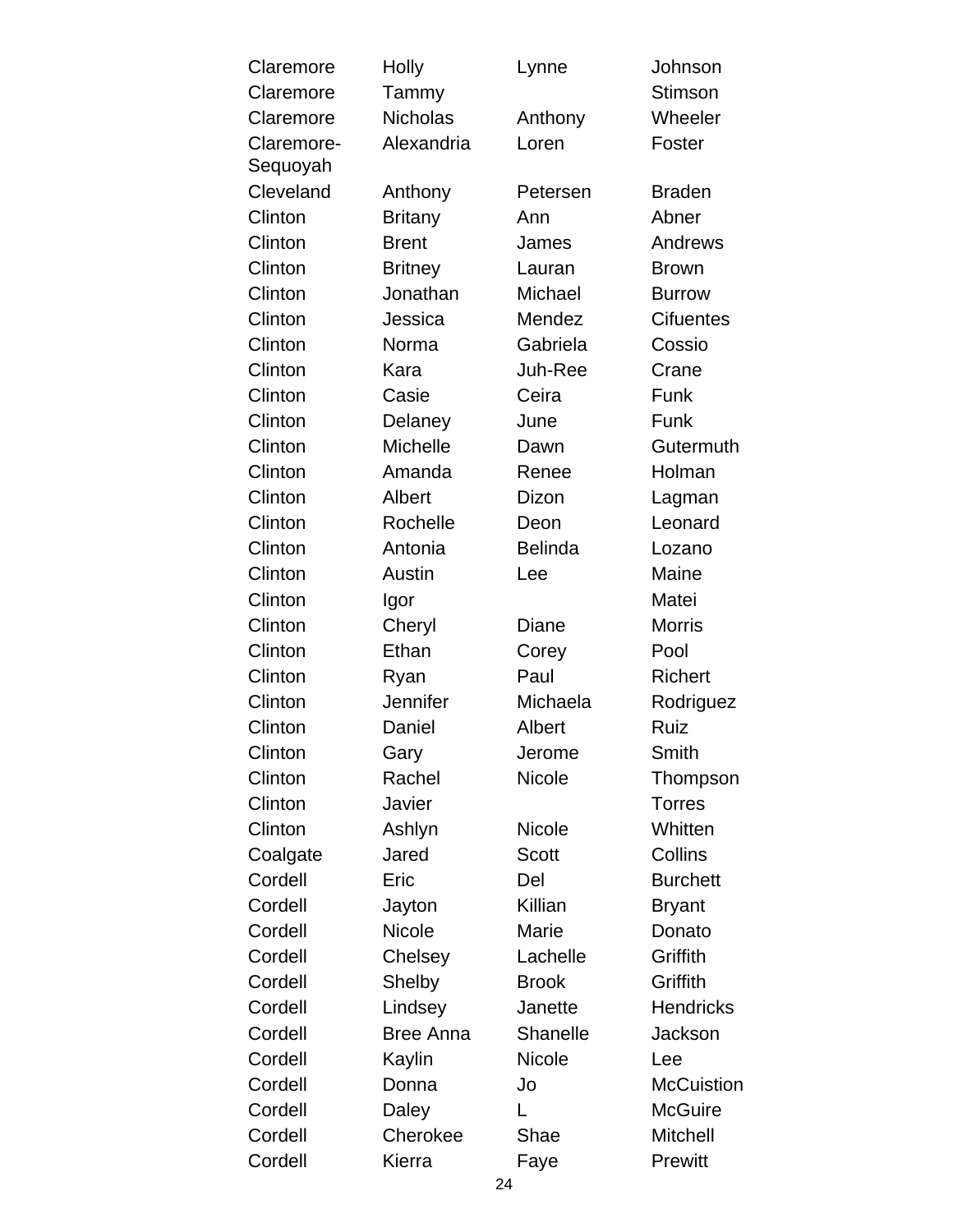| Claremore  | <b>Holly</b>     | Lynne          | Johnson           |
|------------|------------------|----------------|-------------------|
| Claremore  | Tammy            |                | <b>Stimson</b>    |
| Claremore  | <b>Nicholas</b>  | Anthony        | Wheeler           |
| Claremore- | Alexandria       | Loren          | Foster            |
| Sequoyah   |                  |                |                   |
| Cleveland  | Anthony          | Petersen       | <b>Braden</b>     |
| Clinton    | <b>Britany</b>   | Ann            | Abner             |
| Clinton    | <b>Brent</b>     | James          | Andrews           |
| Clinton    | <b>Britney</b>   | Lauran         | <b>Brown</b>      |
| Clinton    | Jonathan         | Michael        | <b>Burrow</b>     |
| Clinton    | Jessica          | Mendez         | <b>Cifuentes</b>  |
| Clinton    | Norma            | Gabriela       | Cossio            |
| Clinton    | Kara             | Juh-Ree        | Crane             |
| Clinton    | Casie            | Ceira          | Funk              |
| Clinton    | Delaney          | June           | Funk              |
| Clinton    | Michelle         | Dawn           | Gutermuth         |
| Clinton    | Amanda           | Renee          | Holman            |
| Clinton    | Albert           | Dizon          | Lagman            |
| Clinton    | Rochelle         | Deon           | Leonard           |
| Clinton    | Antonia          | <b>Belinda</b> | Lozano            |
| Clinton    | Austin           | Lee            | Maine             |
| Clinton    | Igor             |                | Matei             |
| Clinton    | Cheryl           | Diane          | <b>Morris</b>     |
| Clinton    | Ethan            | Corey          | Pool              |
| Clinton    | Ryan             | Paul           | Richert           |
| Clinton    | Jennifer         | Michaela       | Rodriguez         |
| Clinton    | Daniel           | Albert         | Ruiz              |
| Clinton    | Gary             | Jerome         | Smith             |
| Clinton    | Rachel           | <b>Nicole</b>  | Thompson          |
| Clinton    | Javier           |                | <b>Torres</b>     |
| Clinton    | Ashlyn           | <b>Nicole</b>  | Whitten           |
| Coalgate   | Jared            | Scott          | <b>Collins</b>    |
| Cordell    | Eric             | Del            | <b>Burchett</b>   |
| Cordell    | Jayton           | Killian        | <b>Bryant</b>     |
| Cordell    | <b>Nicole</b>    | Marie          | Donato            |
| Cordell    | Chelsey          | Lachelle       | Griffith          |
| Cordell    | Shelby           | <b>Brook</b>   | Griffith          |
| Cordell    | Lindsey          | Janette        | <b>Hendricks</b>  |
| Cordell    | <b>Bree Anna</b> | Shanelle       | Jackson           |
| Cordell    | Kaylin           | Nicole         | Lee               |
| Cordell    | Donna            | Jo             | <b>McCuistion</b> |
| Cordell    | Daley            | L              | <b>McGuire</b>    |
| Cordell    | Cherokee         | Shae           | <b>Mitchell</b>   |
| Cordell    | Kierra           | Faye           | Prewitt           |
|            | 24               |                |                   |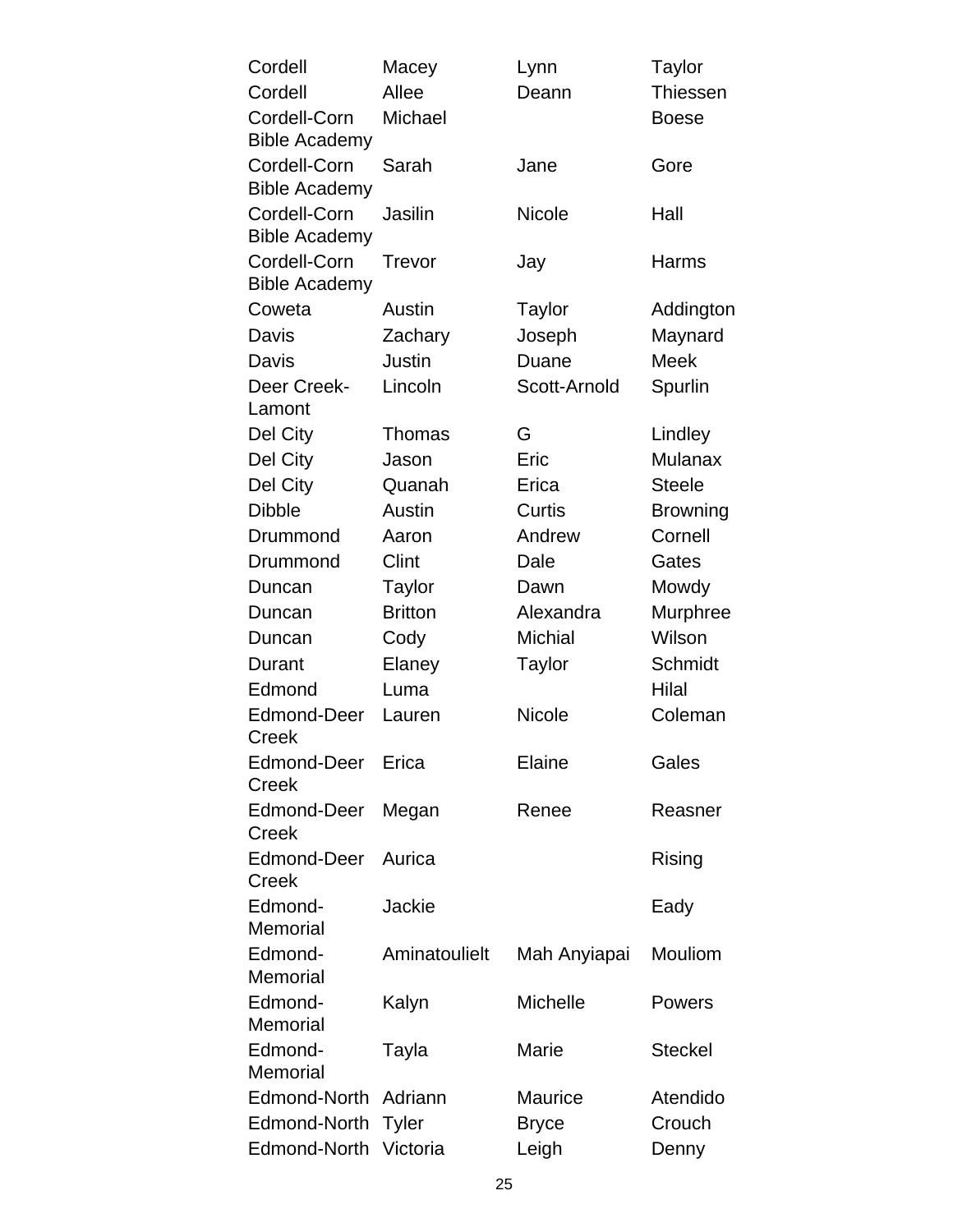| Cordell                              | Macey          | Lynn            | Taylor          |
|--------------------------------------|----------------|-----------------|-----------------|
| Cordell                              | Allee          | Deann           | <b>Thiessen</b> |
| Cordell-Corn<br><b>Bible Academy</b> | Michael        |                 | <b>Boese</b>    |
| Cordell-Corn<br><b>Bible Academy</b> | Sarah          | Jane            | Gore            |
| Cordell-Corn<br><b>Bible Academy</b> | Jasilin        | <b>Nicole</b>   | Hall            |
| Cordell-Corn<br><b>Bible Academy</b> | Trevor         | Jay             | Harms           |
| Coweta                               | Austin         | Taylor          | Addington       |
| Davis                                | Zachary        | Joseph          | Maynard         |
| Davis                                | Justin         | Duane           | <b>Meek</b>     |
| Deer Creek-<br>Lamont                | Lincoln        | Scott-Arnold    | Spurlin         |
| Del City                             | Thomas         | G               | Lindley         |
| Del City                             | Jason          | Eric            | <b>Mulanax</b>  |
| Del City                             | Quanah         | Erica           | <b>Steele</b>   |
| <b>Dibble</b>                        | Austin         | Curtis          | <b>Browning</b> |
| Drummond                             | Aaron          | Andrew          | Cornell         |
| Drummond                             | Clint          | Dale            | Gates           |
| Duncan                               | Taylor         | Dawn            | Mowdy           |
| Duncan                               | <b>Britton</b> | Alexandra       | Murphree        |
| Duncan                               | Cody           | <b>Michial</b>  | Wilson          |
| Durant                               | Elaney         | Taylor          | Schmidt         |
| Edmond                               | Luma           |                 | Hilal           |
| Edmond-Deer<br><b>Creek</b>          | Lauren         | Nicole          | Coleman         |
| Edmond-Deer<br>Creek                 | Erica          | Elaine          | Gales           |
| Edmond-Deer<br>Creek                 | Megan          | Renee           | Reasner         |
| <b>Edmond-Deer</b><br>Creek          | Aurica         |                 | Rising          |
| Edmond-<br>Memorial                  | Jackie         |                 | Eady            |
| Edmond-<br>Memorial                  | Aminatoulielt  | Mah Anyiapai    | Mouliom         |
| Edmond-<br>Memorial                  | Kalyn          | <b>Michelle</b> | Powers          |
| Edmond-<br>Memorial                  | Tayla          | Marie           | <b>Steckel</b>  |
| Edmond-North                         | Adriann        | <b>Maurice</b>  | Atendido        |
| Edmond-North                         | <b>Tyler</b>   | <b>Bryce</b>    | Crouch          |
| Edmond-North                         | Victoria       | Leigh           | Denny           |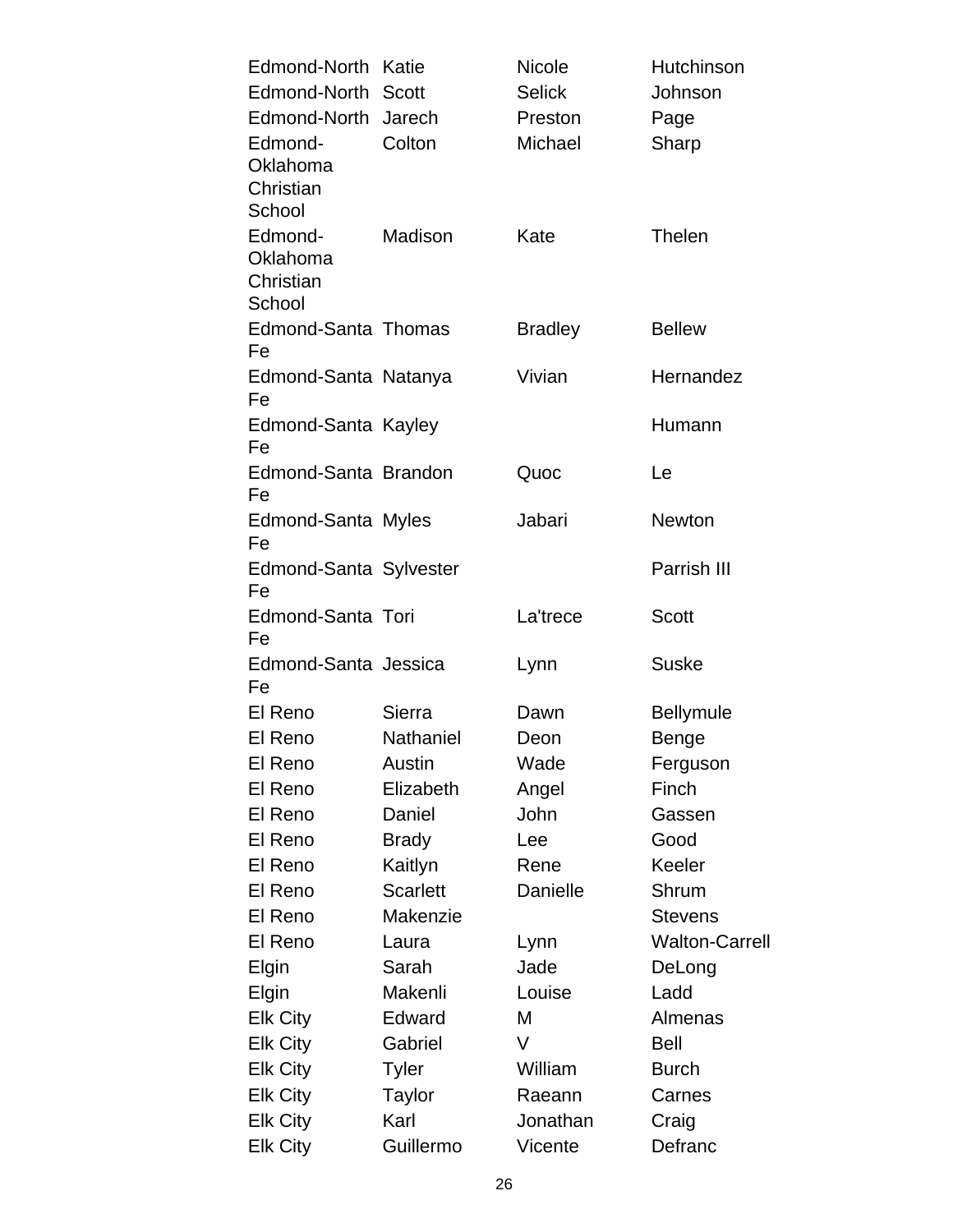| Edmond-North               | Katie            | <b>Nicole</b>  | Hutchinson            |
|----------------------------|------------------|----------------|-----------------------|
| Edmond-North               | <b>Scott</b>     | <b>Selick</b>  | Johnson               |
| Edmond-North Jarech        |                  | Preston        | Page                  |
| Edmond-                    | Colton           | Michael        | Sharp                 |
| Oklahoma                   |                  |                |                       |
| Christian<br>School        |                  |                |                       |
| Edmond-                    | Madison          | Kate           | Thelen                |
| Oklahoma                   |                  |                |                       |
| Christian                  |                  |                |                       |
| School                     |                  |                |                       |
| <b>Edmond-Santa Thomas</b> |                  | <b>Bradley</b> | <b>Bellew</b>         |
| Fe                         |                  |                |                       |
| Edmond-Santa Natanya       |                  | Vivian         | Hernandez             |
| Fe                         |                  |                |                       |
| Edmond-Santa Kayley<br>Fe  |                  |                | Humann                |
| Edmond-Santa Brandon       |                  | Quoc           | Le                    |
| Fe                         |                  |                |                       |
| Edmond-Santa Myles         |                  | Jabari         | <b>Newton</b>         |
| Fe                         |                  |                |                       |
| Edmond-Santa Sylvester     |                  |                | Parrish III           |
| Fe                         |                  |                |                       |
| Edmond-Santa Tori<br>Fe    |                  | La'trece       | <b>Scott</b>          |
| Edmond-Santa Jessica       |                  | Lynn           | <b>Suske</b>          |
| Fe                         |                  |                |                       |
| El Reno                    | Sierra           | Dawn           | <b>Bellymule</b>      |
| El Reno                    | <b>Nathaniel</b> | Deon           | <b>Benge</b>          |
| El Reno                    | Austin           | Wade           | Ferguson              |
| El Reno                    | Elizabeth        | Angel          | Finch                 |
| El Reno                    | Daniel           | John           | Gassen                |
| El Reno                    | <b>Brady</b>     | Lee            | Good                  |
| El Reno                    | Kaitlyn          | Rene           | Keeler                |
| El Reno                    | <b>Scarlett</b>  | Danielle       | Shrum                 |
| El Reno                    | <b>Makenzie</b>  |                | <b>Stevens</b>        |
| El Reno                    | Laura            | Lynn           | <b>Walton-Carrell</b> |
| Elgin                      | Sarah            | Jade           | DeLong                |
| Elgin                      | Makenli          | Louise         | Ladd                  |
| <b>Elk City</b>            | Edward           | M              | Almenas               |
| <b>Elk City</b>            | Gabriel          | V              | <b>Bell</b>           |
| <b>Elk City</b>            | Tyler            | William        | <b>Burch</b>          |
| <b>Elk City</b>            | Taylor           | Raeann         | Carnes                |
| <b>Elk City</b>            | Karl             | Jonathan       | Craig                 |
| <b>Elk City</b>            | Guillermo        | Vicente        | Defranc               |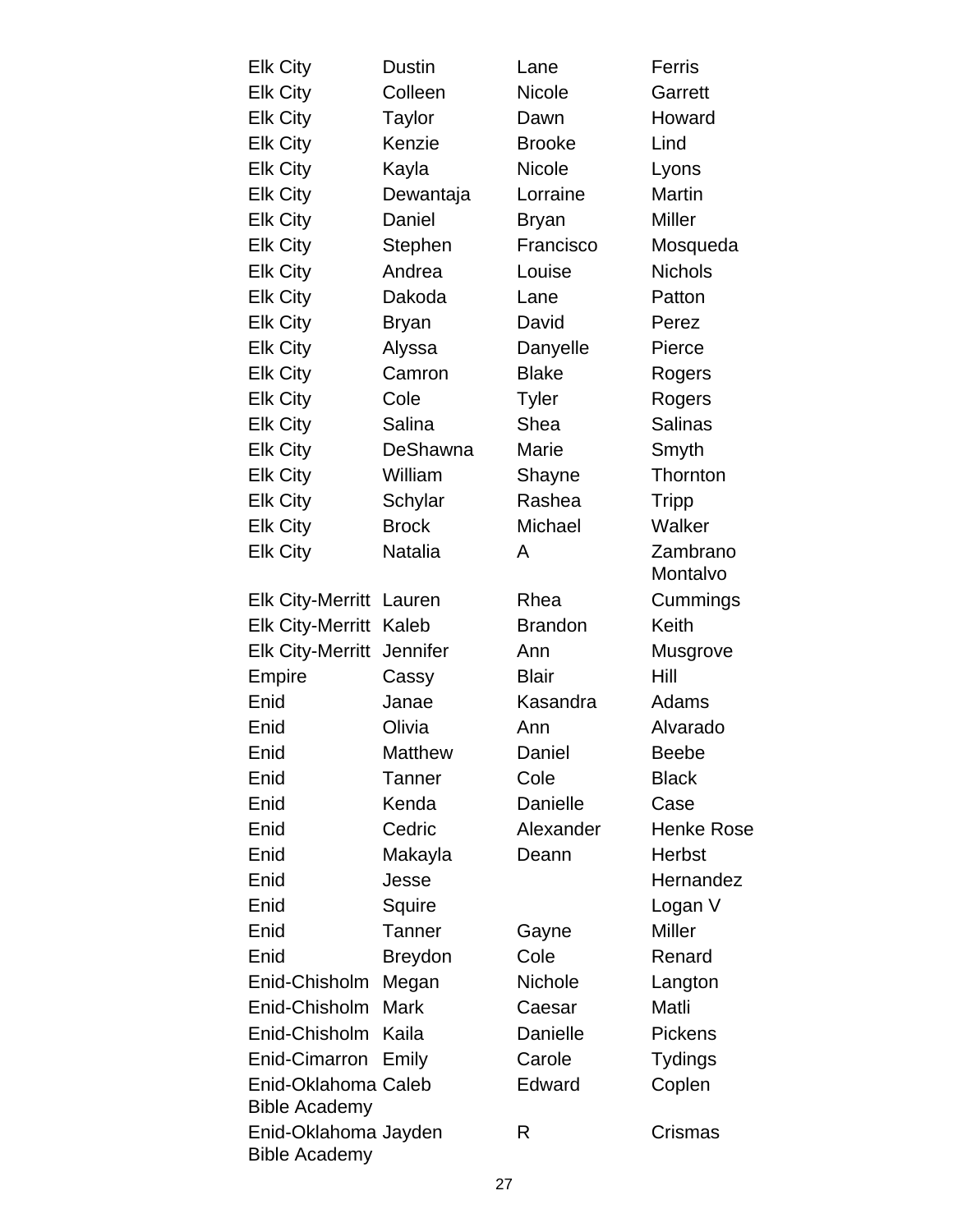| <b>Elk City</b>                              | <b>Dustin</b>  | Lane           | Ferris               |
|----------------------------------------------|----------------|----------------|----------------------|
| <b>Elk City</b>                              | Colleen        | Nicole         | Garrett              |
| <b>Elk City</b>                              | Taylor         | Dawn           | Howard               |
| <b>Elk City</b>                              | Kenzie         | <b>Brooke</b>  | Lind                 |
| <b>Elk City</b>                              | Kayla          | <b>Nicole</b>  | Lyons                |
| <b>Elk City</b>                              | Dewantaja      | Lorraine       | <b>Martin</b>        |
| <b>Elk City</b>                              | Daniel         | <b>Bryan</b>   | <b>Miller</b>        |
| <b>Elk City</b>                              | Stephen        | Francisco      | Mosqueda             |
| <b>Elk City</b>                              | Andrea         | Louise         | <b>Nichols</b>       |
| <b>Elk City</b>                              | Dakoda         | Lane           | Patton               |
| <b>Elk City</b>                              | <b>Bryan</b>   | David          | Perez                |
| <b>Elk City</b>                              | Alyssa         | Danyelle       | Pierce               |
| <b>Elk City</b>                              | Camron         | <b>Blake</b>   | Rogers               |
| <b>Elk City</b>                              | Cole           | <b>Tyler</b>   | Rogers               |
| <b>Elk City</b>                              | Salina         | Shea           | <b>Salinas</b>       |
| <b>Elk City</b>                              | DeShawna       | Marie          | Smyth                |
| <b>Elk City</b>                              | William        | Shayne         | Thornton             |
| <b>Elk City</b>                              | Schylar        | Rashea         | <b>Tripp</b>         |
| <b>Elk City</b>                              | <b>Brock</b>   | Michael        | Walker               |
| <b>Elk City</b>                              | Natalia        | A              | Zambrano<br>Montalvo |
| <b>Elk City-Merritt</b>                      | Lauren         | Rhea           | Cummings             |
| <b>Elk City-Merritt</b>                      | Kaleb          | <b>Brandon</b> | Keith                |
| <b>Elk City-Merritt</b>                      | Jennifer       | Ann            | Musgrove             |
| <b>Empire</b>                                | Cassy          | <b>Blair</b>   | Hill                 |
| Enid                                         | Janae          | Kasandra       | Adams                |
| Enid                                         | Olivia         | Ann            | Alvarado             |
| Enid                                         | Matthew        | Daniel         | <b>Beebe</b>         |
| Enid                                         | Tanner         | Cole           | <b>Black</b>         |
| Enid                                         | Kenda          | Danielle       | Case                 |
| Enid                                         | Cedric         | Alexander      | <b>Henke Rose</b>    |
| Enid                                         | Makayla        | Deann          | Herbst               |
| Enid                                         | Jesse          |                | Hernandez            |
| Enid                                         | Squire         |                | Logan V              |
| Enid                                         | <b>Tanner</b>  | Gayne          | <b>Miller</b>        |
| Enid                                         | <b>Breydon</b> | Cole           | Renard               |
| Enid-Chisholm                                | Megan          | Nichole        | Langton              |
| Enid-Chisholm                                | <b>Mark</b>    | Caesar         | Matli                |
| Enid-Chisholm                                | Kaila          | Danielle       | <b>Pickens</b>       |
| Enid-Cimarron                                | Emily          | Carole         | <b>Tydings</b>       |
| Enid-Oklahoma Caleb<br><b>Bible Academy</b>  |                | Edward         | Coplen               |
| Enid-Oklahoma Jayden<br><b>Bible Academy</b> |                | R              | Crismas              |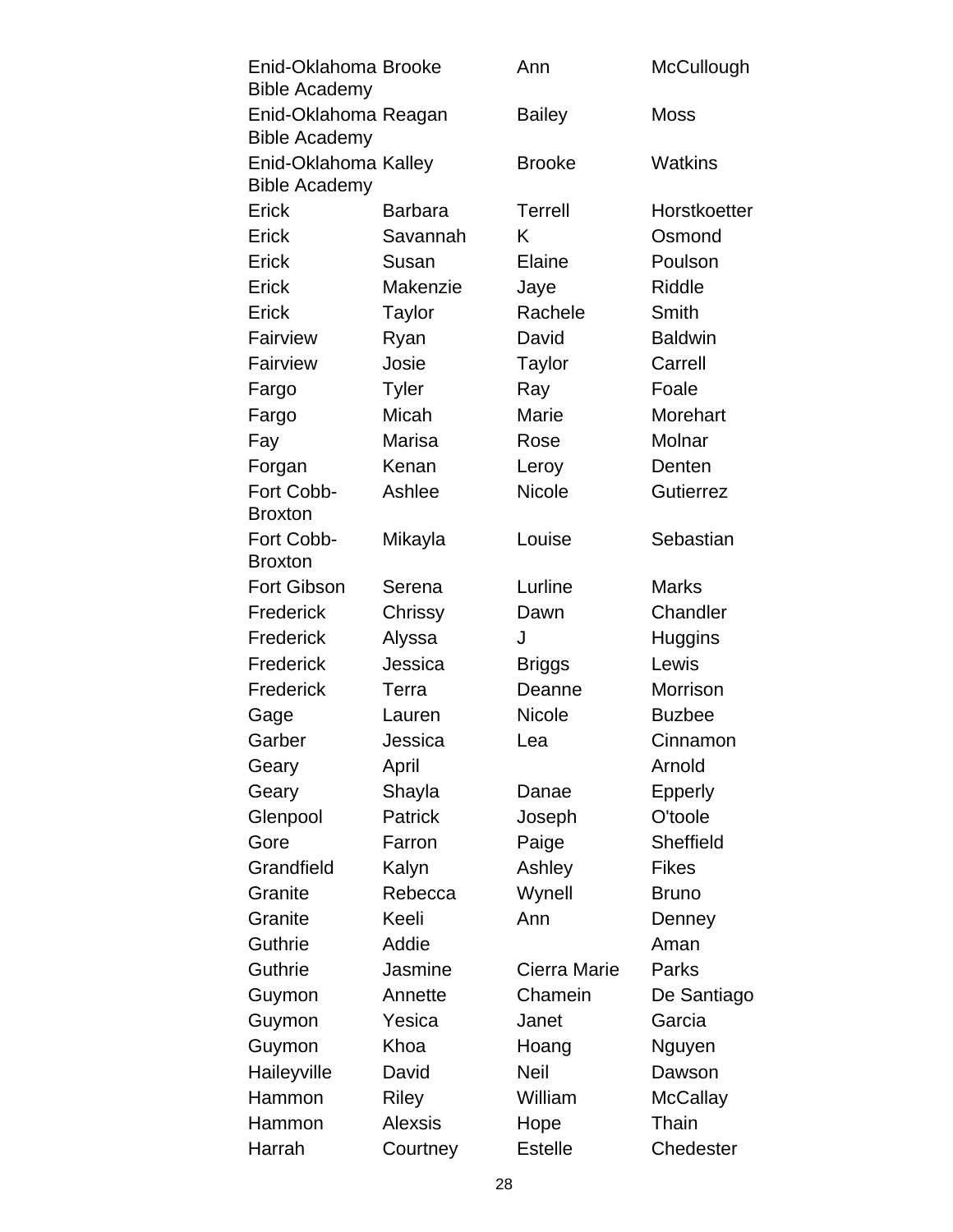| Enid-Oklahoma Brooke<br><b>Bible Academy</b> |                | Ann            | McCullough       |
|----------------------------------------------|----------------|----------------|------------------|
| Enid-Oklahoma Reagan                         |                | <b>Bailey</b>  | <b>Moss</b>      |
| <b>Bible Academy</b>                         |                |                |                  |
| Enid-Oklahoma Kalley<br><b>Bible Academy</b> |                | <b>Brooke</b>  | Watkins          |
| Erick                                        | <b>Barbara</b> | <b>Terrell</b> | Horstkoetter     |
| Erick                                        | Savannah       | K              | Osmond           |
| Erick                                        | Susan          | Elaine         | Poulson          |
| Erick                                        | Makenzie       | Jaye           | Riddle           |
| Erick                                        | Taylor         | Rachele        | Smith            |
| Fairview                                     | Ryan           | David          | <b>Baldwin</b>   |
| Fairview                                     | Josie          | Taylor         | Carrell          |
| Fargo                                        | <b>Tyler</b>   | Ray            | Foale            |
| Fargo                                        | Micah          | Marie          | Morehart         |
| Fay                                          | <b>Marisa</b>  | Rose           | Molnar           |
| Forgan                                       | Kenan          | Leroy          | Denten           |
| Fort Cobb-                                   | Ashlee         | <b>Nicole</b>  | <b>Gutierrez</b> |
| <b>Broxton</b>                               |                |                |                  |
| Fort Cobb-                                   | Mikayla        | Louise         | Sebastian        |
| <b>Broxton</b>                               |                |                |                  |
| <b>Fort Gibson</b>                           | Serena         | Lurline        | <b>Marks</b>     |
| Frederick                                    | Chrissy        | Dawn           | Chandler         |
| Frederick                                    | Alyssa         | J              | Huggins          |
| Frederick                                    | Jessica        | <b>Briggs</b>  | Lewis            |
| Frederick                                    | Terra          | Deanne         | Morrison         |
| Gage                                         | Lauren         | <b>Nicole</b>  | <b>Buzbee</b>    |
| Garber                                       | Jessica        | Lea            | Cinnamon         |
| Geary                                        | April          |                | Arnold           |
| Geary                                        | Shayla         | Danae          | <b>Epperly</b>   |
| Glenpool                                     | <b>Patrick</b> | Joseph         | O'toole          |
| Gore                                         | Farron         | Paige          | Sheffield        |
| Grandfield                                   | Kalyn          | Ashley         | <b>Fikes</b>     |
| Granite                                      | Rebecca        | Wynell         | <b>Bruno</b>     |
| Granite                                      | Keeli          | Ann            | Denney           |
| <b>Guthrie</b>                               | Addie          |                | Aman             |
| <b>Guthrie</b>                               | Jasmine        | Cierra Marie   | Parks            |
| Guymon                                       | Annette        | Chamein        | De Santiago      |
| Guymon                                       | Yesica         | Janet          | Garcia           |
| Guymon                                       | Khoa           | Hoang          | Nguyen           |
| Haileyville                                  | David          | <b>Neil</b>    | Dawson           |
| Hammon                                       | Riley          | William        | <b>McCallay</b>  |
| Hammon                                       | <b>Alexsis</b> | Hope           | Thain            |
| Harrah                                       | Courtney       | <b>Estelle</b> | Chedester        |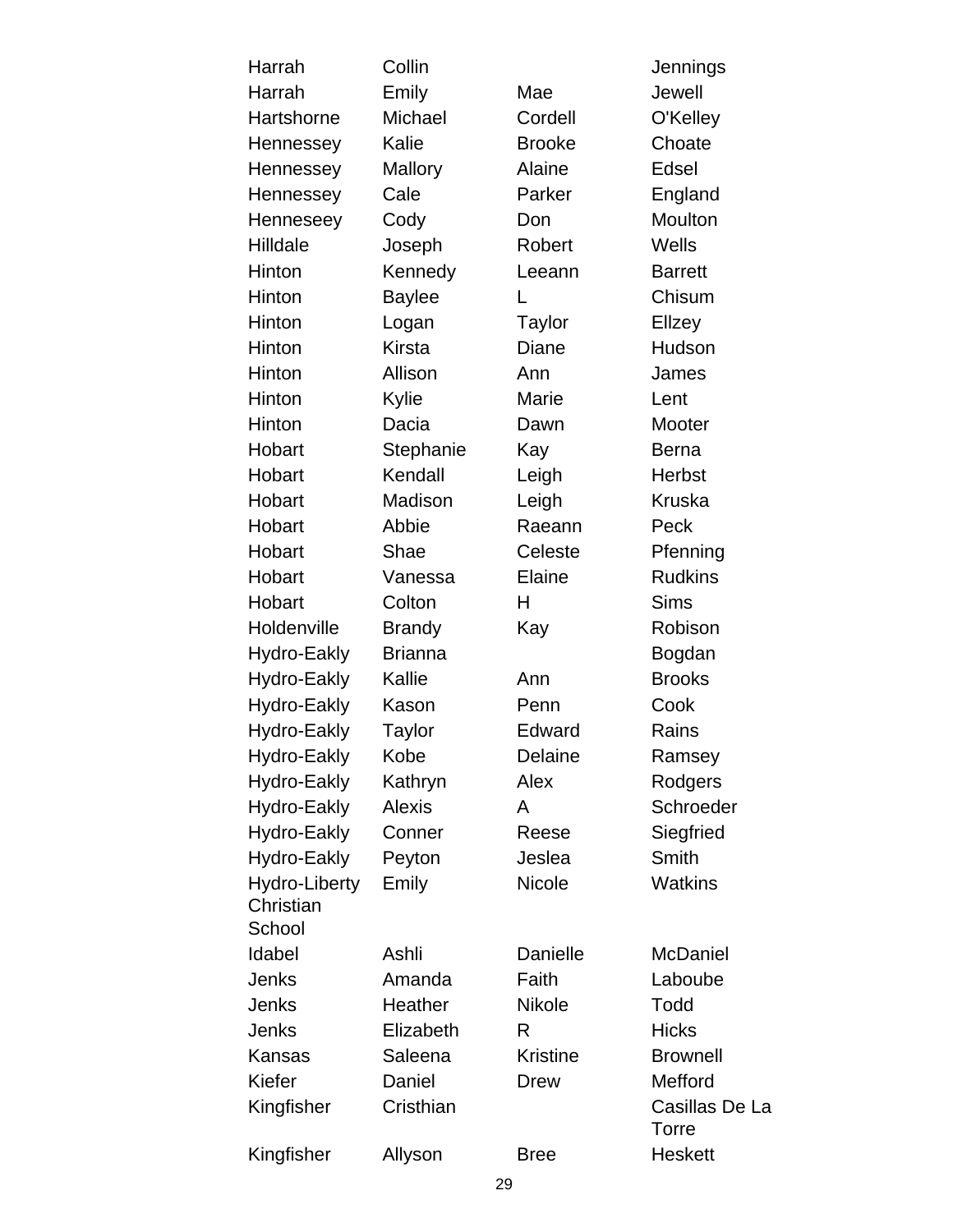| Harrah        | Collin         |                 | Jennings                |
|---------------|----------------|-----------------|-------------------------|
| Harrah        | Emily          | Mae             | Jewell                  |
| Hartshorne    | Michael        | Cordell         | O'Kelley                |
| Hennessey     | Kalie          | <b>Brooke</b>   | Choate                  |
| Hennessey     | Mallory        | <b>Alaine</b>   | Edsel                   |
| Hennessey     | Cale           | Parker          | England                 |
| Henneseey     | Cody           | Don             | Moulton                 |
| Hilldale      | Joseph         | Robert          | Wells                   |
| Hinton        | Kennedy        | Leeann          | <b>Barrett</b>          |
| Hinton        | <b>Baylee</b>  | L               | Chisum                  |
| Hinton        | Logan          | <b>Taylor</b>   | Ellzey                  |
| Hinton        | <b>Kirsta</b>  | Diane           | Hudson                  |
| Hinton        | Allison        | Ann             | James                   |
| Hinton        | Kylie          | Marie           | Lent                    |
| Hinton        | Dacia          | Dawn            | Mooter                  |
| Hobart        | Stephanie      | Kay             | <b>Berna</b>            |
| Hobart        | Kendall        | Leigh           | <b>Herbst</b>           |
| Hobart        | Madison        | Leigh           | <b>Kruska</b>           |
| Hobart        | Abbie          | Raeann          | Peck                    |
| Hobart        | Shae           | Celeste         | Pfenning                |
| Hobart        | Vanessa        | Elaine          | <b>Rudkins</b>          |
| Hobart        | Colton         | н               | <b>Sims</b>             |
| Holdenville   | <b>Brandy</b>  | Kay             | Robison                 |
| Hydro-Eakly   | <b>Brianna</b> |                 | Bogdan                  |
| Hydro-Eakly   | Kallie         | Ann             | <b>Brooks</b>           |
| Hydro-Eakly   | Kason          | Penn            | Cook                    |
| Hydro-Eakly   | <b>Taylor</b>  | Edward          | Rains                   |
| Hydro-Eakly   | Kobe           | Delaine         | Ramsey                  |
| Hydro-Eakly   | Kathryn        | Alex            | Rodgers                 |
| Hydro-Eakly   | <b>Alexis</b>  | A               | Schroeder               |
| Hydro-Eakly   | Conner         | Reese           | Siegfried               |
| Hydro-Eakly   | Peyton         | Jeslea          | Smith                   |
| Hydro-Liberty | Emily          | Nicole          | <b>Watkins</b>          |
| Christian     |                |                 |                         |
| School        |                |                 |                         |
| Idabel        | Ashli          | Danielle        | <b>McDaniel</b>         |
| Jenks         | Amanda         | Faith           | Laboube                 |
| Jenks         | Heather        | <b>Nikole</b>   | Todd                    |
| Jenks         | Elizabeth      | R               | <b>Hicks</b>            |
| Kansas        | Saleena        | <b>Kristine</b> | <b>Brownell</b>         |
| Kiefer        | Daniel         | <b>Drew</b>     | Mefford                 |
| Kingfisher    | Cristhian      |                 | Casillas De La<br>Torre |
| Kingfisher    | Allyson        | <b>Bree</b>     | <b>Heskett</b>          |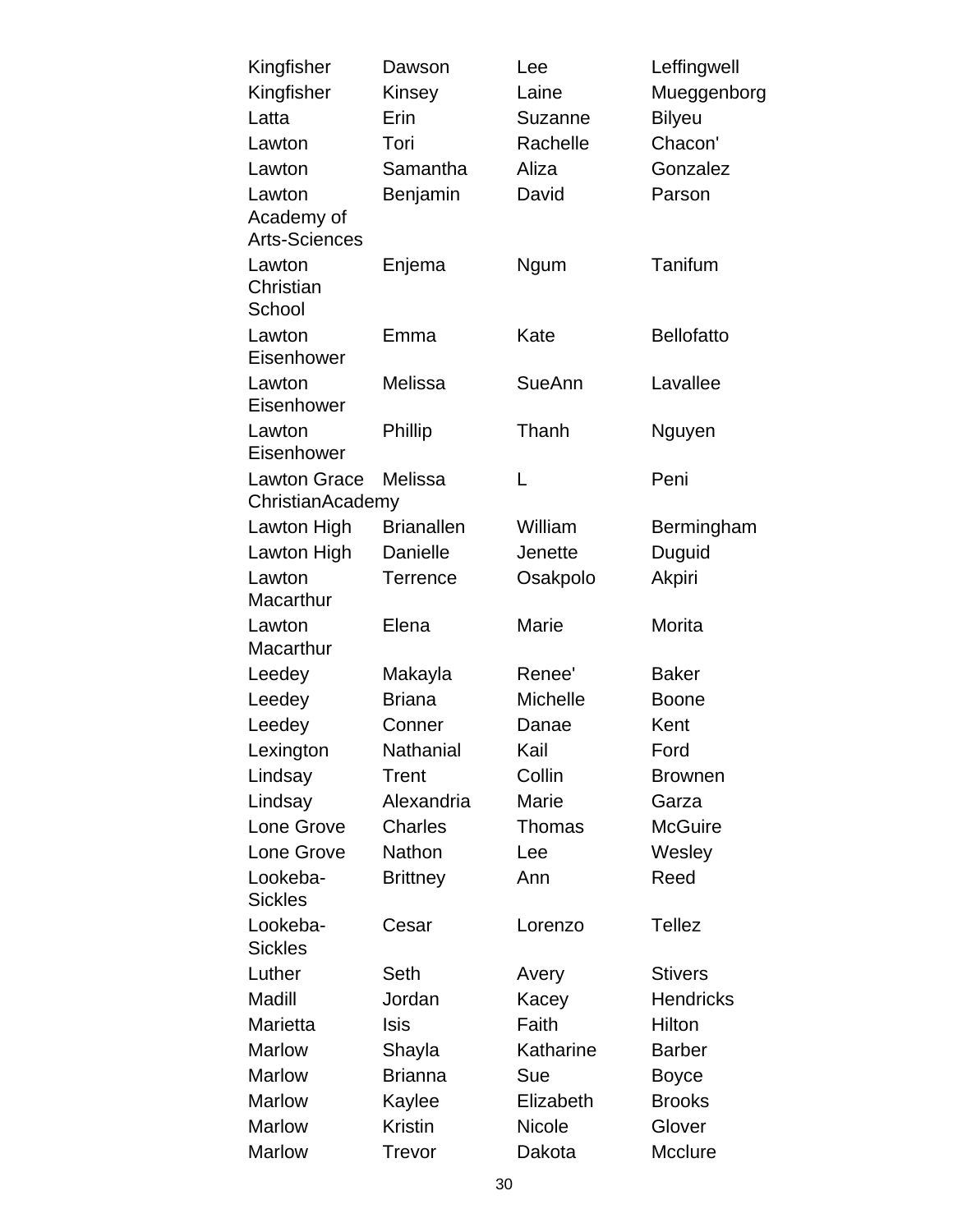| Kingfisher           | Dawson            | Lee           | Leffingwell       |
|----------------------|-------------------|---------------|-------------------|
| Kingfisher           | Kinsey            | Laine         | Mueggenborg       |
| Latta                | Erin              | Suzanne       | <b>Bilyeu</b>     |
| Lawton               | Tori              | Rachelle      | Chacon'           |
| Lawton               | Samantha          | Aliza         | Gonzalez          |
| Lawton               | Benjamin          | David         | Parson            |
| Academy of           |                   |               |                   |
| <b>Arts-Sciences</b> |                   |               |                   |
| Lawton               | Enjema            | Ngum          | Tanifum           |
| Christian            |                   |               |                   |
| School               |                   |               |                   |
| Lawton               | Emma              | Kate          | <b>Bellofatto</b> |
| Eisenhower           |                   |               |                   |
| Lawton               | Melissa           | SueAnn        | Lavallee          |
| Eisenhower           |                   |               |                   |
| Lawton               | Phillip           | Thanh         | Nguyen            |
| Eisenhower           |                   |               |                   |
| <b>Lawton Grace</b>  | Melissa           | L             | Peni              |
| ChristianAcademy     | <b>Brianallen</b> | William       |                   |
| Lawton High          | Danielle          | Jenette       | Bermingham        |
| Lawton High          |                   |               | Duguid            |
| Lawton<br>Macarthur  | Terrence          | Osakpolo      | Akpiri            |
| Lawton               | Elena             | Marie         | Morita            |
| Macarthur            |                   |               |                   |
| Leedey               | Makayla           | Renee'        | <b>Baker</b>      |
| Leedey               | <b>Briana</b>     | Michelle      | <b>Boone</b>      |
| Leedey               | Conner            | Danae         | Kent              |
| Lexington            | Nathanial         | Kail          | Ford              |
| Lindsay              | Trent             | Collin        | <b>Brownen</b>    |
| Lindsay              | Alexandria        | Marie         | Garza             |
| Lone Grove           | Charles           | Thomas        | <b>McGuire</b>    |
| Lone Grove           | <b>Nathon</b>     | Lee           | Wesley            |
| Lookeba-             | <b>Brittney</b>   | Ann           | Reed              |
| <b>Sickles</b>       |                   |               |                   |
| Lookeba-             | Cesar             | Lorenzo       | <b>Tellez</b>     |
| <b>Sickles</b>       |                   |               |                   |
| Luther               | Seth              | Avery         | <b>Stivers</b>    |
| Madill               | Jordan            | Kacey         | <b>Hendricks</b>  |
| Marietta             | <b>Isis</b>       | Faith         | Hilton            |
| <b>Marlow</b>        | Shayla            | Katharine     | <b>Barber</b>     |
| <b>Marlow</b>        | <b>Brianna</b>    | Sue           | <b>Boyce</b>      |
| <b>Marlow</b>        | Kaylee            | Elizabeth     | <b>Brooks</b>     |
| <b>Marlow</b>        | <b>Kristin</b>    | <b>Nicole</b> | Glover            |
| <b>Marlow</b>        | Trevor            | Dakota        | Mcclure           |
|                      |                   |               |                   |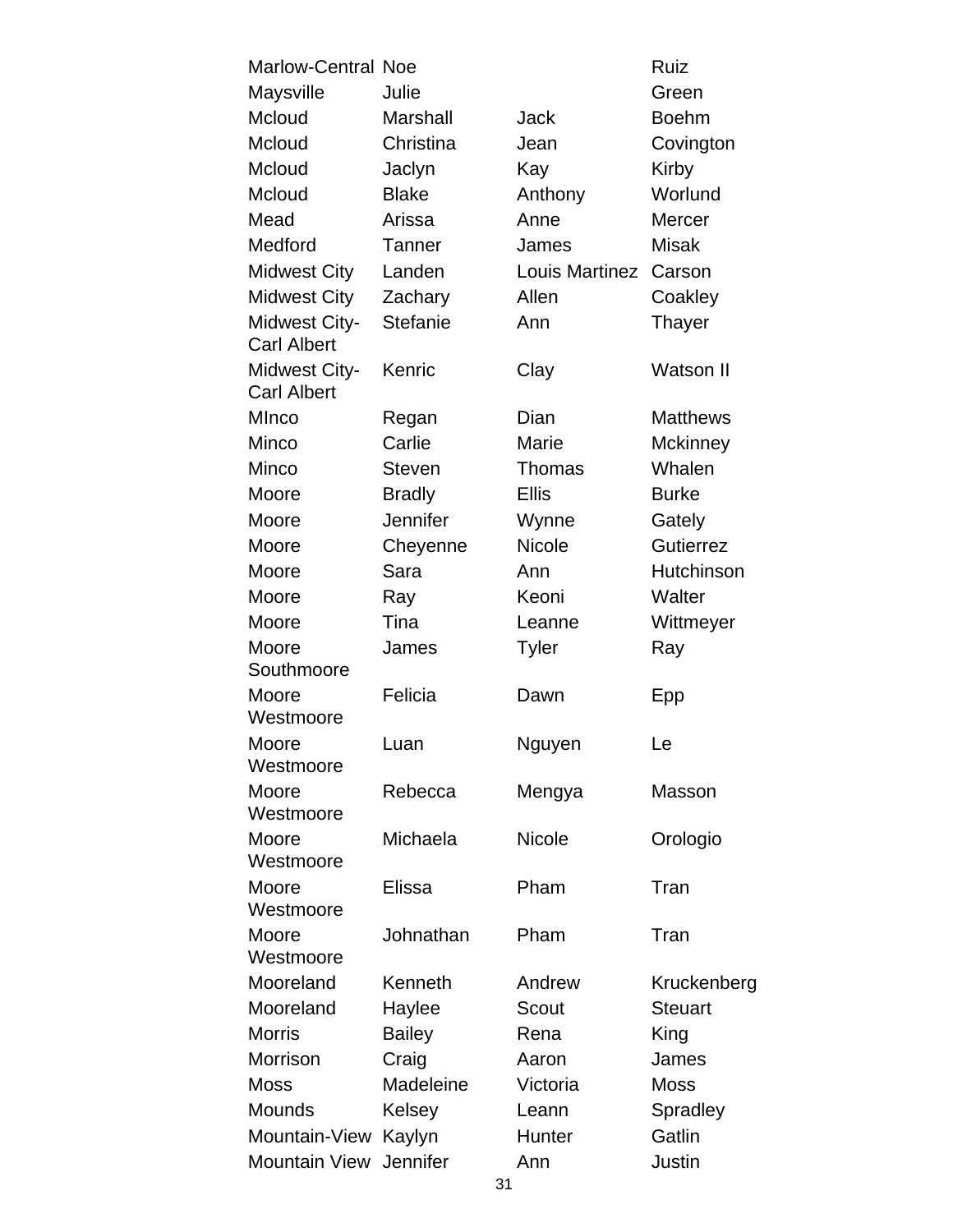| <b>Marlow-Central Noe</b>                  |                 |                | Ruiz             |
|--------------------------------------------|-----------------|----------------|------------------|
| Maysville                                  | Julie           |                | Green            |
| Mcloud                                     | Marshall        | Jack           | <b>Boehm</b>     |
| Mcloud                                     | Christina       | Jean           | Covington        |
| Mcloud                                     | Jaclyn          | Kay            | Kirby            |
| Mcloud                                     | <b>Blake</b>    | Anthony        | Worlund          |
| Mead                                       | Arissa          | Anne           | <b>Mercer</b>    |
| Medford                                    | Tanner          | James          | <b>Misak</b>     |
| <b>Midwest City</b>                        | Landen          | Louis Martinez | Carson           |
| <b>Midwest City</b>                        | Zachary         | Allen          | Coakley          |
| <b>Midwest City-</b><br><b>Carl Albert</b> | <b>Stefanie</b> | Ann            | Thayer           |
| <b>Midwest City-</b><br><b>Carl Albert</b> | Kenric          | Clay           | <b>Watson II</b> |
| MInco                                      | Regan           | Dian           | <b>Matthews</b>  |
| Minco                                      | Carlie          | Marie          | <b>Mckinney</b>  |
| Minco                                      | <b>Steven</b>   | <b>Thomas</b>  | Whalen           |
| Moore                                      | <b>Bradly</b>   | <b>Ellis</b>   | <b>Burke</b>     |
| Moore                                      | Jennifer        | Wynne          | Gately           |
| Moore                                      | Cheyenne        | <b>Nicole</b>  | <b>Gutierrez</b> |
| Moore                                      | Sara            | Ann            | Hutchinson       |
| Moore                                      | Ray             | Keoni          | Walter           |
| Moore                                      | Tina            | Leanne         | Wittmeyer        |
| Moore                                      | James           | <b>Tyler</b>   | Ray              |
| Southmoore                                 |                 |                |                  |
| Moore                                      | Felicia         | Dawn           | Epp              |
| Westmoore                                  |                 |                |                  |
| Moore<br>Westmoore                         | Luan            | Nguyen         | Le               |
| Moore<br>Westmoore                         | Rebecca         | Mengya         | Masson           |
| Moore<br>Westmoore                         | Michaela        | <b>Nicole</b>  | Orologio         |
| Moore<br>Westmoore                         | Elissa          | Pham           | Tran             |
| Moore<br>Westmoore                         | Johnathan       | Pham           | Tran             |
| Mooreland                                  | Kenneth         | Andrew         | Kruckenberg      |
| Mooreland                                  | Haylee          | Scout          | <b>Steuart</b>   |
| <b>Morris</b>                              | <b>Bailey</b>   | Rena           | King             |
| Morrison                                   | Craig           | Aaron          | James            |
| <b>Moss</b>                                | Madeleine       | Victoria       | <b>Moss</b>      |
| Mounds                                     | Kelsey          | Leann          | Spradley         |
| Mountain-View Kaylyn                       |                 | Hunter         | Gatlin           |
| Mountain View Jennifer                     |                 | Ann            | Justin           |
|                                            | 31              |                |                  |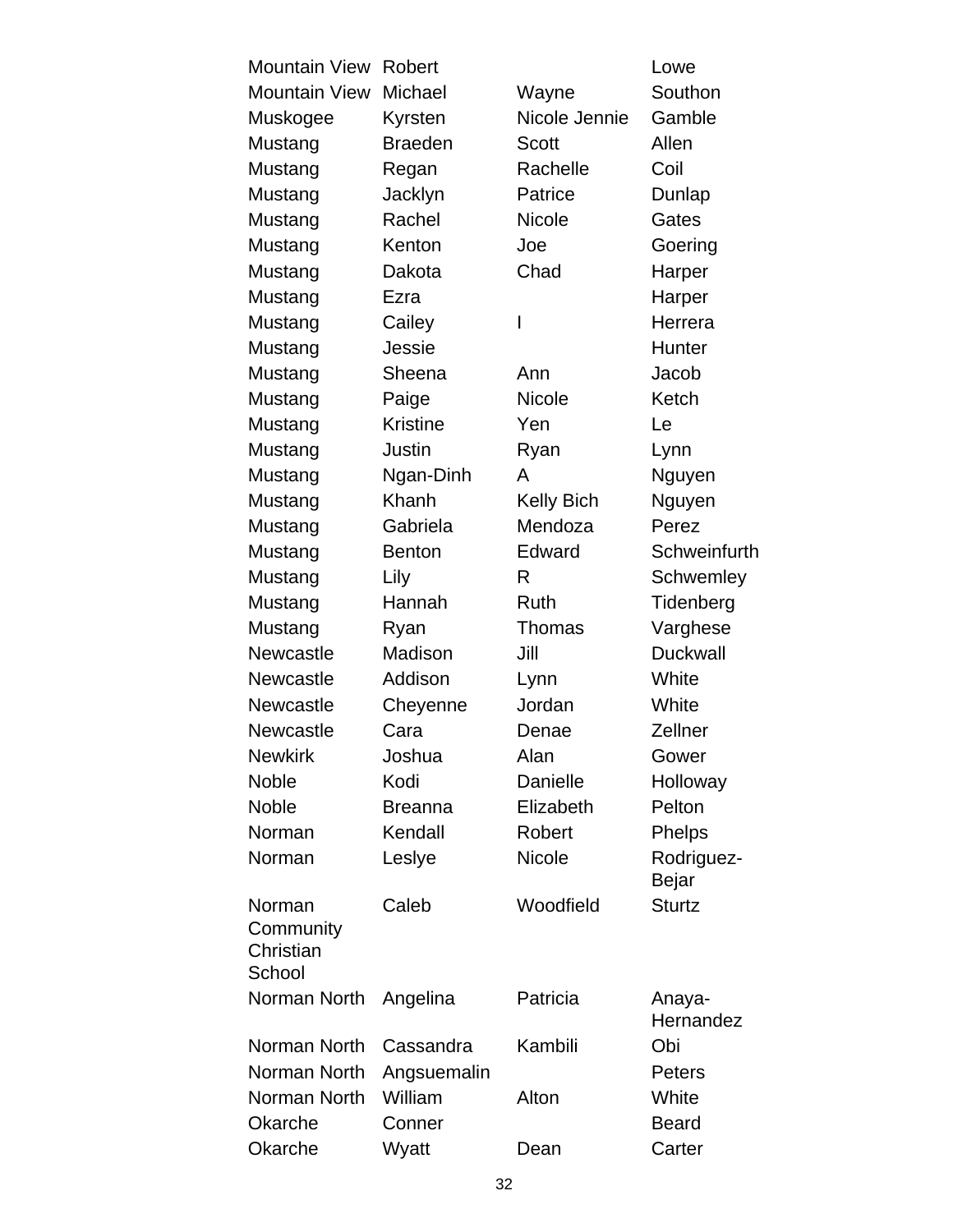| <b>Mountain View</b>                       | Robert          |                   | Lowe                |
|--------------------------------------------|-----------------|-------------------|---------------------|
| <b>Mountain View</b>                       | Michael         | Wayne             | Southon             |
| Muskogee                                   | Kyrsten         | Nicole Jennie     | Gamble              |
| Mustang                                    | <b>Braeden</b>  | <b>Scott</b>      | Allen               |
| Mustang                                    | Regan           | Rachelle          | Coil                |
| Mustang                                    | Jacklyn         | Patrice           | Dunlap              |
| Mustang                                    | Rachel          | <b>Nicole</b>     | Gates               |
| Mustang                                    | Kenton          | Joe               | Goering             |
| Mustang                                    | Dakota          | Chad              | Harper              |
| Mustang                                    | Ezra            |                   | Harper              |
| Mustang                                    | Cailey          | I                 | Herrera             |
| Mustang                                    | Jessie          |                   | Hunter              |
| Mustang                                    | Sheena          | Ann               | Jacob               |
| Mustang                                    | Paige           | <b>Nicole</b>     | Ketch               |
| Mustang                                    | <b>Kristine</b> | Yen               | Le                  |
| Mustang                                    | Justin          | Ryan              | Lynn                |
| Mustang                                    | Ngan-Dinh       | A                 | Nguyen              |
| Mustang                                    | Khanh           | <b>Kelly Bich</b> | Nguyen              |
| Mustang                                    | Gabriela        | Mendoza           | Perez               |
| Mustang                                    | <b>Benton</b>   | Edward            | Schweinfurth        |
| Mustang                                    | Lily            | R                 | Schwemley           |
| Mustang                                    | Hannah          | Ruth              | Tidenberg           |
| Mustang                                    | Ryan            | <b>Thomas</b>     | Varghese            |
| Newcastle                                  | Madison         | Jill              | <b>Duckwall</b>     |
| Newcastle                                  | Addison         | Lynn              | White               |
| <b>Newcastle</b>                           | Cheyenne        | Jordan            | White               |
| <b>Newcastle</b>                           | Cara            | Denae             | Zellner             |
| <b>Newkirk</b>                             | Joshua          | Alan              | Gower               |
| <b>Noble</b>                               | Kodi            | Danielle          | Holloway            |
| <b>Noble</b>                               | <b>Breanna</b>  | Elizabeth         | Pelton              |
| Norman                                     | Kendall         | Robert            | Phelps              |
| Norman                                     | Leslye          | <b>Nicole</b>     | Rodriguez-<br>Bejar |
| Norman<br>Community<br>Christian<br>School | Caleb           | Woodfield         | <b>Sturtz</b>       |
| Norman North                               | Angelina        | Patricia          | Anaya-<br>Hernandez |
| Norman North                               | Cassandra       | Kambili           | Obi                 |
| Norman North                               | Angsuemalin     |                   | <b>Peters</b>       |
| Norman North                               | William         | Alton             | White               |
| Okarche                                    | Conner          |                   | <b>Beard</b>        |
| Okarche                                    | Wyatt           | Dean              | Carter              |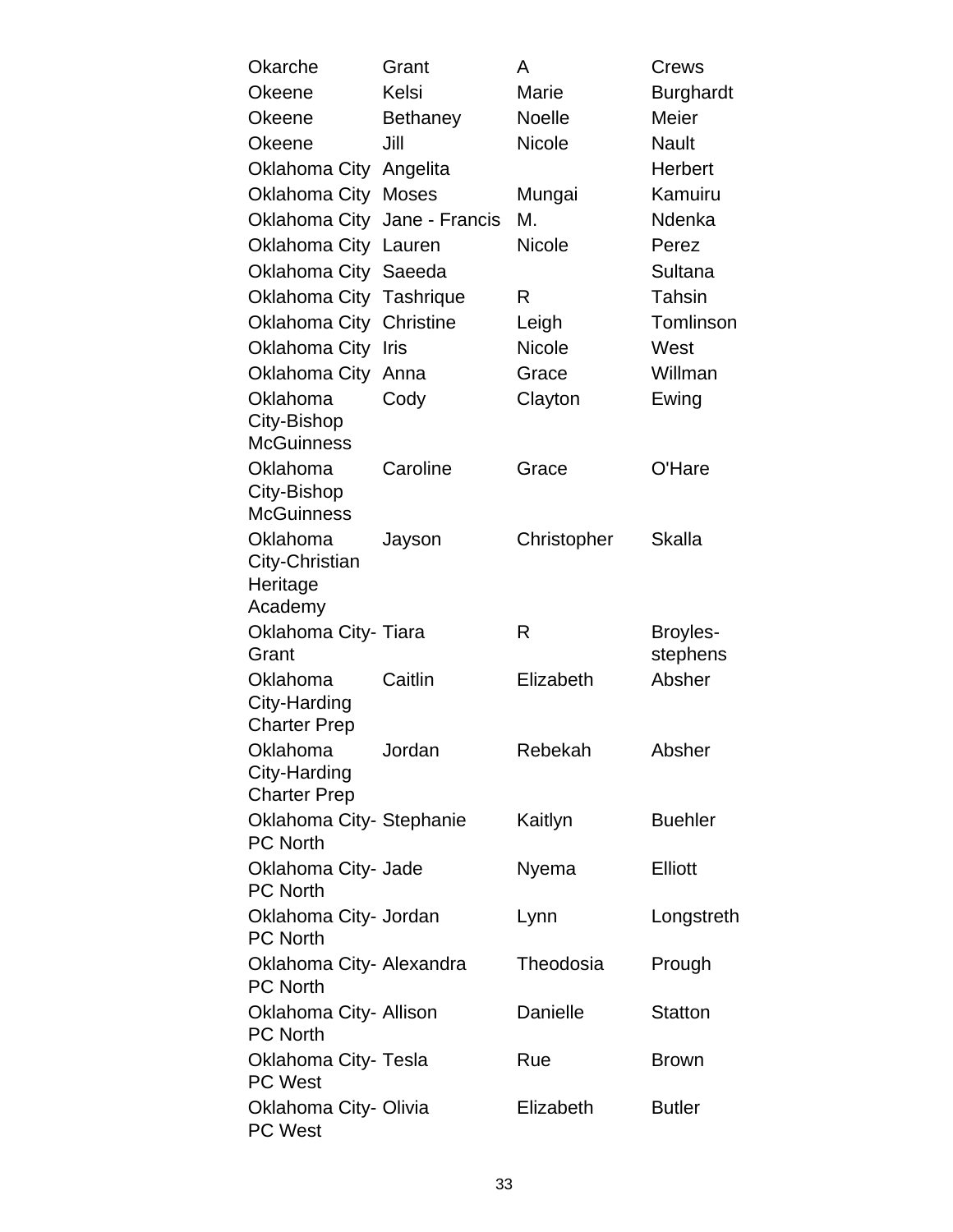| Okarche                                     | Grant           | A             | Crews            |
|---------------------------------------------|-----------------|---------------|------------------|
| Okeene                                      | Kelsi           | Marie         | <b>Burghardt</b> |
| <b>Okeene</b>                               | <b>Bethaney</b> | <b>Noelle</b> | Meier            |
| <b>Okeene</b>                               | Jill            | <b>Nicole</b> | <b>Nault</b>     |
| Oklahoma City                               | Angelita        |               | Herbert          |
| <b>Oklahoma City Moses</b>                  |                 | Mungai        | Kamuiru          |
| Oklahoma City Jane - Francis                |                 | М.            | Ndenka           |
| <b>Oklahoma City</b>                        | Lauren          | <b>Nicole</b> | Perez            |
| Oklahoma City Saeeda                        |                 |               | Sultana          |
| Oklahoma City Tashrique                     |                 | R             | Tahsin           |
| Oklahoma City                               | Christine       | Leigh         | Tomlinson        |
| Oklahoma City                               | Iris            | <b>Nicole</b> | West             |
| Oklahoma City                               | Anna            | Grace         | Willman          |
| Oklahoma                                    | Cody            | Clayton       | Ewing            |
| City-Bishop<br><b>McGuinness</b>            |                 |               |                  |
| Oklahoma                                    | Caroline        | Grace         | O'Hare           |
| City-Bishop                                 |                 |               |                  |
| <b>McGuinness</b>                           |                 |               |                  |
| Oklahoma                                    | Jayson          | Christopher   | Skalla           |
| City-Christian                              |                 |               |                  |
| Heritage<br>Academy                         |                 |               |                  |
| Oklahoma City- Tiara                        |                 | R             | Broyles-         |
| Grant                                       |                 |               | stephens         |
| Oklahoma                                    | Caitlin         | Elizabeth     | Absher           |
| City-Harding                                |                 |               |                  |
| <b>Charter Prep</b>                         |                 |               |                  |
| Oklahoma                                    | Jordan          | Rebekah       | Absher           |
| City-Harding                                |                 |               |                  |
| <b>Charter Prep</b>                         |                 |               |                  |
| Oklahoma City- Stephanie                    |                 | Kaitlyn       | <b>Buehler</b>   |
| <b>PC North</b>                             |                 |               |                  |
| Oklahoma City- Jade<br><b>PC North</b>      |                 | Nyema         | <b>Elliott</b>   |
| Oklahoma City- Jordan                       |                 | Lynn          | Longstreth       |
| <b>PC North</b>                             |                 |               |                  |
| Oklahoma City- Alexandra<br><b>PC North</b> |                 | Theodosia     | Prough           |
| Oklahoma City- Allison<br><b>PC North</b>   |                 | Danielle      | <b>Statton</b>   |
| Oklahoma City- Tesla<br><b>PC West</b>      |                 | Rue           | <b>Brown</b>     |
| Oklahoma City- Olivia<br><b>PC West</b>     |                 | Elizabeth     | <b>Butler</b>    |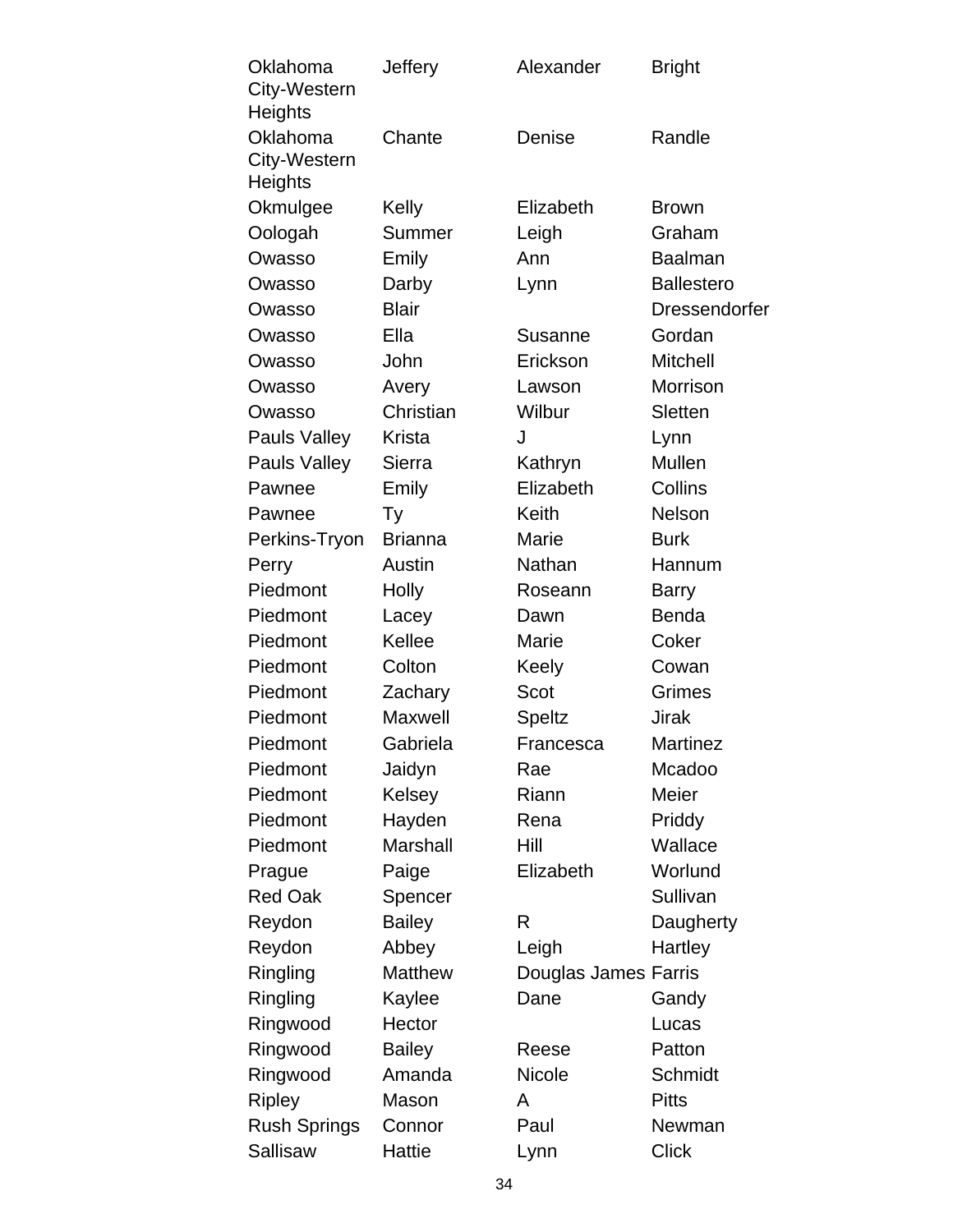| Oklahoma<br>City-Western | Jeffery        | Alexander            | <b>Bright</b>        |
|--------------------------|----------------|----------------------|----------------------|
| Heights                  |                |                      |                      |
| Oklahoma                 | Chante         | Denise               | Randle               |
| City-Western<br>Heights  |                |                      |                      |
| Okmulgee                 | Kelly          | Elizabeth            | <b>Brown</b>         |
| Oologah                  | Summer         | Leigh                | Graham               |
| Owasso                   | Emily          | Ann                  | <b>Baalman</b>       |
| Owasso                   | Darby          | Lynn                 | <b>Ballestero</b>    |
| Owasso                   | <b>Blair</b>   |                      | <b>Dressendorfer</b> |
| Owasso                   | Ella           | <b>Susanne</b>       | Gordan               |
| Owasso                   | John           | Erickson             | <b>Mitchell</b>      |
| Owasso                   | Avery          | Lawson               | Morrison             |
| Owasso                   | Christian      | Wilbur               | Sletten              |
| Pauls Valley             | <b>Krista</b>  | J                    | Lynn                 |
| Pauls Valley             | Sierra         | Kathryn              | Mullen               |
| Pawnee                   | Emily          | Elizabeth            | Collins              |
| Pawnee                   | Тy             | Keith                | Nelson               |
| Perkins-Tryon            | <b>Brianna</b> | Marie                | <b>Burk</b>          |
| Perry                    | Austin         | Nathan               | Hannum               |
| Piedmont                 | <b>Holly</b>   | Roseann              | <b>Barry</b>         |
| Piedmont                 | Lacey          | Dawn                 | <b>Benda</b>         |
| Piedmont                 | Kellee         | Marie                | Coker                |
| Piedmont                 | Colton         | Keely                | Cowan                |
| Piedmont                 | Zachary        | Scot                 | Grimes               |
| Piedmont                 | Maxwell        | Speltz               | <b>Jirak</b>         |
| Piedmont                 | Gabriela       | Francesca            | Martinez             |
| Piedmont                 | Jaidyn         | Rae                  | Mcadoo               |
| Piedmont                 | Kelsey         | Riann                | Meier                |
| Piedmont                 | Hayden         | Rena                 | Priddy               |
| Piedmont                 | Marshall       | Hill                 | Wallace              |
| Prague                   | Paige          | Elizabeth            | Worlund              |
| <b>Red Oak</b>           | Spencer        |                      | Sullivan             |
| Reydon                   | <b>Bailey</b>  | R                    | Daugherty            |
| Reydon                   | Abbey          | Leigh                | Hartley              |
| Ringling                 | <b>Matthew</b> | Douglas James Farris |                      |
| Ringling                 | Kaylee         | Dane                 | Gandy                |
| Ringwood                 | Hector         |                      | Lucas                |
| Ringwood                 | <b>Bailey</b>  | Reese                | Patton               |
| Ringwood                 | Amanda         | <b>Nicole</b>        | Schmidt              |
| <b>Ripley</b>            | Mason          | A                    | <b>Pitts</b>         |
| <b>Rush Springs</b>      | Connor         | Paul                 | Newman               |
| Sallisaw                 | Hattie         | Lynn                 | <b>Click</b>         |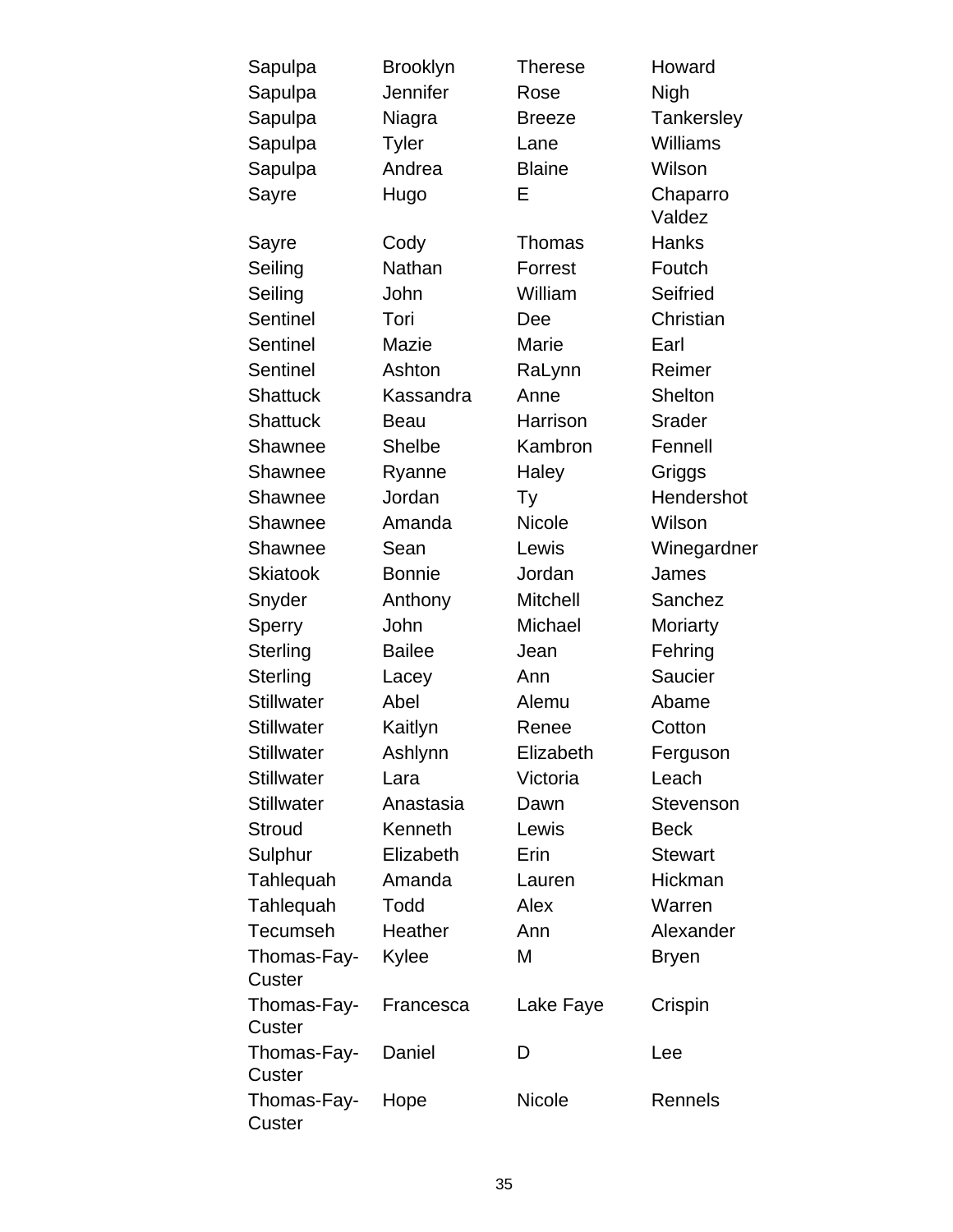| Sapulpa               | <b>Brooklyn</b> | <b>Therese</b>  | Howard             |
|-----------------------|-----------------|-----------------|--------------------|
| Sapulpa               | Jennifer        | Rose            | Nigh               |
| Sapulpa               | Niagra          | <b>Breeze</b>   | Tankersley         |
| Sapulpa               | <b>Tyler</b>    | Lane            | Williams           |
| Sapulpa               | Andrea          | <b>Blaine</b>   | Wilson             |
| Sayre                 | Hugo            | Е               | Chaparro<br>Valdez |
| Sayre                 | Cody            | Thomas          | <b>Hanks</b>       |
| Seiling               | Nathan          | Forrest         | Foutch             |
| Seiling               | John            | William         | Seifried           |
| <b>Sentinel</b>       | Tori            | Dee             | Christian          |
| Sentinel              | Mazie           | Marie           | Earl               |
| Sentinel              | Ashton          | RaLynn          | Reimer             |
| <b>Shattuck</b>       | Kassandra       | Anne            | Shelton            |
| <b>Shattuck</b>       | <b>Beau</b>     | Harrison        | <b>Srader</b>      |
| Shawnee               | <b>Shelbe</b>   | Kambron         | Fennell            |
| Shawnee               | Ryanne          | Haley           | Griggs             |
| Shawnee               | Jordan          | Ty              | Hendershot         |
| Shawnee               | Amanda          | <b>Nicole</b>   | Wilson             |
| Shawnee               | Sean            | Lewis           | Winegardner        |
| <b>Skiatook</b>       | <b>Bonnie</b>   | Jordan          | James              |
| Snyder                | Anthony         | <b>Mitchell</b> | Sanchez            |
| Sperry                | John            | Michael         | Moriarty           |
| Sterling              | <b>Bailee</b>   | Jean            | Fehring            |
| Sterling              | Lacey           | Ann             | Saucier            |
| <b>Stillwater</b>     | Abel            | Alemu           | Abame              |
| <b>Stillwater</b>     | Kaitlyn         | Renee           | Cotton             |
| Stillwater            | Ashlynn         | Elizabeth       | Ferguson           |
| <b>Stillwater</b>     | Lara            | Victoria        | Leach              |
| <b>Stillwater</b>     | Anastasia       | Dawn            | Stevenson          |
| <b>Stroud</b>         | Kenneth         | Lewis           | <b>Beck</b>        |
| Sulphur               | Elizabeth       | Erin            | <b>Stewart</b>     |
| Tahlequah             | Amanda          | Lauren          | Hickman            |
| Tahlequah             | Todd            | Alex            | Warren             |
| Tecumseh              | Heather         | Ann             | Alexander          |
| Thomas-Fay-           | Kylee           | М               | <b>Bryen</b>       |
| Custer                |                 |                 |                    |
| Thomas-Fay-<br>Custer | Francesca       | Lake Faye       | Crispin            |
| Thomas-Fay-<br>Custer | Daniel          | D               | Lee                |
| Thomas-Fay-<br>Custer | Hope            | <b>Nicole</b>   | Rennels            |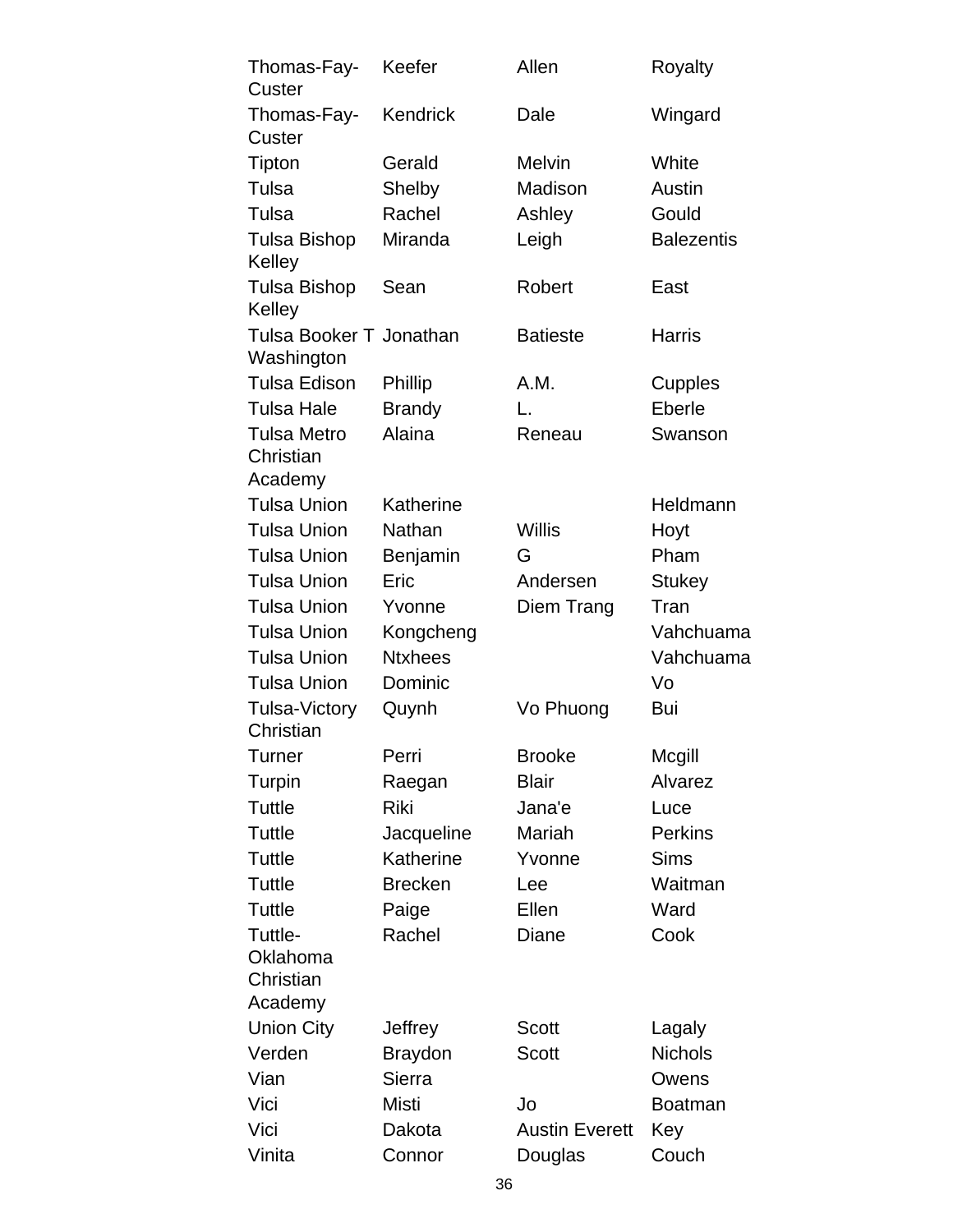| Thomas-Fay-<br>Custer                      | Keefer         | Allen                 | Royalty           |
|--------------------------------------------|----------------|-----------------------|-------------------|
| Thomas-Fay-<br>Custer                      | Kendrick       | Dale                  | Wingard           |
| Tipton                                     | Gerald         | <b>Melvin</b>         | White             |
| Tulsa                                      | Shelby         | Madison               | Austin            |
| Tulsa                                      | Rachel         | Ashley                | Gould             |
| <b>Tulsa Bishop</b><br>Kelley              | Miranda        | Leigh                 | <b>Balezentis</b> |
| Tulsa Bishop<br>Kelley                     | Sean           | Robert                | East              |
| Tulsa Booker T Jonathan<br>Washington      |                | <b>Batieste</b>       | <b>Harris</b>     |
| <b>Tulsa Edison</b>                        | Phillip        | A.M.                  | Cupples           |
| <b>Tulsa Hale</b>                          | <b>Brandy</b>  | L.                    | Eberle            |
| <b>Tulsa Metro</b><br>Christian<br>Academy | Alaina         | Reneau                | Swanson           |
| <b>Tulsa Union</b>                         | Katherine      |                       | Heldmann          |
| <b>Tulsa Union</b>                         | Nathan         | <b>Willis</b>         | Hoyt              |
| <b>Tulsa Union</b>                         | Benjamin       | G                     | Pham              |
| <b>Tulsa Union</b>                         | Eric           | Andersen              | <b>Stukey</b>     |
| <b>Tulsa Union</b>                         | Yvonne         | Diem Trang            | Tran              |
| <b>Tulsa Union</b>                         | Kongcheng      |                       | Vahchuama         |
| <b>Tulsa Union</b>                         | <b>Ntxhees</b> |                       | Vahchuama         |
| <b>Tulsa Union</b>                         | Dominic        |                       | Vo                |
| <b>Tulsa-Victory</b><br>Christian          | Quynh          | Vo Phuong             | Bui               |
| Turner                                     | Perri          | <b>Brooke</b>         | Mcgill            |
| Turpin                                     | Raegan         | <b>Blair</b>          | Alvarez           |
| Tuttle                                     | Riki           | Jana'e                | Luce              |
| Tuttle                                     | Jacqueline     | Mariah                | <b>Perkins</b>    |
| Tuttle                                     | Katherine      | Yvonne                | <b>Sims</b>       |
| Tuttle                                     | <b>Brecken</b> | Lee                   | Waitman           |
| Tuttle                                     | Paige          | Ellen                 | Ward              |
| Tuttle-<br>Oklahoma<br>Christian           | Rachel         | Diane                 | Cook              |
| Academy                                    |                |                       |                   |
| Union City                                 | Jeffrey        | <b>Scott</b>          | Lagaly            |
| Verden                                     | <b>Braydon</b> | Scott                 | <b>Nichols</b>    |
| Vian                                       | Sierra         |                       | Owens             |
| Vici                                       | Misti          | Jo                    | <b>Boatman</b>    |
| Vici                                       | Dakota         | <b>Austin Everett</b> | Key               |
| Vinita                                     | Connor         | Douglas               | Couch             |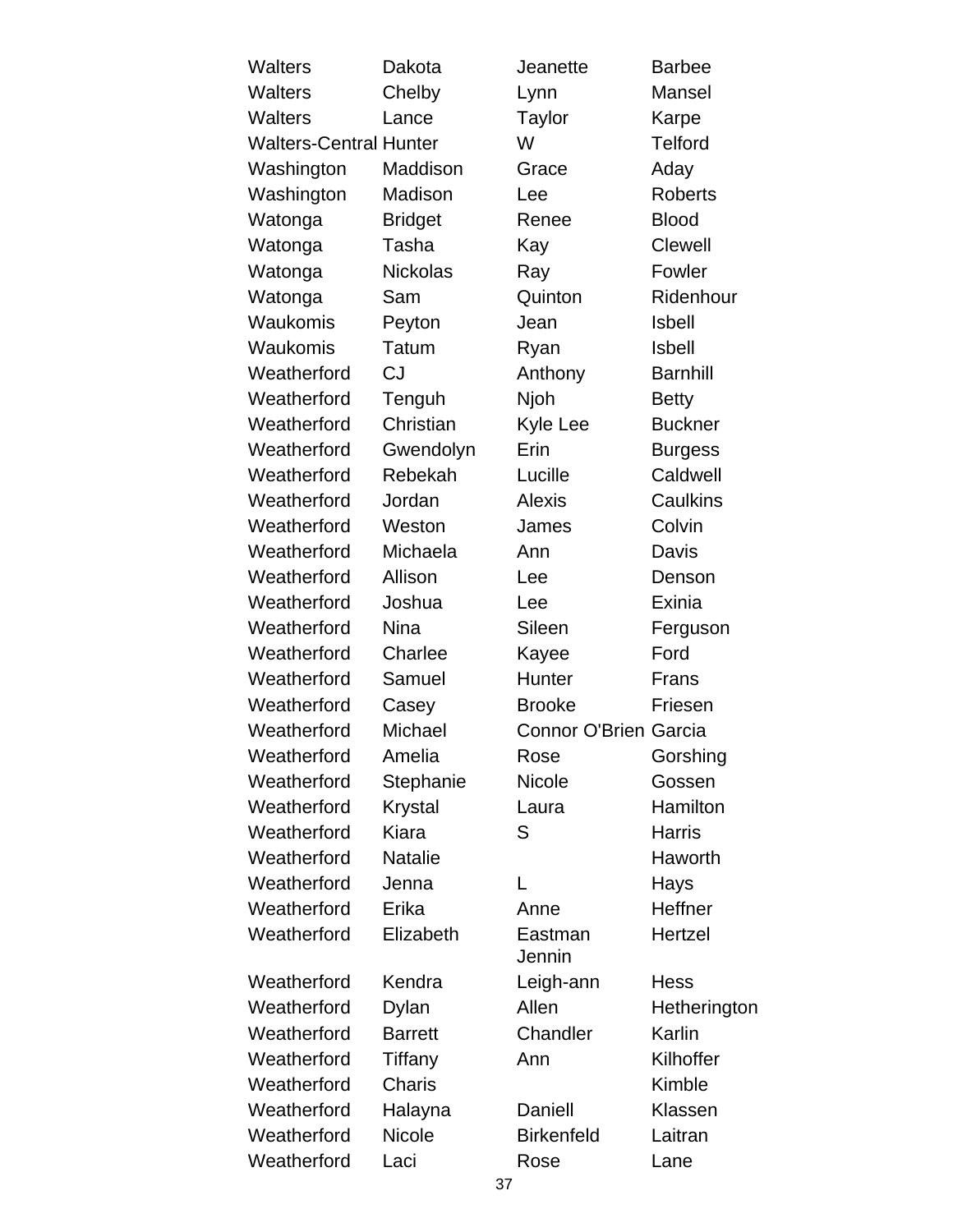| <b>Walters</b>                | Dakota          | Jeanette                     | <b>Barbee</b>   |
|-------------------------------|-----------------|------------------------------|-----------------|
| <b>Walters</b>                | Chelby          | Lynn                         | Mansel          |
| Walters                       | Lance           | Taylor                       | Karpe           |
| <b>Walters-Central Hunter</b> |                 | W                            | <b>Telford</b>  |
| Washington                    | Maddison        | Grace                        | Aday            |
| Washington                    | Madison         | Lee                          | <b>Roberts</b>  |
| Watonga                       | <b>Bridget</b>  | Renee                        | <b>Blood</b>    |
| Watonga                       | Tasha           | Kay                          | <b>Clewell</b>  |
| Watonga                       | <b>Nickolas</b> | Ray                          | Fowler          |
| Watonga                       | Sam             | Quinton                      | Ridenhour       |
| Waukomis                      | Peyton          | Jean                         | <b>Isbell</b>   |
| Waukomis                      | Tatum           | Ryan                         | <b>Isbell</b>   |
| Weatherford                   | CJ              | Anthony                      | <b>Barnhill</b> |
| Weatherford                   | Tenguh          | Njoh                         | <b>Betty</b>    |
| Weatherford                   | Christian       | Kyle Lee                     | <b>Buckner</b>  |
| Weatherford                   | Gwendolyn       | Erin                         | <b>Burgess</b>  |
| Weatherford                   | Rebekah         | Lucille                      | Caldwell        |
| Weatherford                   | Jordan          | <b>Alexis</b>                | Caulkins        |
| Weatherford                   | Weston          | James                        | Colvin          |
| Weatherford                   | Michaela        | Ann                          | Davis           |
| Weatherford                   | Allison         | Lee                          | Denson          |
| Weatherford                   | Joshua          | Lee                          | Exinia          |
| Weatherford                   | <b>Nina</b>     | Sileen                       | Ferguson        |
| Weatherford                   | Charlee         | Kayee                        | Ford            |
| Weatherford                   | Samuel          | Hunter                       | Frans           |
| Weatherford                   | Casey           | <b>Brooke</b>                | Friesen         |
| Weatherford                   | Michael         | <b>Connor O'Brien Garcia</b> |                 |
| Weatherford                   | Amelia          | Rose                         | Gorshing        |
| Weatherford                   | Stephanie       | <b>Nicole</b>                | Gossen          |
| Weatherford                   | <b>Krystal</b>  | Laura                        | Hamilton        |
| Weatherford                   | Kiara           | S                            | <b>Harris</b>   |
| Weatherford                   | <b>Natalie</b>  |                              | Haworth         |
| Weatherford                   | Jenna           | L                            | Hays            |
| Weatherford                   | Erika           | Anne                         | Heffner         |
| Weatherford                   | Elizabeth       | Eastman<br>Jennin            | Hertzel         |
| Weatherford                   | Kendra          | Leigh-ann                    | <b>Hess</b>     |
| Weatherford                   | Dylan           | Allen                        | Hetherington    |
| Weatherford                   | <b>Barrett</b>  | Chandler                     | Karlin          |
| Weatherford                   | Tiffany         | Ann                          | Kilhoffer       |
| Weatherford                   | <b>Charis</b>   |                              | Kimble          |
| Weatherford                   | Halayna         | Daniell                      | Klassen         |
| Weatherford                   | <b>Nicole</b>   | <b>Birkenfeld</b>            | Laitran         |
| Weatherford                   | Laci            | Rose                         | Lane            |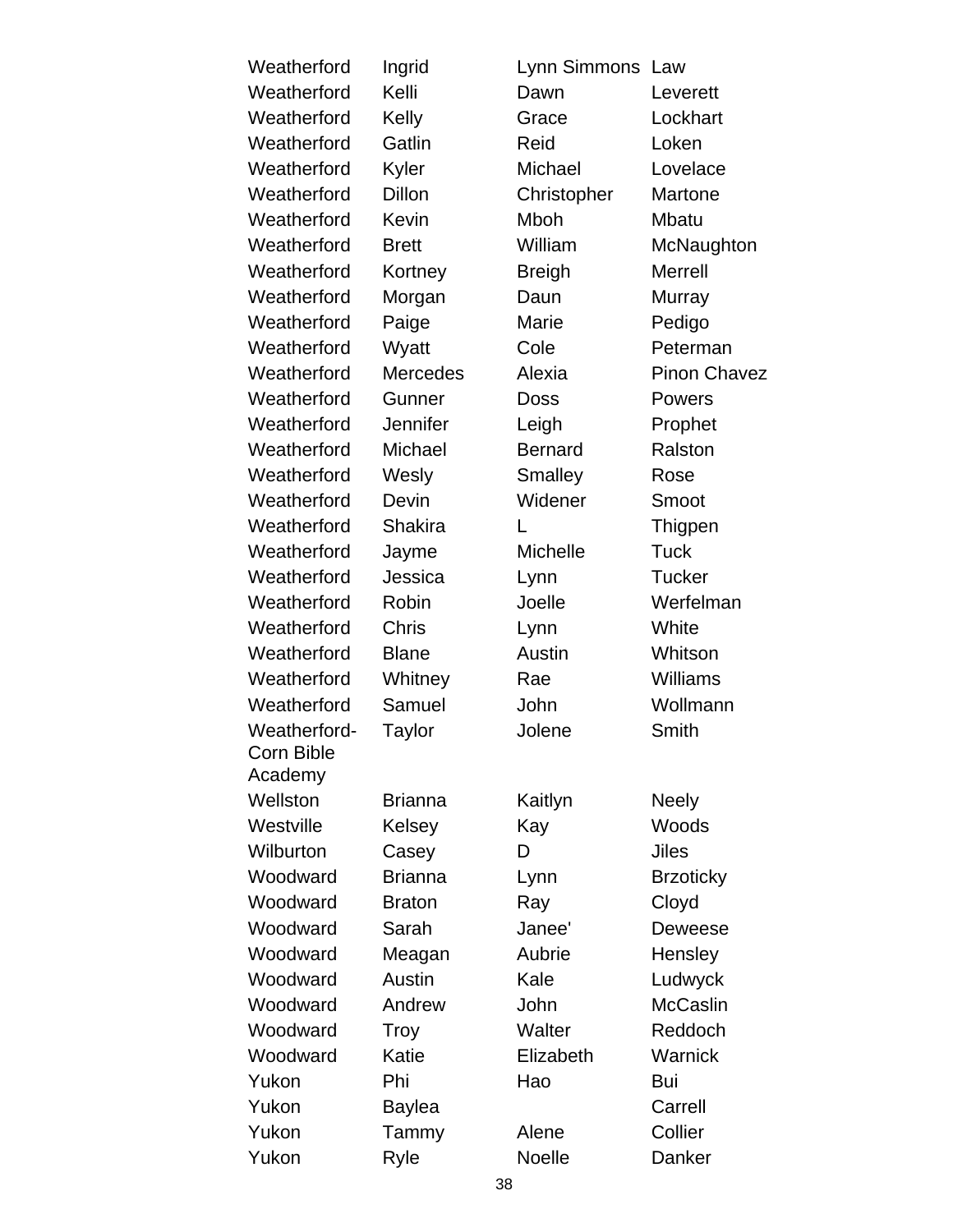Weatherford Ingrid Lynn Simmons Law Weatherford Kelli **Dawn** Leverett Weatherford Kelly Grace Lockhart Weatherford Gatlin Reid Loken Weatherford Kyler Michael Lovelace Weatherford Dillon Christopher Martone Weatherford Kevin Mboh Mbatu Weatherford Brett **William** McNaughton Weatherford Kortney Breigh Merrell Weatherford Morgan Daun Murray Weatherford Paige Marie Pedigo Weatherford Wyatt Cole Peterman Weatherford Mercedes Alexia Pinon Chavez Weatherford Gunner Doss Powers Weatherford Jennifer Leigh Prophet Weatherford Michael **Bernard** Ralston Weatherford Wesly Smalley Rose Weatherford Devin Widener Smoot Weatherford Shakira L<br>
L<br>
L<br>
Thigpen Weatherford Jayme Michelle Tuck Weatherford Jessica Lynn Tucker Weatherford Robin **Joelle** Werfelman Weatherford Chris Lynn White Weatherford Blane Austin Whitson Weatherford Whitney Rae Williams Weatherford Samuel **John** Wollmann Weatherford-Corn Bible Academy Wellston Brianna Kaitlyn Neely Westville Kelsey Kay Woods Wilburton Casey D Jiles Woodward Brianna Lynn Brzoticky Woodward Braton Ray Cloyd Woodward Sarah Janee' Deweese Woodward Meagan Aubrie Hensley Woodward Austin **Kale** Ludwyck Woodward Andrew John McCaslin Woodward Troy Walter Reddoch Woodward Katie Elizabeth Warnick Yukon Phi Hao Bui Yukon Baylea Carrell Yukon Tammy Alene Collier

Yukon Ryle Noelle Danker

Taylor Jolene Smith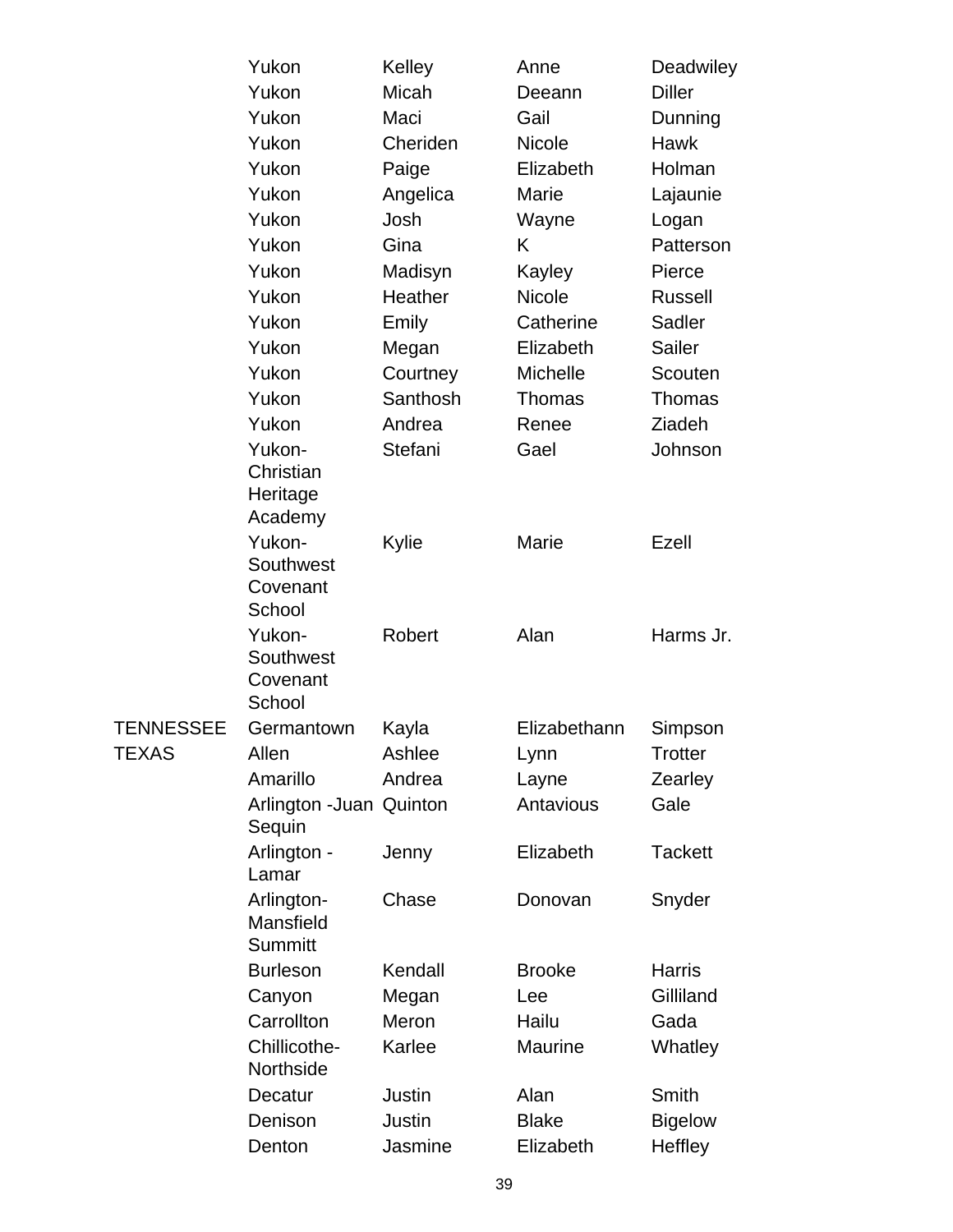|                  | Yukon                              | Kelley   | Anne           | Deadwiley      |
|------------------|------------------------------------|----------|----------------|----------------|
|                  | Yukon                              | Micah    | Deeann         | <b>Diller</b>  |
|                  | Yukon                              | Maci     | Gail           | Dunning        |
|                  | Yukon                              | Cheriden | <b>Nicole</b>  | <b>Hawk</b>    |
|                  | Yukon                              | Paige    | Elizabeth      | Holman         |
|                  | Yukon                              | Angelica | Marie          | Lajaunie       |
|                  | Yukon                              | Josh     | Wayne          | Logan          |
|                  | Yukon                              | Gina     | K              | Patterson      |
|                  | Yukon                              | Madisyn  | Kayley         | Pierce         |
|                  | Yukon                              | Heather  | Nicole         | <b>Russell</b> |
|                  | Yukon                              | Emily    | Catherine      | Sadler         |
|                  | Yukon                              | Megan    | Elizabeth      | <b>Sailer</b>  |
|                  | Yukon                              | Courtney | Michelle       | Scouten        |
|                  | Yukon                              | Santhosh | Thomas         | Thomas         |
|                  | Yukon                              | Andrea   | Renee          | Ziadeh         |
|                  | Yukon-                             | Stefani  | Gael           | Johnson        |
|                  | Christian                          |          |                |                |
|                  | Heritage                           |          |                |                |
|                  | Academy                            |          |                |                |
|                  | Yukon-                             | Kylie    | Marie          | Ezell          |
|                  | Southwest<br>Covenant              |          |                |                |
|                  | School                             |          |                |                |
|                  | Yukon-                             | Robert   | Alan           | Harms Jr.      |
|                  | Southwest                          |          |                |                |
|                  | Covenant                           |          |                |                |
|                  | School                             |          |                |                |
| <b>TENNESSEE</b> | Germantown                         | Kayla    | Elizabethann   | Simpson        |
| <b>TEXAS</b>     | Allen                              | Ashlee   | Lynn           | <b>Trotter</b> |
|                  | Amarillo                           | Andrea   | Layne          | Zearley        |
|                  | Arlington - Juan Quinton<br>Sequin |          | Antavious      | Gale           |
|                  | Arlington -<br>Lamar               | Jenny    | Elizabeth      | <b>Tackett</b> |
|                  | Arlington-                         | Chase    | Donovan        | Snyder         |
|                  | Mansfield                          |          |                |                |
|                  | <b>Summitt</b>                     |          |                |                |
|                  | <b>Burleson</b>                    | Kendall  | <b>Brooke</b>  | <b>Harris</b>  |
|                  | Canyon                             | Megan    | Lee            | Gilliland      |
|                  | Carrollton                         | Meron    | Hailu          | Gada           |
|                  | Chillicothe-<br>Northside          | Karlee   | <b>Maurine</b> | Whatley        |
|                  | Decatur                            | Justin   | Alan           | Smith          |
|                  | Denison                            | Justin   | <b>Blake</b>   | <b>Bigelow</b> |
|                  | Denton                             | Jasmine  | Elizabeth      | Heffley        |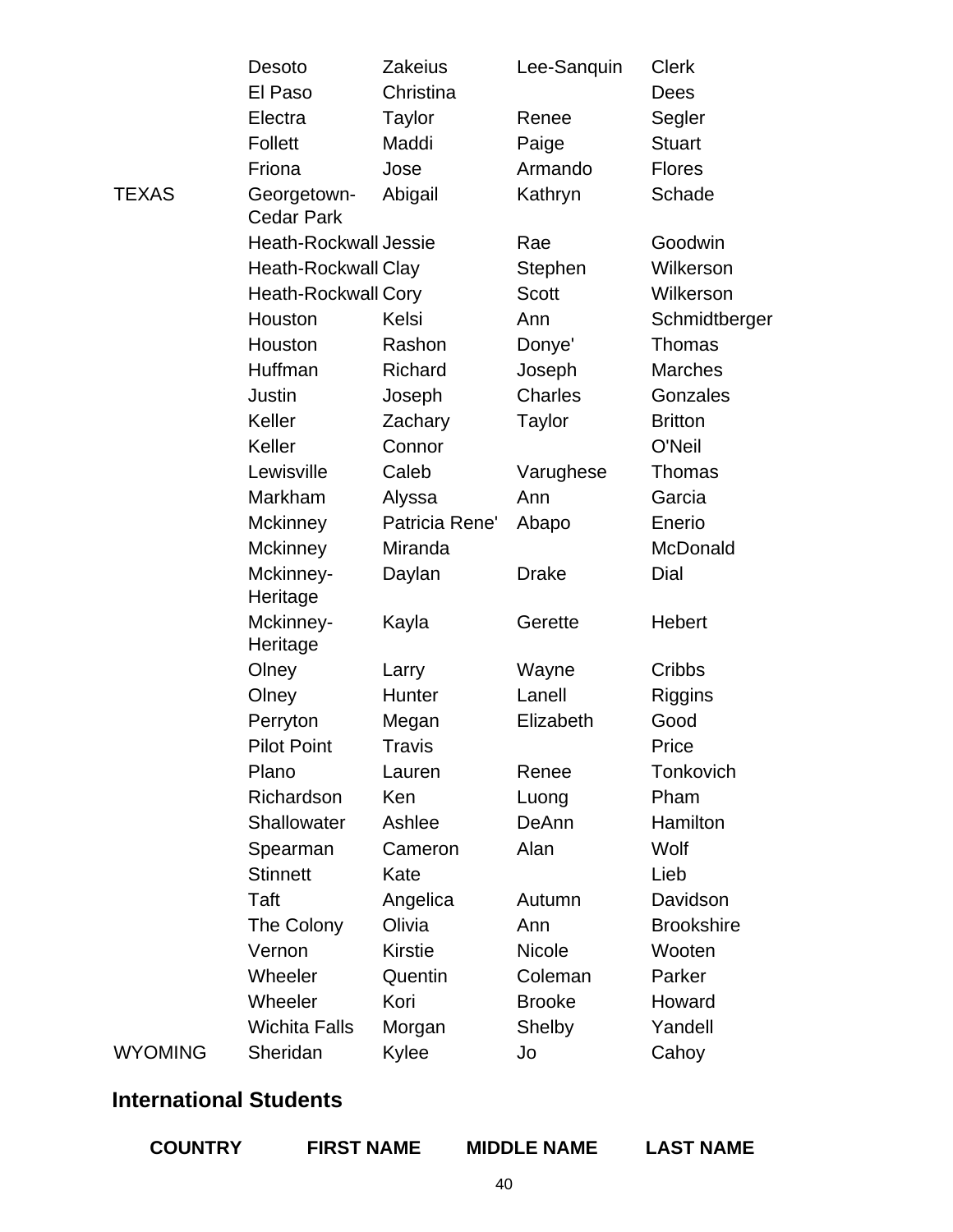|         | Desoto                           | <b>Zakeius</b> | Lee-Sanquin    | <b>Clerk</b>      |
|---------|----------------------------------|----------------|----------------|-------------------|
|         | El Paso                          | Christina      |                | Dees              |
|         | Electra                          | <b>Taylor</b>  | Renee          | Segler            |
|         | <b>Follett</b>                   | Maddi          | Paige          | <b>Stuart</b>     |
|         | Friona                           | Jose           | Armando        | <b>Flores</b>     |
| TEXAS   | Georgetown-<br><b>Cedar Park</b> | Abigail        | Kathryn        | Schade            |
|         | <b>Heath-Rockwall Jessie</b>     |                | Rae            | Goodwin           |
|         | <b>Heath-Rockwall Clay</b>       |                | Stephen        | Wilkerson         |
|         | <b>Heath-Rockwall Cory</b>       |                | Scott          | Wilkerson         |
|         | Houston                          | Kelsi          | Ann            | Schmidtberger     |
|         | Houston                          | Rashon         | Donye'         | <b>Thomas</b>     |
|         | Huffman                          | Richard        | Joseph         | <b>Marches</b>    |
|         | <b>Justin</b>                    | Joseph         | <b>Charles</b> | Gonzales          |
|         | Keller                           | Zachary        | <b>Taylor</b>  | <b>Britton</b>    |
|         | Keller                           | Connor         |                | O'Neil            |
|         | Lewisville                       | Caleb          | Varughese      | Thomas            |
|         | Markham                          | Alyssa         | Ann            | Garcia            |
|         | <b>Mckinney</b>                  | Patricia Rene' | Abapo          | Enerio            |
|         | <b>Mckinney</b>                  | Miranda        |                | McDonald          |
|         | Mckinney-<br>Heritage            | Daylan         | <b>Drake</b>   | Dial              |
|         | Mckinney-<br>Heritage            | Kayla          | Gerette        | Hebert            |
|         | Olney                            | Larry          | Wayne          | Cribbs            |
|         | Olney                            | Hunter         | Lanell         | Riggins           |
|         | Perryton                         | Megan          | Elizabeth      | Good              |
|         | <b>Pilot Point</b>               | Travis         |                | Price             |
|         | Plano                            | Lauren         | Renee          | Tonkovich         |
|         | Richardson                       | Ken            | Luong          | Pham              |
|         | Shallowater                      | Ashlee         | DeAnn          | Hamilton          |
|         | Spearman                         | Cameron        | Alan           | Wolf              |
|         | <b>Stinnett</b>                  | Kate           |                | Lieb              |
|         | Taft                             | Angelica       | Autumn         | Davidson          |
|         | The Colony                       | Olivia         | Ann            | <b>Brookshire</b> |
|         | Vernon                           | <b>Kirstie</b> | <b>Nicole</b>  | Wooten            |
|         | Wheeler                          | Quentin        | Coleman        | Parker            |
|         | Wheeler                          | Kori           | <b>Brooke</b>  | Howard            |
|         | <b>Wichita Falls</b>             | Morgan         | Shelby         | Yandell           |
| WYOMING | Sheridan                         | Kylee          | Jo             | Cahoy             |

### **International Students**

| <b>COUNTRY</b> | <b>FIRST NAME</b> | <b>MIDDLE NAME</b> | <b>LAST NAME</b> |
|----------------|-------------------|--------------------|------------------|
|                |                   |                    |                  |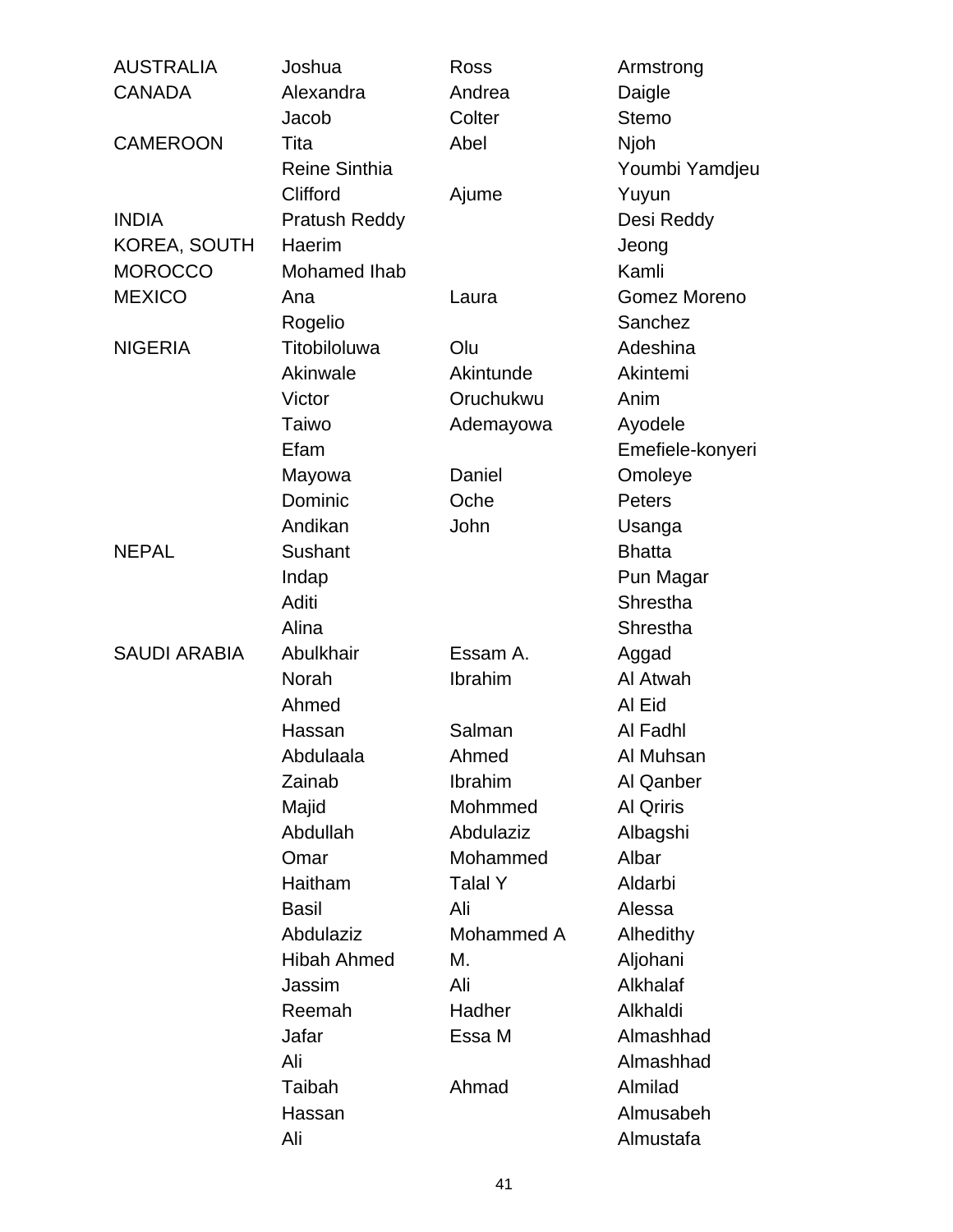| <b>AUSTRALIA</b>    | Joshua               | Ross       | Armstrong        |
|---------------------|----------------------|------------|------------------|
| <b>CANADA</b>       | Alexandra            | Andrea     | Daigle           |
|                     | Jacob                | Colter     | <b>Stemo</b>     |
| <b>CAMEROON</b>     | Tita                 | Abel       | Njoh             |
|                     | <b>Reine Sinthia</b> |            | Youmbi Yamdjeu   |
|                     | Clifford             | Ajume      | Yuyun            |
| <b>INDIA</b>        | Pratush Reddy        |            | Desi Reddy       |
| KOREA, SOUTH        | Haerim               |            | Jeong            |
| <b>MOROCCO</b>      | Mohamed Ihab         |            | Kamli            |
| <b>MEXICO</b>       | Ana                  | Laura      | Gomez Moreno     |
|                     | Rogelio              |            | Sanchez          |
| <b>NIGERIA</b>      | Titobiloluwa         | Olu        | Adeshina         |
|                     | Akinwale             | Akintunde  | Akintemi         |
|                     | Victor               | Oruchukwu  | Anim             |
|                     | Taiwo                | Ademayowa  | Ayodele          |
|                     | Efam                 |            | Emefiele-konyeri |
|                     | Mayowa               | Daniel     | Omoleye          |
|                     | Dominic              | Oche       | <b>Peters</b>    |
|                     | Andikan              | John       | Usanga           |
| <b>NEPAL</b>        | Sushant              |            | <b>Bhatta</b>    |
|                     | Indap                |            | Pun Magar        |
|                     | Aditi                |            | Shrestha         |
|                     | Alina                |            | Shrestha         |
| <b>SAUDI ARABIA</b> | Abulkhair            | Essam A.   | Aggad            |
|                     | Norah                | Ibrahim    | Al Atwah         |
|                     | Ahmed                |            | Al Eid           |
|                     | Hassan               | Salman     | Al Fadhl         |
|                     | Abdulaala            | Ahmed      | Al Muhsan        |
|                     | Zainab               | Ibrahim    | Al Qanber        |
|                     | Majid                | Mohmmed    | <b>Al Qriris</b> |
|                     | Abdullah             | Abdulaziz  | Albagshi         |
|                     | Omar                 | Mohammed   | Albar            |
|                     | Haitham              | Talal Y    | Aldarbi          |
|                     | <b>Basil</b>         | Ali        | Alessa           |
|                     | Abdulaziz            | Mohammed A | Alhedithy        |
|                     | <b>Hibah Ahmed</b>   | М.         | Aljohani         |
|                     | Jassim               | Ali        | Alkhalaf         |
|                     | Reemah               | Hadher     | Alkhaldi         |
|                     | Jafar                | Essa M     | Almashhad        |
|                     | Ali                  |            | Almashhad        |
|                     | Taibah               | Ahmad      | Almilad          |
|                     | Hassan               |            | Almusabeh        |
|                     | Ali                  |            | Almustafa        |
|                     |                      |            |                  |